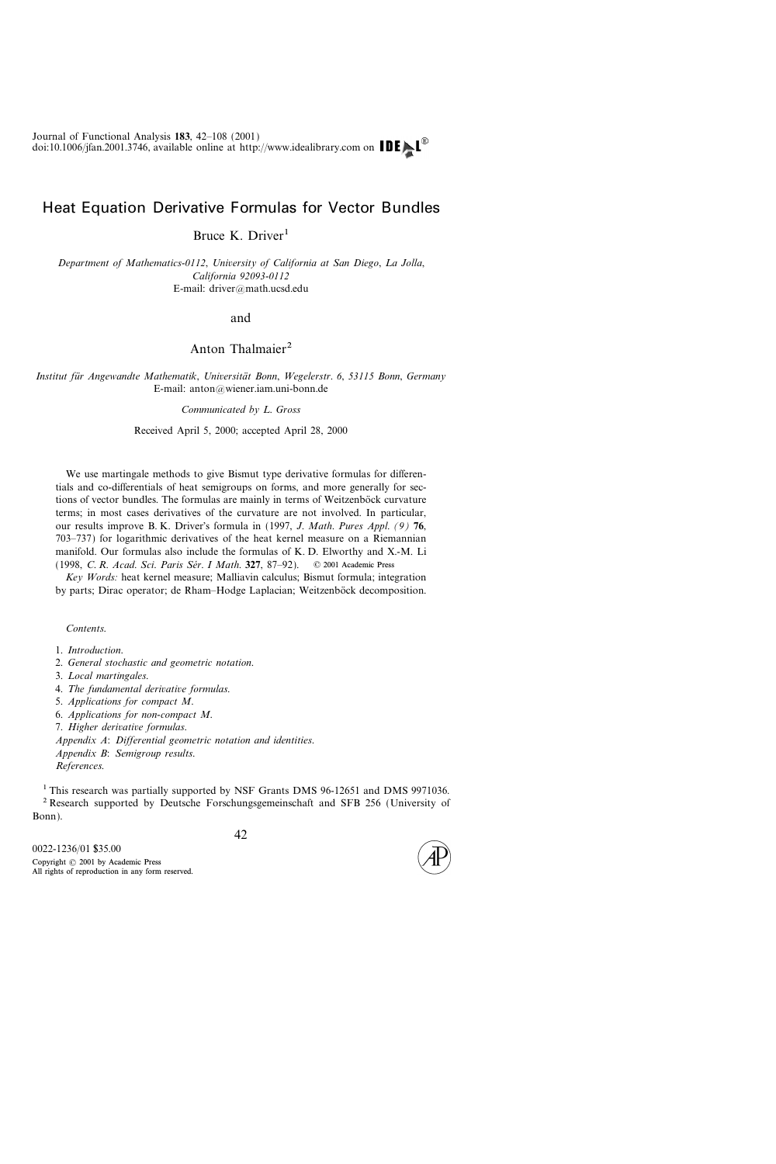# Heat Equation Derivative Formulas for Vector Bundles

Bruce K. Driver<sup>1</sup>

Department of Mathematics-0112, University of California at San Diego, La Jolla, California 92093-0112 E-mail: driver@math.ucsd.edu

#### and

# Anton Thalmaier<sup>2</sup>

Institut für Angewandte Mathematik, Universität Bonn, Wegelerstr. 6, 53115 Bonn, Germany E-mail:  $anton@$ wiener.iam.uni-bonn.de

Communicated by L. Gross

Received April 5, 2000; accepted April 28, 2000

We use martingale methods to give Bismut type derivative formulas for differentials and co-differentials of heat semigroups on forms, and more generally for sections of vector bundles. The formulas are mainly in terms of Weitzenböck curvature terms; in most cases derivatives of the curvature are not involved. In particular, our results improve B. K. Driver's formula in (1997, J. Math. Pures Appl. (9) 76, 703737) for logarithmic derivatives of the heat kernel measure on a Riemannian manifold. Our formulas also include the formulas of K. D. Elworthy and X.-M. Li (1998, C. R. Acad. Sci. Paris Sér. I Math. 327, 87-92). © 2001 Academic Press

Key Words: heat kernel measure; Malliavin calculus; Bismut formula; integration by parts; Dirac operator; de Rham-Hodge Laplacian; Weitzenböck decomposition.

Contents.

- 1. Introduction.
- 2. General stochastic and geometric notation.
- 3. Local martingales.
- 4. The fundamental derivative formulas.
- 5. Applications for compact M.
- 6. Applications for non-compact M.
- 7. Higher derivative formulas.

Appendix A: Differential geometric notation and identities.

Appendix B: Semigroup results.

References.

<sup>1</sup> This research was partially supported by NSF Grants DMS 96-12651 and DMS 9971036. <sup>2</sup> Research supported by Deutsche Forschungsgemeinschaft and SFB 256 (University of Bonn).



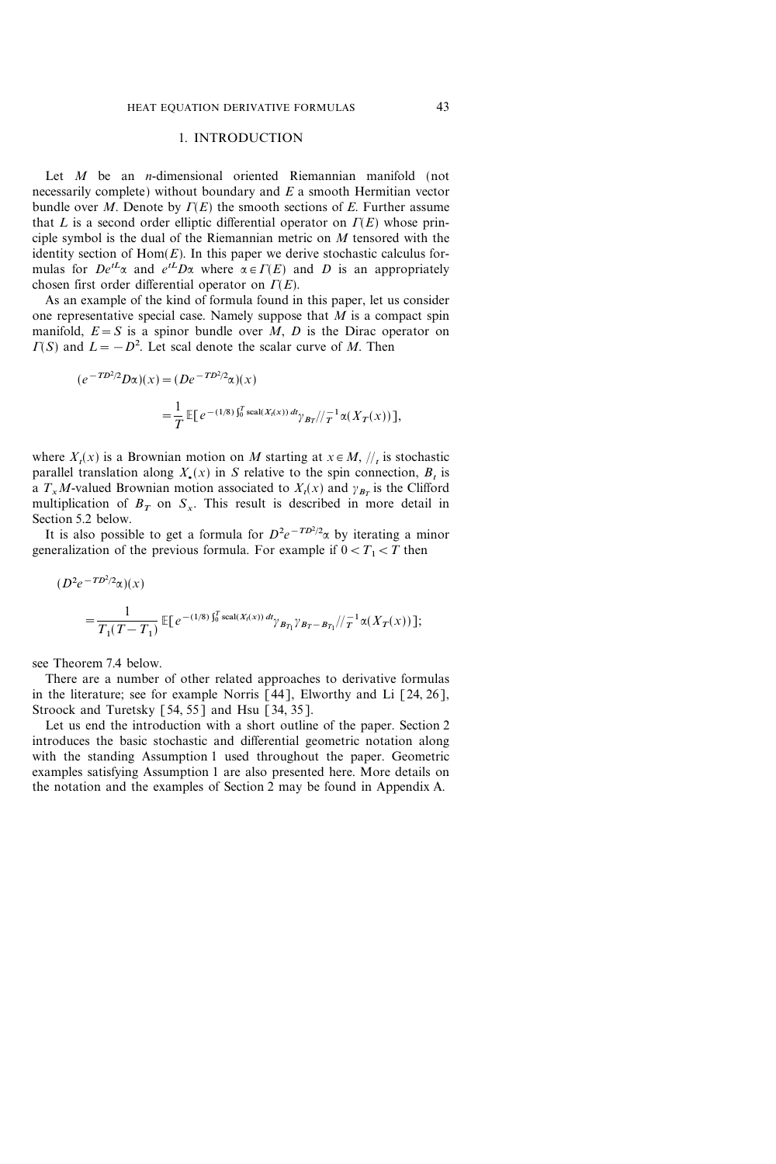## 1. INTRODUCTION

Let  $M$  be an *n*-dimensional oriented Riemannian manifold (not necessarily complete) without boundary and  $E$  a smooth Hermitian vector bundle over M. Denote by  $\Gamma(E)$  the smooth sections of E. Further assume that L is a second order elliptic differential operator on  $\Gamma(E)$  whose principle symbol is the dual of the Riemannian metric on M tensored with the identity section of  $Hom(E)$ . In this paper we derive stochastic calculus formulas for  $De^{tL}\alpha$  and  $e^{tL}D\alpha$  where  $\alpha \in \Gamma(E)$  and D is an appropriately chosen first order differential operator on  $\Gamma(E)$ .

As an example of the kind of formula found in this paper, let us consider one representative special case. Namely suppose that  $\overline{M}$  is a compact spin manifold,  $E = S$  is a spinor bundle over  $M$ , D is the Dirac operator on  $\Gamma(S)$  and  $L = -D^2$ . Let scal denote the scalar curve of M. Then

$$
(e^{-T D^2/2} D \alpha)(x) = (D e^{-T D^2/2} \alpha)(x)
$$
  
= 
$$
\frac{1}{T} \mathbb{E}[e^{-(1/8)\int_0^T \text{scal}(X_t(x)) \, dt} \gamma_{B_T}/\sqrt{\frac{1}{T}} \alpha(X_T(x))],
$$

where  $X_t(x)$  is a Brownian motion on M starting at  $x \in M$ ,  $\frac{1}{t}$  is stochastic parallel translation along  $X_{\bullet}(x)$  in S relative to the spin connection,  $B_t$  is a  $T_xM$ -valued Brownian motion associated to  $X_t(x)$  and  $\gamma_{B_x}$  is the Clifford multiplication of  $B_T$  on  $S_x$ . This result is described in more detail in Section 5.2 below.

It is also possible to get a formula for  $D^2e^{-T D^2/2}\alpha$  by iterating a minor generalization of the previous formula. For example if  $0 < T_1 < T$  then

$$
(D^2 e^{-T D^2/2} \alpha)(x)
$$
  
= 
$$
\frac{1}{T_1 (T - T_1)} \mathbb{E} \left[ e^{- (1/8) \int_0^T \text{scal}(X_t(x)) \, dt} \gamma_{B_{T_1}} \gamma_{B_{T} - B_{T_1}} / \gamma_{T}^{-1} \alpha(X_T(x)) \right];
$$

see Theorem 7.4 below.

There are a number of other related approaches to derivative formulas in the literature; see for example Norris  $\lceil 44 \rceil$ , Elworthy and Li  $\lceil 24, 26 \rceil$ , Stroock and Turetsky  $\lceil 54, 55 \rceil$  and Hsu  $\lceil 34, 35 \rceil$ .

Let us end the introduction with a short outline of the paper. Section 2 introduces the basic stochastic and differential geometric notation along with the standing Assumption 1 used throughout the paper. Geometric examples satisfying Assumption 1 are also presented here. More details on the notation and the examples of Section 2 may be found in Appendix A.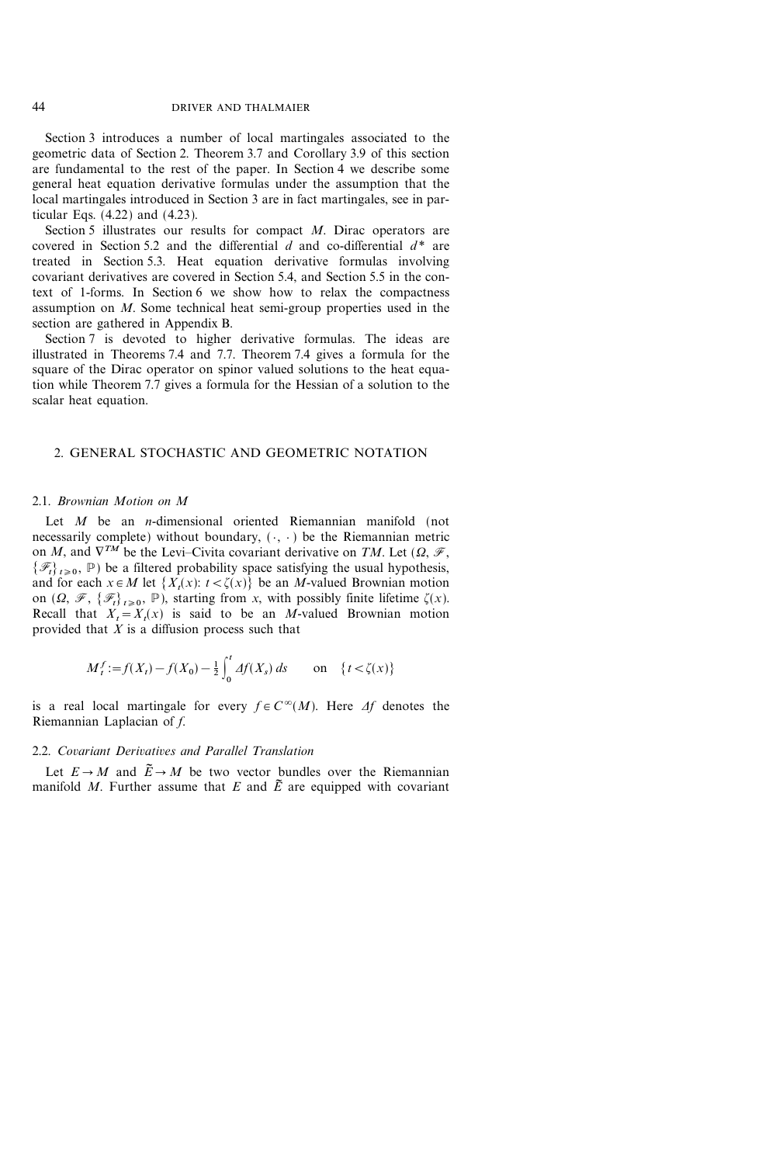Section 3 introduces a number of local martingales associated to the geometric data of Section 2. Theorem 3.7 and Corollary 3.9 of this section are fundamental to the rest of the paper. In Section 4 we describe some general heat equation derivative formulas under the assumption that the local martingales introduced in Section 3 are in fact martingales, see in particular Eqs. (4.22) and (4.23).

Section 5 illustrates our results for compact M. Dirac operators are covered in Section 5.2 and the differential  $d$  and co-differential  $d^*$  are treated in Section 5.3. Heat equation derivative formulas involving covariant derivatives are covered in Section 5.4, and Section 5.5 in the context of 1-forms. In Section 6 we show how to relax the compactness assumption on M. Some technical heat semi-group properties used in the section are gathered in Appendix B.

Section 7 is devoted to higher derivative formulas. The ideas are illustrated in Theorems 7.4 and 7.7. Theorem 7.4 gives a formula for the square of the Dirac operator on spinor valued solutions to the heat equation while Theorem 7.7 gives a formula for the Hessian of a solution to the scalar heat equation.

# 2. GENERAL STOCHASTIC AND GEOMETRIC NOTATION

#### 2.1. Brownian Motion on M

Let M be an *n*-dimensional oriented Riemannian manifold (not necessarily complete) without boundary,  $(\cdot, \cdot)$  be the Riemannian metric on M, and  $\nabla^{TM}$  be the Levi-Civita covariant derivative on TM. Let  $(\Omega, \mathcal{F},$  $\{\mathcal{F}_t\}_{t\geq0}$ , P) be a filtered probability space satisfying the usual hypothesis, and for each  $x \in M$  let  $\{X_t(x): t < \zeta(x)\}$  be an M-valued Brownian motion on  $(\Omega, \mathcal{F}, \{\mathcal{F}_t\}_{t>0}, \mathbb{P})$ , starting from x, with possibly finite lifetime  $\zeta(x)$ . Recall that  $X_t = X_t(x)$  is said to be an M-valued Brownian motion provided that  $X$  is a diffusion process such that

$$
M_t^f := f(X_t) - f(X_0) - \frac{1}{2} \int_0^t \Delta f(X_s) \, ds \qquad \text{on} \quad \{t < \zeta(x)\}
$$

is a real local martingale for every  $f \in C^{\infty}(M)$ . Here  $\Delta f$  denotes the Riemannian Laplacian of f.

## 2.2. Covariant Derivatives and Parallel Translation

Let  $E \rightarrow M$  and  $\widetilde{E} \rightarrow M$  be two vector bundles over the Riemannian manifold M. Further assume that E and  $\tilde{E}$  are equipped with covariant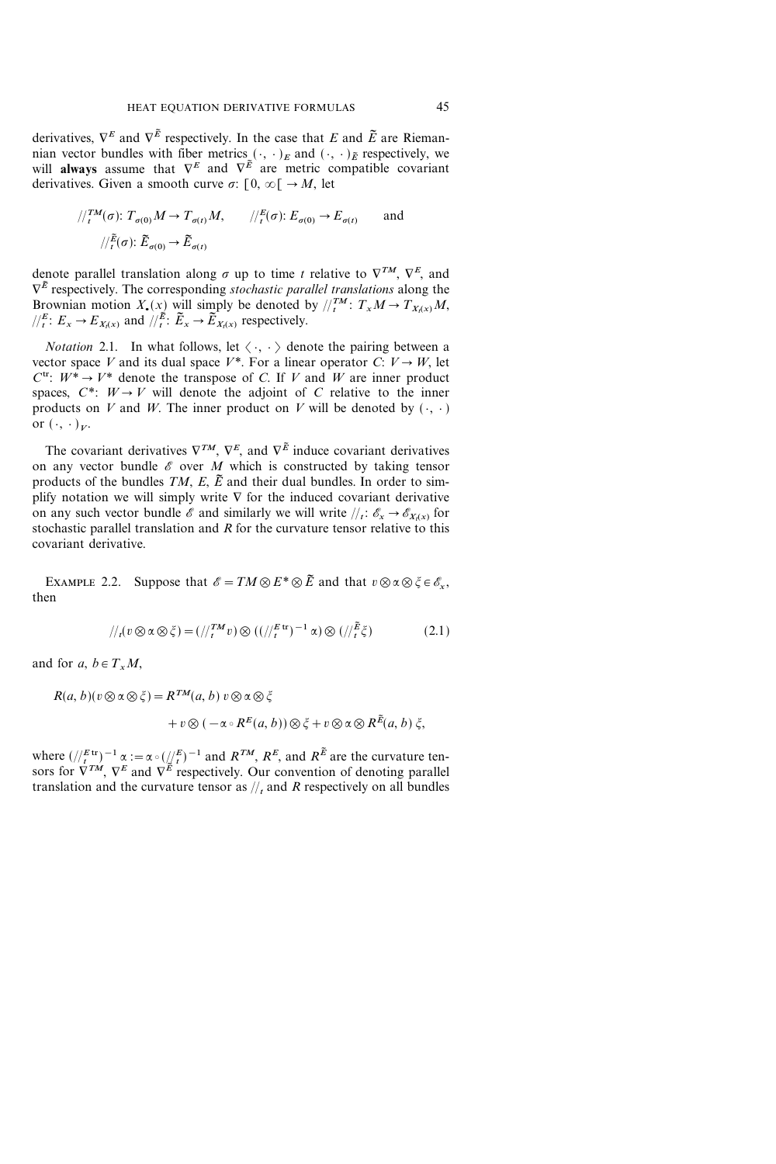derivatives,  $\nabla^E$  and  $\nabla^{\tilde{E}}$  respectively. In the case that E and  $\tilde{E}$  are Riemannian vector bundles with fiber metrics  $(\cdot, \cdot)_E$  and  $(\cdot, \cdot)_E$  respectively, we will always assume that  $\nabla^E$  and  $\nabla^{\tilde{E}}$  are metric compatible covariant derivatives. Given a smooth curve  $\sigma: [0, \infty) \rightarrow M$ , let

$$
\frac{1}{\pi} \int_{t}^{TM}(\sigma) \colon T_{\sigma(0)}M \to T_{\sigma(t)}M, \qquad \frac{1}{\pi} \int_{t}^{E}(\sigma) \colon E_{\sigma(0)} \to E_{\sigma(t)} \qquad \text{and}
$$

$$
\frac{1}{\pi} \int_{t}^{E}(\sigma) \colon \widetilde{E}_{\sigma(0)} \to \widetilde{E}_{\sigma(t)}
$$

denote parallel translation along  $\sigma$  up to time t relative to  $\nabla^{TM}$ ,  $\nabla^{E}$ , and  $\nabla^{\tilde{E}}$  respectively. The corresponding *stochastic parallel translations* along the Brownian motion  $X_{\bullet}(x)$  will simply be denoted by  $/\binom{TM}{t}$ :  $T_xM \to T_{X_t(x)}M$ ,  $\sqrt{\frac{E}{t}}$ :  $E_x \rightarrow E_{X_t(x)}$  and  $\sqrt{\frac{E}{t}}$ :  $\widetilde{E}_x \rightarrow \widetilde{E}_{X_t(x)}$  respectively.

*Notation* 2.1. In what follows, let  $\langle \cdot, \cdot \rangle$  denote the pairing between a vector space V and its dual space  $V^*$ . For a linear operator C:  $V \rightarrow W$ , let  $C^{tr}$ :  $W^* \rightarrow V^*$  denote the transpose of C. If V and W are inner product spaces,  $C^*$ :  $W \rightarrow V$  will denote the adjoint of C relative to the inner products on V and W. The inner product on V will be denoted by  $( \cdot, \cdot )$ or  $({\cdot}, {\cdot})_{V}$ .

The covariant derivatives  $\nabla^{TM}$ ,  $\nabla^{E}$ , and  $\nabla^{\tilde{E}}$  induce covariant derivatives on any vector bundle  $\mathscr E$  over  $M$  which is constructed by taking tensor products of the bundles  $TM$ ,  $E$ ,  $\tilde{E}$  and their dual bundles. In order to simplify notation we will simply write  $\nabla$  for the induced covariant derivative on any such vector bundle  $\mathscr E$  and similarly we will write  $\frac{f}{f}: \mathscr E_x \to \mathscr E_{X_t(x)}$  for stochastic parallel translation and  $R$  for the curvature tensor relative to this covariant derivative.

EXAMPLE 2.2. Suppose that  $\mathscr{E}=TM\otimes E^*\otimes \tilde{E}$  and that  $v\otimes \alpha\otimes \xi\in \mathscr{E}_x$ , then

$$
\frac{1}{t}(v \otimes \alpha \otimes \xi) = \left(\frac{1}{t}^{TM}v\right) \otimes \left(\frac{1}{t}^{E \text{ tr}}\right)^{-1} \alpha \otimes \left(\frac{1}{t} \xi\right) \tag{2.1}
$$

and for a,  $b \in T_xM$ ,

$$
R(a, b)(v \otimes \alpha \otimes \xi) = R^{TM}(a, b) v \otimes \alpha \otimes \xi
$$
  
+  $v \otimes (-\alpha \circ R^{E}(a, b)) \otimes \xi + v \otimes \alpha \otimes R^{\tilde{E}}(a, b) \xi,$ 

where  $\left(\frac{E}{t}\right)^{-1} \alpha := \alpha \circ \left(\frac{1}{2} \right)^{-1}$  and  $R^{TM}$ ,  $R^{E}$ , and  $R^{E}$  are the curvature tensors for  $\bar{\nabla}^{TM}$ ,  $\nabla^E$  and  $\nabla^{\tilde{E}}$  respectively. Our convention of denoting parallel translation and the curvature tensor as  $\frac{1}{t}$  and R respectively on all bundles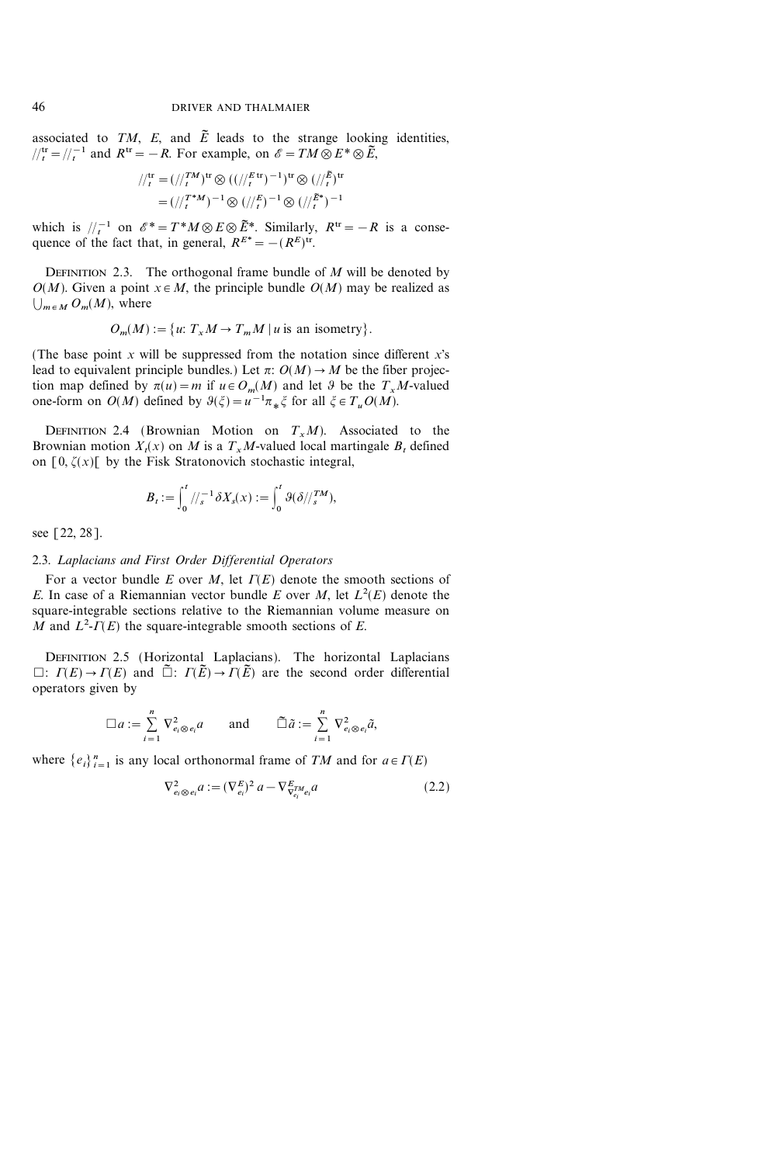associated to TM, E, and  $\tilde{E}$  leads to the strange looking identities,  $t_l^{tr} = t_l^{-1}$  and  $R^{tr} = -R$ . For example, on  $\mathscr{E} = TM \otimes E^* \otimes \widetilde{E}$ ,

$$
/\!/_{t}^{\text{tr}} = (/\!/_{t}^{\text{TM}})^{\text{tr}} \otimes ((/\!/_{t}^{E \text{ tr}})^{-1})^{\text{tr}} \otimes (/\!/_{t}^{\tilde{E}})^{\text{tr}}
$$

$$
= (\!/_{t}^{\text{TM}})^{-1} \otimes (/\!/_{t}^{E})^{-1} \otimes (/\!/_{t}^{\tilde{E}^{*}})^{-1}
$$

which is  $\ell_t^{-1}$  on  $\mathscr{E}^* = T^*M \otimes E \otimes \tilde{E}^*$ . Similarly,  $R^{\text{tr}} = -R$  is a consequence of the fact that, in general,  $R^{E^*} = -(R^E)^{tr}$ .

DEFINITION 2.3. The orthogonal frame bundle of  $M$  will be denoted by  $O(M)$ . Given a point  $x \in M$ , the principle bundle  $O(M)$  may be realized as  $\bigcup_{m \in M} O_m(M)$ , where

$$
O_m(M) := \{ u: T_x M \to T_m M \mid u \text{ is an isometry} \}.
$$

(The base point  $x$  will be suppressed from the notation since different  $x$ 's lead to equivalent principle bundles.) Let  $\pi$ :  $O(M) \rightarrow M$  be the fiber projection map defined by  $\pi(u)=m$  if  $u \in O_m(M)$  and let  $\vartheta$  be the  $T_xM$ -valued one-form on  $O(M)$  defined by  $\vartheta(\xi) = u^{-1}\pi_*\xi$  for all  $\xi \in T_uO(M)$ .

DEFINITION 2.4 (Brownian Motion on  $T_xM$ ). Associated to the Brownian motion  $X_t(x)$  on M is a  $T_xM$ -valued local martingale  $B_t$  defined on  $[0, \zeta(x)]$  by the Fisk Stratonovich stochastic integral,

$$
B_t := \int_0^t \frac{1}{s} \delta X_s(x) := \int_0^t \vartheta(\delta/\frac{TM}{s}),
$$

see [22, 28].

#### 2.3. Laplacians and First Order Differential Operators

For a vector bundle E over M, let  $\Gamma(E)$  denote the smooth sections of E. In case of a Riemannian vector bundle E over M, let  $L^2(E)$  denote the square-integrable sections relative to the Riemannian volume measure on M and  $L^2$ - $\Gamma(E)$  the square-integrable smooth sections of E.

DEFINITION 2.5 (Horizontal Laplacians). The horizontal Laplacians  $\Box: \Gamma(E) \to \Gamma(E)$  and  $\tilde{\Box}: \Gamma(\tilde{E}) \to \Gamma(\tilde{E})$  are the second order differential operators given by

$$
\Box a := \sum_{i=1}^n \nabla_{e_i \otimes e_i}^2 a \quad \text{and} \quad \widetilde{\Box} \widetilde{a} := \sum_{i=1}^n \nabla_{e_i \otimes e_i}^2 \widetilde{a},
$$

where  $\{e_i\}_{i=1}^n$  is any local orthonormal frame of TM and for  $a \in \Gamma(E)$ 

$$
\nabla_{e_i \otimes e_i}^2 a := (\nabla_{e_i}^E)^2 a - \nabla_{\nabla_{e_i}^F e_i}^E a
$$
\n(2.2)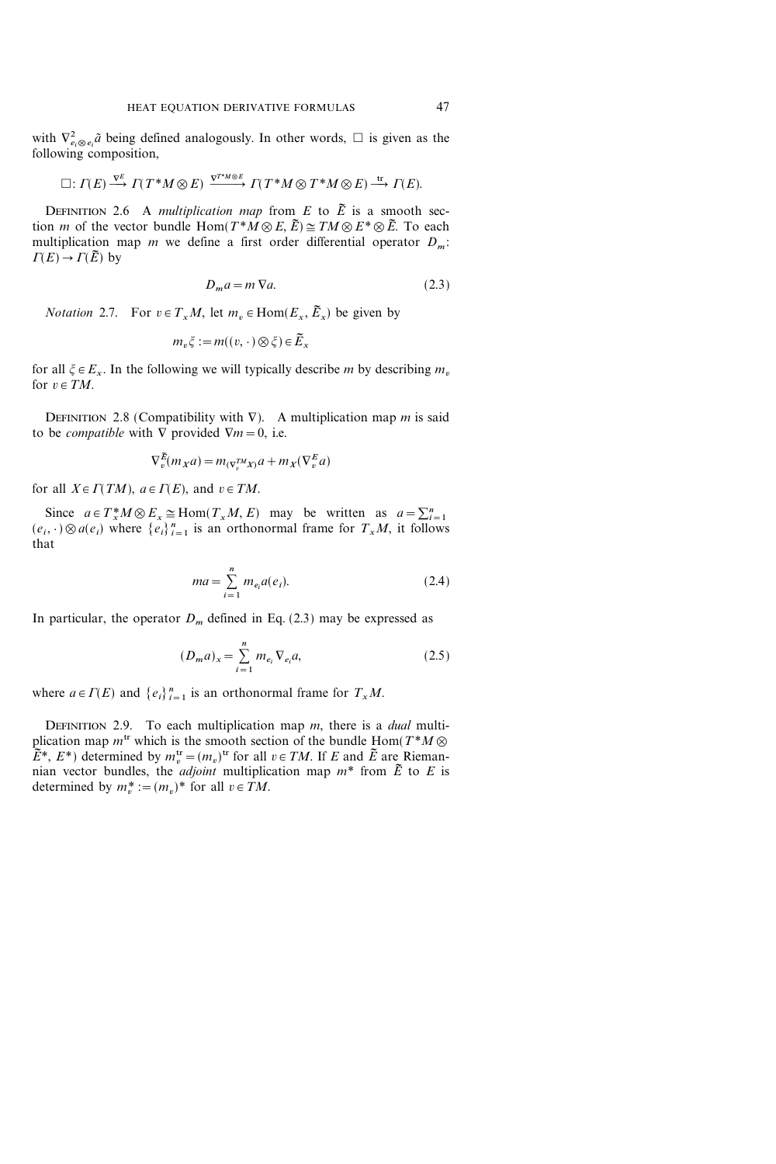with  $\nabla^2_{e_i \otimes e_i} \tilde{a}$  being defined analogously. In other words,  $\Box$  is given as the following composition,

$$
\Box\colon \varGamma(E)\stackrel{\nabla^E}{\longrightarrow}\varGamma(T^\ast M\otimes E)\xrightarrow{\nabla^{T^\ast M\otimes E}}\varGamma(T^\ast M\otimes T^\ast M\otimes E)\stackrel{\operatorname{tr}}{\longrightarrow}\varGamma(E).
$$

DEFINITION 2.6 A multiplication map from E to  $\tilde{E}$  is a smooth section *m* of the vector bundle Hom $(T^*M\otimes E, \tilde{E}) \cong TM \otimes E^* \otimes \tilde{E}$ . To each multiplication map m we define a first order differential operator  $D_m$ .  $\Gamma(E) \to \Gamma(\tilde{E})$  by

$$
D_m a = m \nabla a. \tag{2.3}
$$

*Notation* 2.7. For  $v \in T_xM$ , let  $m_v \in \text{Hom}(E_x, \tilde{E}_x)$  be given by

$$
m_v \xi := m((v, \cdot) \otimes \xi) \in \tilde{E}_x
$$

for all  $\xi \in E_x$ . In the following we will typically describe m by describing  $m_v$ for  $v \in TM$ .

DEFINITION 2.8 (Compatibility with  $\nabla$ ). A multiplication map m is said to be *compatible* with  $\nabla$  provided  $\nabla m = 0$ , i.e.

$$
\nabla_v^{\widetilde{E}}(m_X a) = m_{(\nabla_v^{TM} X)} a + m_X(\nabla_v^{E} a)
$$

for all  $X \in \Gamma(TM)$ ,  $a \in \Gamma(E)$ , and  $v \in TM$ .

Since  $a \in T^*_x M \otimes E_x \cong \text{Hom}(T_x M, E)$  may be written as  $a = \sum_{i=1}^n$  $(e_i, \cdot) \otimes a(e_i)$  where  $\{e_i\}_{i=1}^n$  is an orthonormal frame for  $T_xM$ , it follows that

$$
ma = \sum_{i=1}^{n} m_{e_i} a(e_i).
$$
 (2.4)

In particular, the operator  $D_m$  defined in Eq. (2.3) may be expressed as

$$
(D_m a)_x = \sum_{i=1}^n m_{e_i} \nabla_{e_i} a,\tag{2.5}
$$

where  $a \in \Gamma(E)$  and  $\{e_i\}_{i=1}^n$  is an orthonormal frame for  $T_xM$ .

DEFINITION 2.9. To each multiplication map  $m$ , there is a *dual* multiplication map  $m^{\text{tr}}$  which is the smooth section of the bundle Hom( $T^*M \otimes$  $\tilde{E}^*, E^*$ ) determined by  $m_v^{\text{tr}} = (m_v)^{\text{tr}}$  for all  $v \in TM$ . If E and  $\tilde{E}$  are Riemannian vector bundles, the *adjoint* multiplication map  $m^*$  from  $\tilde{E}$  to  $E$  is determined by  $m_v^* := (m_v)^*$  for all  $v \in TM$ .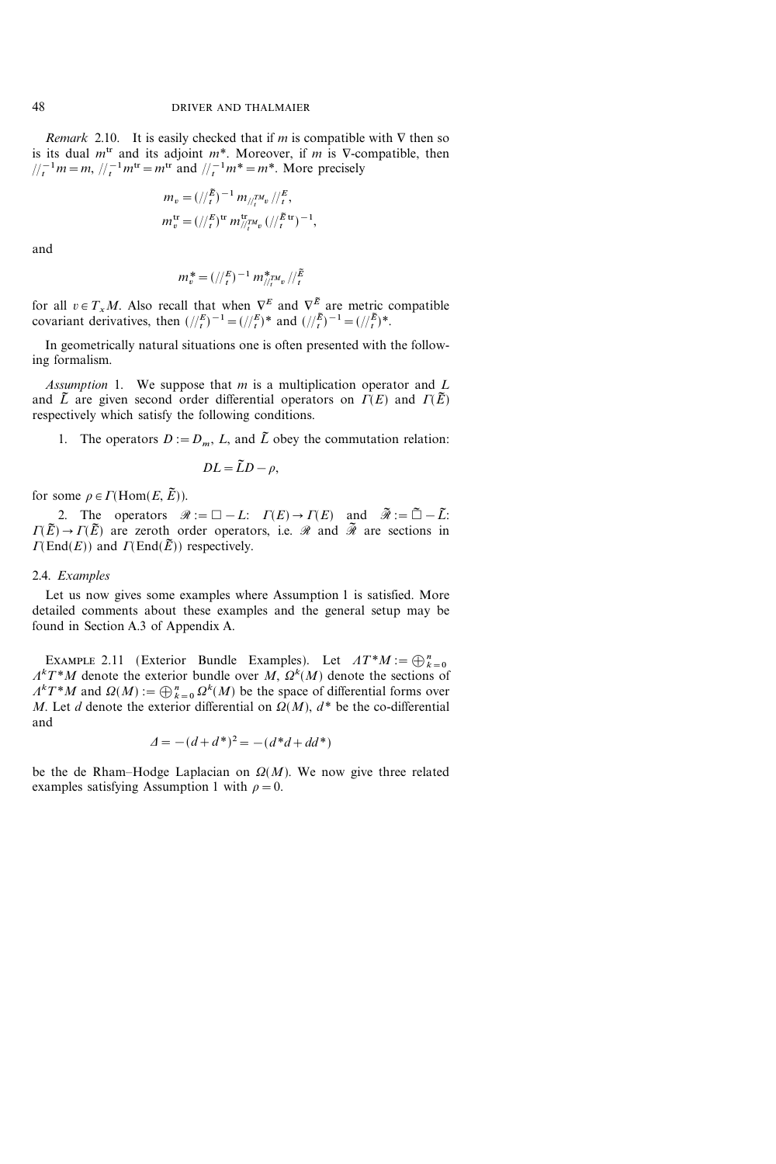*Remark* 2.10. It is easily checked that if *m* is compatible with  $\nabla$  then so is its dual  $m<sup>tr</sup>$  and its adjoint  $m<sup>*</sup>$ . Moreover, if m is V-compatible, then  $\frac{1}{t} \binom{-1}{t} m = m, \frac{1}{t} \binom{-1}{t} m^{\text{tr}} = m^{\text{tr}}$  and  $\frac{1}{t} \binom{-1}{t} m^* = m^*$ . More precisely

$$
m_v = (t/\bar{E})^{-1} m_{t/\bar{E}} m_v / (E/\bar{E})
$$
  

$$
m_v^{\text{tr}} = (t/\bar{E})^{\text{tr}} m_{t/\bar{E}}^{\text{tr}} m_v / (t/\bar{E})^{-1},
$$

and

$$
m_v^* = (t/\epsilon)^{-1} m_{t/\epsilon}^* m_v / t^{\tilde{E}}
$$

for all  $v \in T_xM$ . Also recall that when  $\nabla^E$  and  $\nabla^{\tilde{E}}$  are metric compatible covariant derivatives, then  $\left(\frac{E}{t}\right)^{-1} = \left(\frac{E}{t}\right)^*$  and  $\left(\frac{E}{t}\right)^{-1} = \left(\frac{E}{t}\right)^*$ .

In geometrically natural situations one is often presented with the following formalism.

Assumption 1. We suppose that  $m$  is a multiplication operator and  $L$ and  $\tilde{L}$  are given second order differential operators on  $\Gamma(E)$  and  $\Gamma(\tilde{E})$ respectively which satisfy the following conditions.

1. The operators  $D := D_m$ , L, and  $\tilde{L}$  obey the commutation relation:

$$
DL = \tilde{L}D - \rho,
$$

for some  $\rho \in \Gamma(\text{Hom}(E, \tilde{E}))$ .

2. The operators  $\mathcal{R} := \square - L: \Gamma(E) \to \Gamma(E)$  and  $\tilde{\mathcal{R}} := \tilde{\square} - \tilde{L}:$  $\Gamma(\tilde{E}) \to \Gamma(\tilde{E})$  are zeroth order operators, i.e.  $\mathcal{R}$  and  $\tilde{\mathcal{R}}$  are sections in  $\Gamma(\text{End}(E))$  and  $\Gamma(\text{End}(\tilde{E}))$  respectively.

#### 2.4. Examples

Let us now gives some examples where Assumption 1 is satisfied. More detailed comments about these examples and the general setup may be found in Section A.3 of Appendix A.

EXAMPLE 2.11 (Exterior Bundle Examples). Let  $AT^*M := \bigoplus_{k=0}^n$  $A<sup>k</sup>T<sup>*</sup>M$  denote the exterior bundle over M,  $\Omega<sup>k</sup>(M)$  denote the sections of  $A<sup>k</sup>T<sup>*</sup>M$  and  $\Omega(M) := \bigoplus_{k=0}^{n} \Omega<sup>k</sup>(M)$  be the space of differential forms over M. Let d denote the exterior differential on  $\Omega(M)$ ,  $d^*$  be the co-differential and

$$
\Delta = -(d + d^*)^2 = -(d^*d + dd^*)
$$

be the de Rham-Hodge Laplacian on  $\Omega(M)$ . We now give three related examples satisfying Assumption 1 with  $\rho=0$ .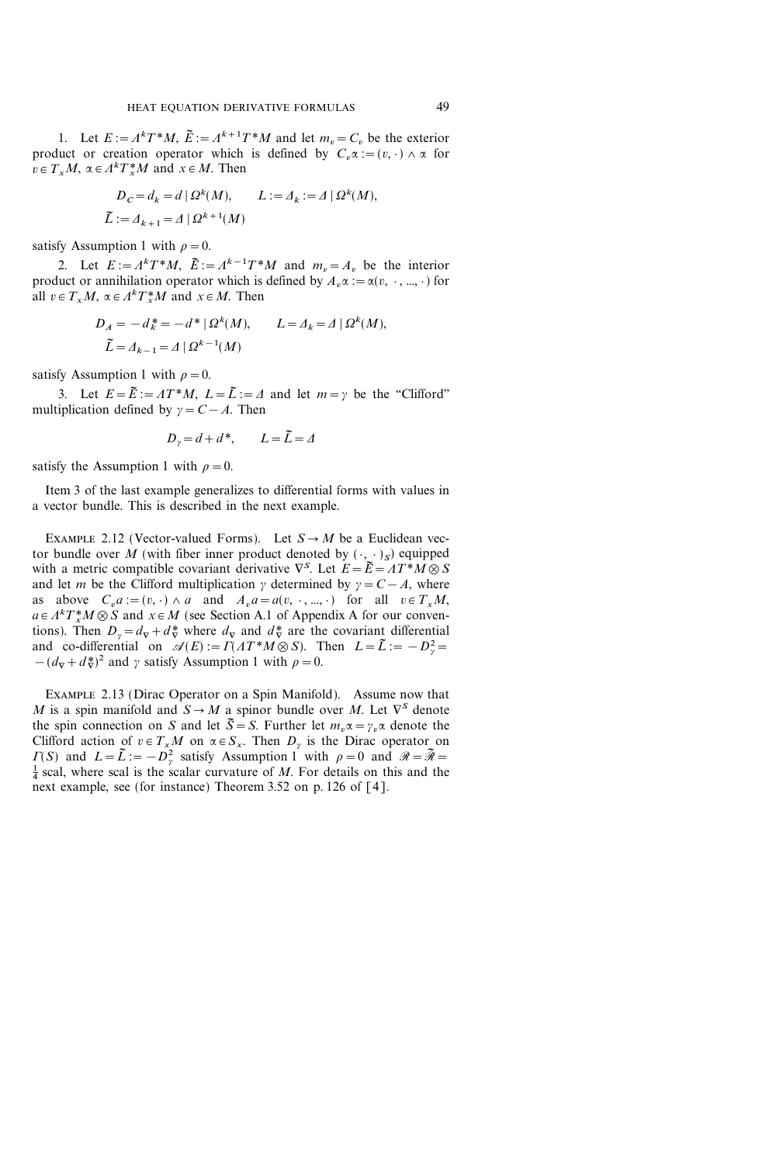1. Let  $E := \Lambda^k T^* M$ ,  $\tilde{E} := \Lambda^{k+1} T^* M$  and let  $m_v = C_v$  be the exterior product or creation operator which is defined by  $C_v \alpha := (v, \cdot) \wedge \alpha$  for  $v \in T_xM$ ,  $\alpha \in \Lambda^k T_x^*M$  and  $x \in M$ . Then

$$
D_C = d_k = d | \Omega^k(M), \qquad L := \Delta_k := \Delta | \Omega^k(M),
$$
  

$$
\tilde{L} := \Delta_{k+1} = \Delta | \Omega^{k+1}(M)
$$

satisfy Assumption 1 with  $\rho=0$ .

2. Let  $E := A^k T^* M$ ,  $\tilde{E} := A^{k-1} T^* M$  and  $m_v = A_v$  be the interior product or annihilation operator which is defined by  $A_n \alpha := \alpha(v, \cdot, ..., \cdot)$  for all  $v \in T_xM$ ,  $\alpha \in \Lambda^k T_x^*M$  and  $x \in M$ . Then

$$
D_A = -d_k^* = -d^* | \Omega^k(M), \qquad L = \Delta_k = \Delta | \Omega^k(M),
$$
  

$$
\tilde{L} = \Delta_{k-1} = \Delta | \Omega^{k-1}(M)
$$

satisfy Assumption 1 with  $\rho=0$ .

3. Let  $E = \tilde{E} := AT^*M$ ,  $L = \tilde{L} := \Delta$  and let  $m = \gamma$  be the "Clifford" multiplication defined by  $y = C - A$ . Then

$$
D_{\gamma} = d + d^*, \qquad L = \tilde{L} = \Delta
$$

satisfy the Assumption 1 with  $\rho=0$ .

Item 3 of the last example generalizes to differential forms with values in a vector bundle. This is described in the next example.

EXAMPLE 2.12 (Vector-valued Forms). Let  $S \rightarrow M$  be a Euclidean vector bundle over M (with fiber inner product denoted by  $(\cdot, \cdot)_S$ ) equipped with a metric compatible covariant derivative  $\nabla^S$ . Let  $E = \tilde{E} = A T^* M \otimes S$ and let m be the Clifford multiplication  $\gamma$  determined by  $\gamma = C - A$ , where as above  $C_n a := (v, \cdot) \wedge a$  and  $A_n a = a(v, \cdot, ..., \cdot)$  for all  $v \in T_xM$ ,  $a \in A^{k}T_{x}^{*}M \otimes S$  and  $x \in M$  (see Section A.1 of Appendix A for our conventions). Then  $D_{\gamma} = d_{\nabla} + d_{\nabla}^*$  where  $d_{\nabla}$  and  $d_{\nabla}^*$  are the covariant differential and co-differential on  $\mathscr{A}(E) := \Gamma(AT^*M \otimes S)$ . Then  $L = \tilde{L} := -D_\gamma^2 =$  $-(d_{\nabla}+d_{\nabla}^*)^2$  and  $\gamma$  satisfy Assumption 1 with  $\rho=0$ .

Example 2.13 (Dirac Operator on a Spin Manifold). Assume now that M is a spin manifold and  $S \rightarrow M$  a spinor bundle over M. Let  $\nabla^S$  denote the spin connection on S and let  $\tilde{S} = S$ . Further let  $m_n \alpha = \gamma_n \alpha$  denote the Clifford action of  $v \in T_xM$  on  $\alpha \in S_x$ . Then  $D_y$  is the Dirac operator on  $\Gamma(S)$  and  $L = \tilde{L} := -D_{\gamma}^{2}$  satisfy Assumption 1 with  $\rho = 0$  and  $\mathcal{R} = \tilde{\mathcal{R}} = \frac{1}{2}$  scal where scal is the scalar curvature of M. For details on this and the  $\frac{1}{4}$  scal, where scal is the scalar curvature of M. For details on this and the next example, see (for instance) Theorem 3.52 on p. 126 of [4].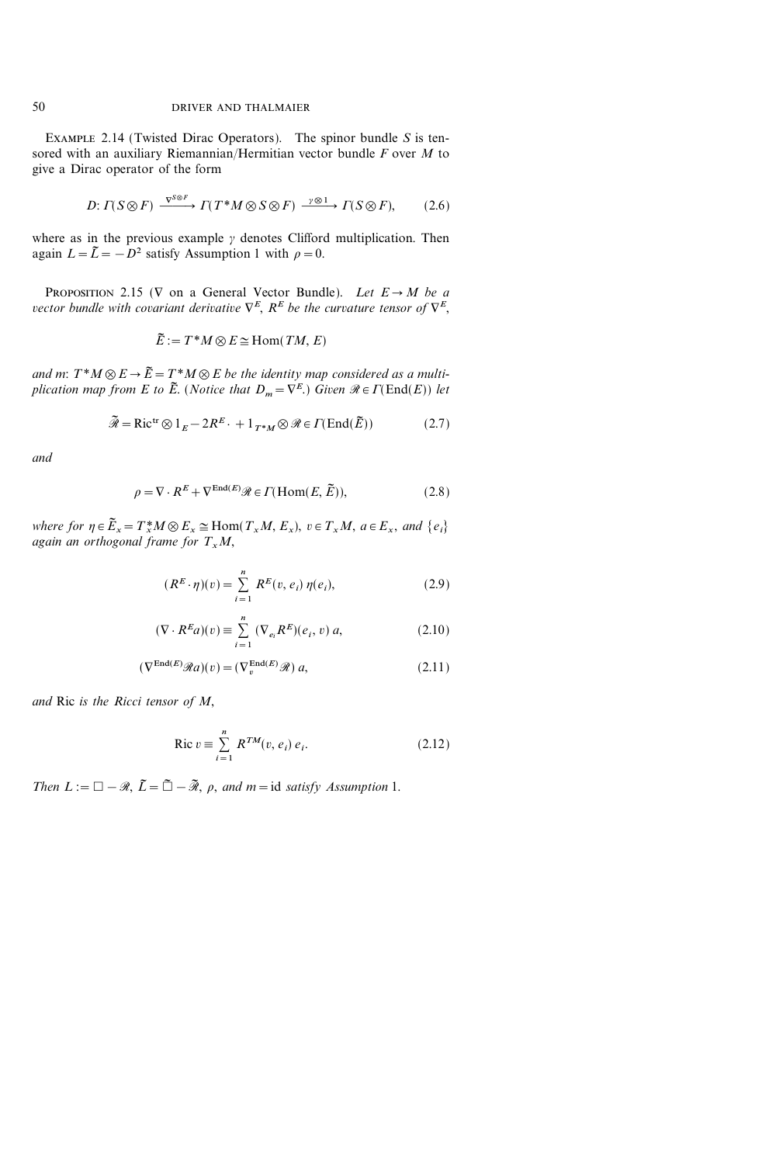EXAMPLE 2.14 (Twisted Dirac Operators). The spinor bundle  $S$  is tensored with an auxiliary Riemannian/Hermitian vector bundle  $F$  over  $M$  to give a Dirac operator of the form

$$
D: \Gamma(S \otimes F) \xrightarrow{\nabla^{S \otimes F}} \Gamma(T^*M \otimes S \otimes F) \xrightarrow{\gamma \otimes 1} \Gamma(S \otimes F), \tag{2.6}
$$

where as in the previous example  $\gamma$  denotes Clifford multiplication. Then again  $L=\tilde{L}=-D^2$  satisfy Assumption 1 with  $\rho=0$ .

PROPOSITION 2.15 ( $\nabla$  on a General Vector Bundle). Let  $E \rightarrow M$  be a vector bundle with covariant derivative  $\nabla^{E}$ ,  $R^{E}$  be the curvature tensor of  $\nabla^{E}$ ,

$$
\tilde{E} := T^*M \otimes E \cong \text{Hom}(TM, E)
$$

and m:  $T^*M \otimes E \rightarrow \tilde{E} = T^*M \otimes E$  be the identity map considered as a multiplication map from E to  $\tilde{E}$ . (Notice that  $D_m={\nabla}^E$ .) Given  $\mathcal{R} \in \Gamma(\text{End}(E))$  let

$$
\widetilde{\mathcal{R}} = \text{Ric}^{\text{tr}} \otimes 1_E - 2R^E \cdot + 1_{T^*M} \otimes \mathcal{R} \in \Gamma(\text{End}(\widetilde{E}))
$$
\n(2.7)

and

$$
\rho = \nabla \cdot R^E + \nabla^{\text{End}(E)} \mathcal{R} \in \Gamma(\text{Hom}(E, \tilde{E})),\tag{2.8}
$$

where for  $\eta \in \widetilde{E}_x = T_x^*M \otimes E_x \cong \text{Hom}(T_xM, E_x), v \in T_xM, a \in E_x$ , and  $\{e_i\}$ again an orthogonal frame for  $T_xM$ ,

$$
(R^{E} \cdot \eta)(v) = \sum_{i=1}^{n} R^{E}(v, e_i) \eta(e_i),
$$
 (2.9)

$$
(\nabla \cdot R^E a)(v) \equiv \sum_{i=1}^n (\nabla_{e_i} R^E)(e_i, v) a,
$$
\n(2.10)

$$
(\nabla^{\text{End}(E)} \mathcal{R}a)(v) = (\nabla_v^{\text{End}(E)} \mathcal{R}) a,
$$
\n(2.11)

and Ric is the Ricci tensor of M,

$$
\text{Ric } v \equiv \sum_{i=1}^{n} R^{TM}(v, e_i) e_i. \tag{2.12}
$$

Then  $L := \Box - \mathcal{R}, \, \tilde{L} = \tilde{\Box} - \tilde{\mathcal{R}}, \, \rho, \, \text{and} \, m = id \, \text{ satisfy Assumption 1.}$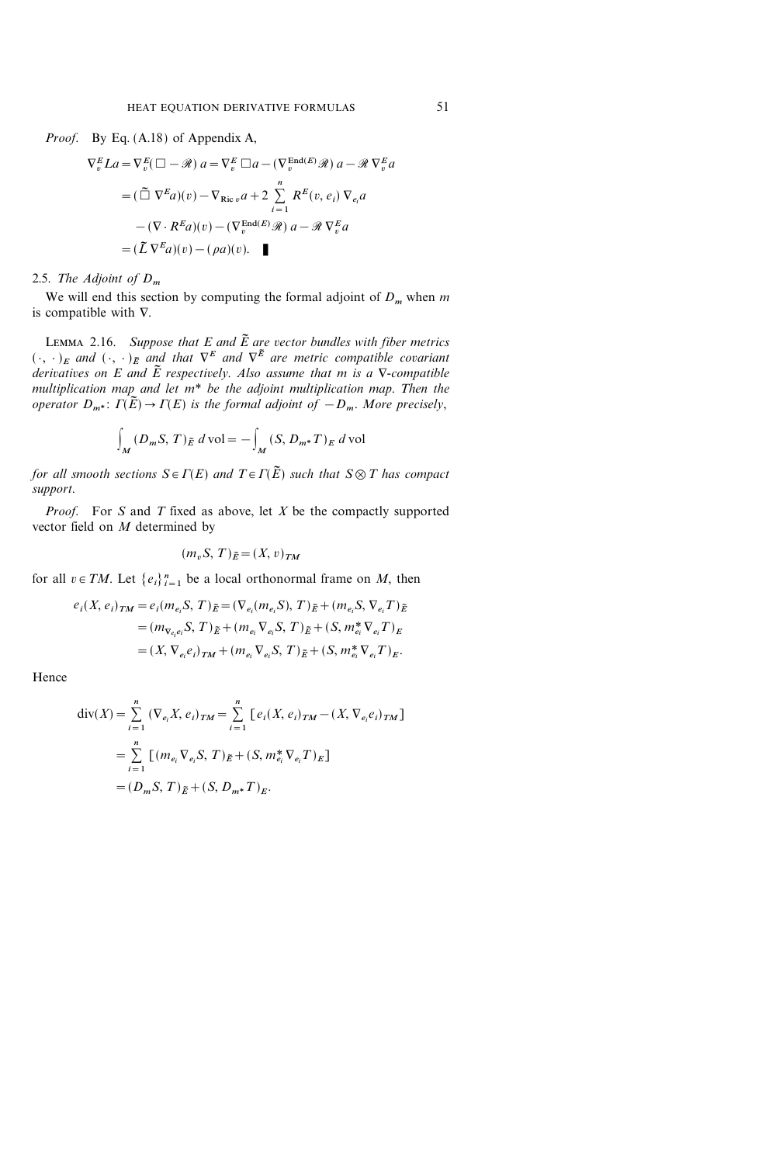*Proof.* By Eq. 
$$
(A.18)
$$
 of Appendix A,

$$
\nabla_v^E La = \nabla_v^E (\Box - \mathcal{R}) a = \nabla_v^E \Box a - (\nabla_v^{\text{End}(E)} \mathcal{R}) a - \mathcal{R} \nabla_v^E a
$$
  
=\n
$$
(\tilde{\Box} \nabla^E a)(v) - \nabla_{\text{Ric }v} a + 2 \sum_{i=1}^n R^E(v, e_i) \nabla_{e_i} a
$$
  
\n
$$
-(\nabla \cdot R^E a)(v) - (\nabla_v^{\text{End}(E)} \mathcal{R}) a - \mathcal{R} \nabla_v^E a
$$
  
=\n
$$
(\tilde{L} \nabla^E a)(v) - (\rho a)(v).
$$

#### 2.5. The Adjoint of  $D_m$

We will end this section by computing the formal adjoint of  $D_m$  when m is compatible with  $\nabla$ .

LEMMA 2.16. Suppose that E and  $\tilde{E}$  are vector bundles with fiber metrics  $({\,\cdot\,},{\,\cdot\,})_E$  and  $({\,\cdot\,},{\,\cdot\,})_E$  and that  $\nabla^E$  and  $\nabla^{\tilde{E}}$  are metric compatible covariant derivatives on E and  $\tilde{E}$  respectively. Also assume that m is a  $\nabla$ -compatible multiplication map and let  $m^*$  be the adjoint multiplication map. Then the operator  $D_{m^*}: \Gamma(\tilde{E}) \to \Gamma(E)$  is the formal adjoint of  $-D_m$ . More precisely,

$$
\int_M (D_m S, T)_{\tilde{E}} d\text{vol} = - \int_M (S, D_{m^*} T)_E d\text{vol}
$$

for all smooth sections  $S \in \Gamma(E)$  and  $T \in \Gamma(\tilde{E})$  such that  $S \otimes T$  has compact support.

*Proof.* For S and T fixed as above, let  $X$  be the compactly supported vector field on M determined by

$$
(m_v S, T)_{\tilde{E}} = (X, v)_{TM}
$$

for all  $v \in TM$ . Let  $\{e_i\}_{i=1}^n$  be a local orthonormal frame on M, then

$$
e_i(X, e_i)_{TM} = e_i(m_{e_i}S, T)_{\tilde{E}} = (\nabla_{e_i}(m_{e_i}S), T)_{\tilde{E}} + (m_{e_i}S, \nabla_{e_i}T)_{\tilde{E}}
$$
  
=  $(m_{\nabla_{e_i}e_i}S, T)_{\tilde{E}} + (m_{e_i} \nabla_{e_i}S, T)_{\tilde{E}} + (S, m_{e_i}^* \nabla_{e_i}T)_{E}$   
=  $(X, \nabla_{e_i}e_i)_{TM} + (m_{e_i} \nabla_{e_i}S, T)_{\tilde{E}} + (S, m_{e_i}^* \nabla_{e_i}T)_{E}.$ 

Hence

$$
\text{div}(X) = \sum_{i=1}^{n} (\nabla_{e_i} X, e_i)_{TM} = \sum_{i=1}^{n} [e_i(X, e_i)_{TM} - (X, \nabla_{e_i} e_i)_{TM}]
$$
  
= 
$$
\sum_{i=1}^{n} [(m_{e_i} \nabla_{e_i} S, T)_{\tilde{E}} + (S, m_{e_i}^* \nabla_{e_i} T)_{E}]
$$
  
= 
$$
(D_m S, T)_{\tilde{E}} + (S, D_{m^*} T)_{E}.
$$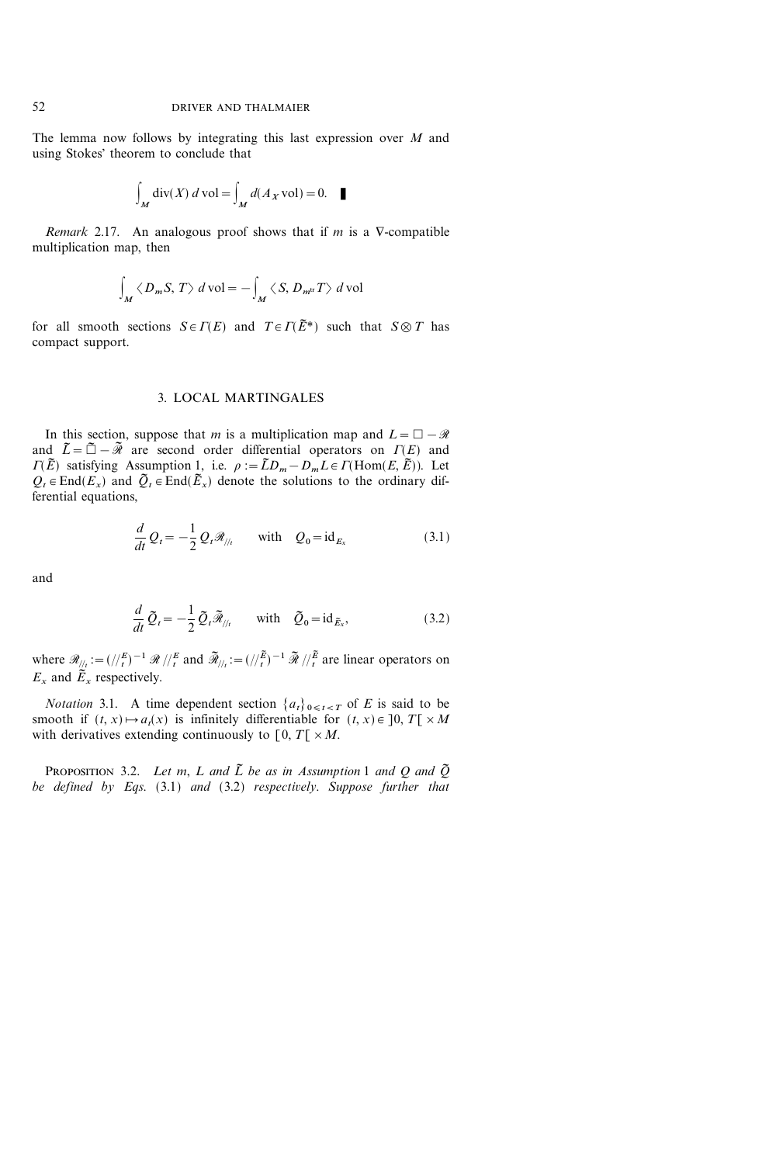The lemma now follows by integrating this last expression over  $M$  and using Stokes' theorem to conclude that

$$
\int_M \operatorname{div}(X) \, d\operatorname{vol} = \int_M d(A_X \operatorname{vol}) = 0. \quad \blacksquare
$$

Remark 2.17. An analogous proof shows that if  $m$  is a  $\nabla$ -compatible multiplication map, then

$$
\int_M \langle D_m S, T \rangle \, d\text{ vol} = - \int_M \langle S, D_{m^{\text{tr}}} T \rangle \, d\text{ vol}
$$

for all smooth sections  $S \in \Gamma(E)$  and  $T \in \Gamma(\tilde{E}^*)$  such that  $S \otimes T$  has compact support.

## 3. LOCAL MARTINGALES

In this section, suppose that m is a multiplication map and  $L=\Box-\mathcal{R}$ and  $\tilde{L}=\tilde{\Box}-\tilde{\mathcal{R}}$  are second order differential operators on  $\Gamma(E)$  and  $\overline{I(E)}$  satisfying Assumption 1, i.e.  $\rho := \widetilde{L}D_m - D_mL \in \Gamma(\text{Hom}(E, \widetilde{E}))$ . Let  $Q_t \in \text{End}(E_x)$  and  $\tilde{Q}_t \in \text{End}(\tilde{E}_x)$  denote the solutions to the ordinary differential equations,

$$
\frac{d}{dt}Q_t = -\frac{1}{2}Q_t \mathcal{R}_{\textit{||}_t} \quad \text{with} \quad Q_0 = \text{id}_{E_x}
$$
\n(3.1)

and

$$
\frac{d}{dt}\tilde{Q}_t = -\frac{1}{2}\tilde{Q}_t\tilde{\mathcal{R}}_{/l_t} \quad \text{with} \quad \tilde{Q}_0 = \mathrm{id}_{\tilde{E}_x},\tag{3.2}
$$

where  $\mathscr{R}_{\!/\!/\!_t} := (\frac{1}{t})^{-1} \mathscr{R} / \frac{t}{t}$  and  $\widetilde{\mathscr{R}}_{\!/\!/\!_t} := (\frac{1}{t})^{-1} \mathscr{\widetilde{R}} / \frac{t}{t}$  are linear operators on  $E_x$  and  $\tilde{E}_x$  respectively.

*Notation* 3.1. A time dependent section  $\{a_t\}_{0 \le t < T}$  of E is said to be smooth if  $(t, x) \mapsto a_t(x)$  is infinitely differentiable for  $(t, x) \in ]0, T[ \times M ]$ with derivatives extending continuously to  $[0, T] \times M$ .

PROPOSITION 3.2. Let m, L and  $\tilde{L}$  be as in Assumption 1 and Q and  $\tilde{Q}$ be defined by Eqs. (3.1) and (3.2) respectively. Suppose further that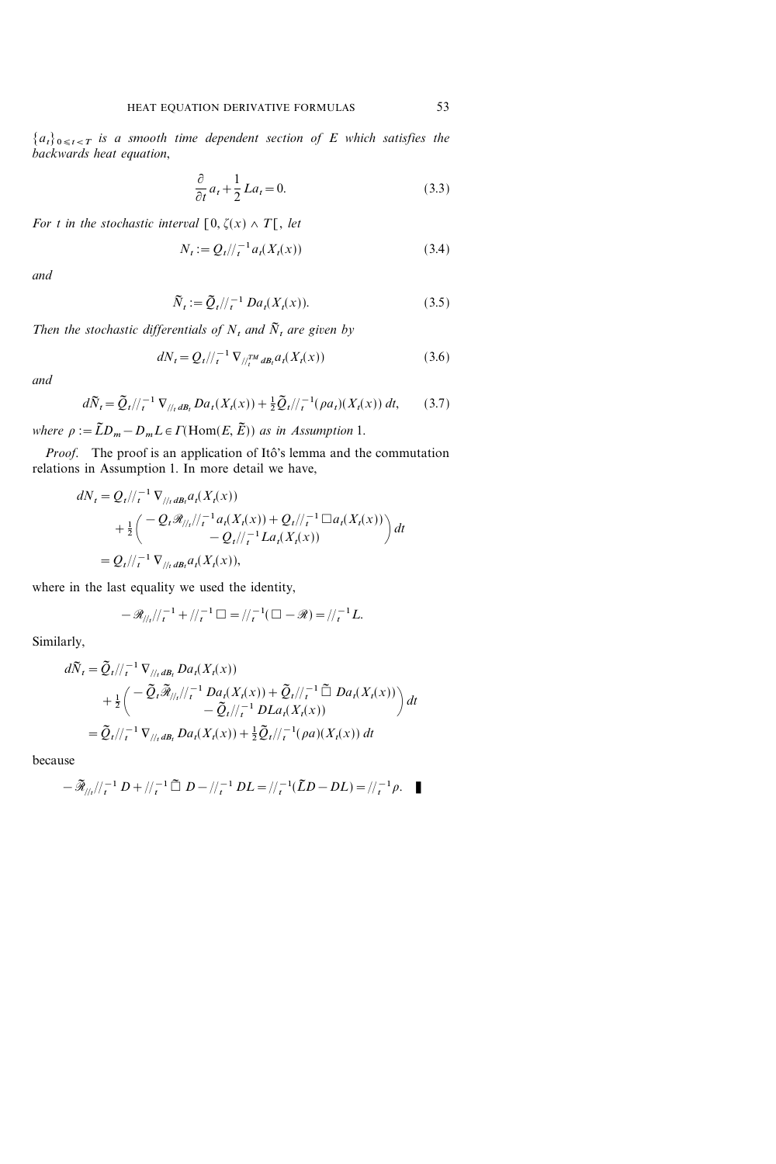${a_t}_{0 \leq t < T}$  is a smooth time dependent section of E which satisfies the backwards heat equation,

$$
\frac{\partial}{\partial t}a_t + \frac{1}{2}La_t = 0.
$$
\n(3.3)

For t in the stochastic interval  $[0, \zeta(x) \wedge T[$ , let

$$
N_t := Q_t / \! /_{t}^{-1} a_t(X_t(x)) \tag{3.4}
$$

and

$$
\widetilde{N}_t := \widetilde{Q}_t / \! /_t^{-1} Da_t(X_t(x)). \tag{3.5}
$$

Then the stochastic differentials of  $N_t$ , and  $\tilde{N}_t$  are given by

$$
dN_t = Q_t / \tbinom{-1}{t} \nabla_{\tbinom{TM}{t}} d_{t} a_t(X_t(x)) \tag{3.6}
$$

and

$$
d\widetilde{N}_t = \widetilde{Q}_t / \! /_{t}^{-1} \nabla_{/ \! /_{t} dB_t} Da_t(X_t(x)) + \frac{1}{2} \widetilde{Q}_t / \! /_{t}^{-1} (\rho a_t)(X_t(x)) dt, \tag{3.7}
$$

where  $\rho := \tilde{L}D_m - D_mL \in \Gamma(\text{Hom}(E, \tilde{E}))$  as in Assumption 1.

Proof. The proof is an application of Itô's lemma and the commutation relations in Assumption 1. In more detail we have,

$$
dN_t = Q_t / \frac{1}{t} \nabla_{\frac{1}{t} dB_t} a_t(X_t(x))
$$
  
+  $\frac{1}{2} \left( \frac{-Q_t \mathcal{R}_{\frac{1}{t} t} - a_t(X_t(x)) + Q_t}{-Q_t / \frac{1}{t} L a_t(X_t(x))} \right) dt$   
=  $Q_t / \frac{1}{t} \nabla_{\frac{1}{t} dB_t} a_t(X_t(x))$ ,

where in the last equality we used the identity,

$$
-\mathscr{R}_{//t}/\!/_{t}^{-1} + \!/_{t}^{-1} \square = \!/_{t}^{-1}(\square - \mathscr{R}) = \!/_{t}^{-1}L.
$$

Similarly,

$$
d\widetilde{N}_t = \widetilde{Q}_t / \frac{1}{t} \nabla_{\frac{1}{t}t} D a_t(X_t(x))
$$
  
+  $\frac{1}{2} \left( \frac{-\widetilde{Q}_t \widetilde{\mathcal{R}}_{\frac{1}{t}t}}{\widetilde{Q}_t / \frac{1}{t} - 1} D a_t(X_t(x)) + \widetilde{Q}_t / \frac{1}{t} - \widetilde{D}_t D a_t(X_t(x)) \right) dt$   
=  $\widetilde{Q}_t / \frac{1}{t} \nabla_{\frac{1}{t}t} D a_t(X_t(x)) + \frac{1}{2} \widetilde{Q}_t / \frac{1}{t} (\rho a)(X_t(x)) dt$ 

because

$$
-\widetilde{\mathcal{R}}_{//t}/\!/_t^{-1}D+//t^{-1}\widetilde{\Box} D-//t^{-1}DL=//t^{-1}(\widetilde{L}D-DL)=/t^{-1}\rho.
$$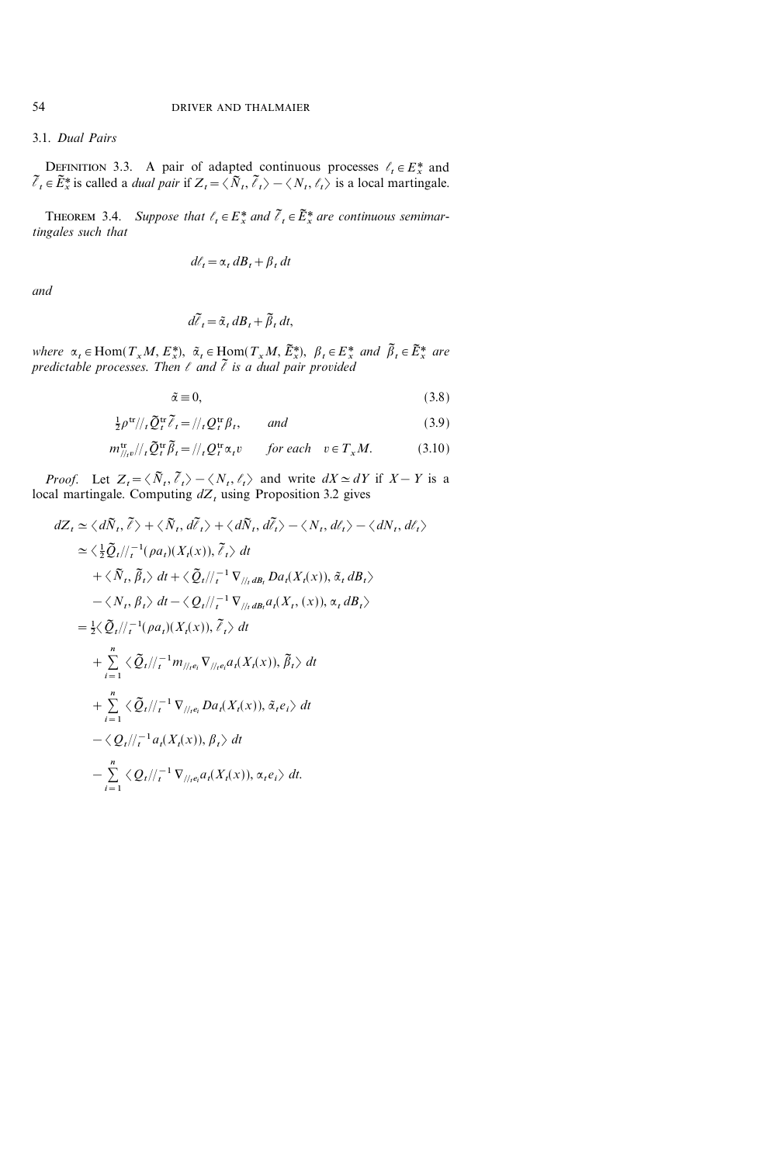# 3.1. Dual Pairs

DEFINITION 3.3. A pair of adapted continuous processes  $\ell_t \in E^*$  and  $\tilde{\ell}_t \in \tilde{E}_x^*$  is called a *dual pair* if  $Z_t = \langle \tilde{N}_t, \tilde{\ell}_t \rangle - \langle N_t, \ell_t \rangle$  is a local martingale.

THEOREM 3.4. Suppose that  $\ell_t \in E^*_x$  and  $\tilde{\ell}_t \in \tilde{E}^*_x$  are continuous semimartingales such that

$$
d\ell_t = \alpha_t dB_t + \beta_t dt
$$

and

$$
d\tilde{t}_t = \tilde{\alpha}_t dB_t + \tilde{\beta}_t dt,
$$

where  $\alpha_t \in \text{Hom}(T_xM, E^*_x), \ \tilde{\alpha}_t \in \text{Hom}(T_xM, \tilde{E}^*_x), \ \beta_t \in E^*_x$  and  $\tilde{\beta}_t \in \tilde{E}^*_x$  are predictable processes. Then  $\ell$  and  $\tilde{\ell}$  is a dual pair provided

$$
\tilde{\alpha} \equiv 0,\tag{3.8}
$$

$$
\frac{1}{2}\rho^{\text{tr}}/\rho_{t}\widetilde{Q}_{t}^{\text{tr}}\widetilde{\ell}_{t} = \frac{1}{\rho_{t}Q_{t}^{\text{tr}}\beta_{t}}, \quad \text{and} \tag{3.9}
$$

$$
m_{//\nu}^{\text{tr}}/l_{t}\tilde{Q}_{t}^{\text{tr}}\tilde{\beta}_{t} = //{}_{t}Q_{t}^{\text{tr}}\alpha_{t}v \qquad \text{for each} \quad v \in T_{x}M. \tag{3.10}
$$

*Proof.* Let  $Z_t = \langle \tilde{N}_t, \tilde{\ell}_t \rangle - \langle N_t, \ell_t \rangle$  and write  $dX \simeq dY$  if  $X - Y$  is a local martingale. Computing  $dZ_t$  using Proposition 3.2 gives

$$
dZ_{t} \simeq \langle d\tilde{N}_{t}, \tilde{\ell}\rangle + \langle \tilde{N}_{t}, d\tilde{\ell}_{t}\rangle + \langle d\tilde{N}_{t}, d\tilde{\ell}_{t}\rangle - \langle N_{t}, d\ell_{t}\rangle - \langle dN_{t}, d\ell_{t}\rangle
$$
  
\n
$$
\simeq \langle \frac{1}{2}\tilde{Q}_{t}/\!/\!/\!^{-1}(\rho a_{t})(X_{t}(x)), \tilde{\ell}_{t}\rangle dt
$$
  
\n
$$
+ \langle \tilde{N}_{t}, \tilde{\beta}_{t}\rangle dt + \langle \tilde{Q}_{t}/\!/\!/\!^{-1} \nabla_{\!/\!/\!_{t}dB_{t}} Da_{t}(X_{t}(x)), \tilde{\alpha}_{t} dB_{t}\rangle
$$
  
\n
$$
- \langle N_{t}, \beta_{t}\rangle dt - \langle Q_{t}/\!/\!/\!^{-1} \nabla_{\!/\!/\!_{t}dB_{t}} a_{t}(X_{t}, (x)), \alpha_{t} dB_{t}\rangle
$$
  
\n
$$
= \frac{1}{2}\langle \tilde{Q}_{t}/\!/\!/\!^{-1}(\rho a_{t})(X_{t}(x)), \tilde{\ell}_{t}\rangle dt
$$
  
\n
$$
+ \sum_{i=1}^{n} \langle \tilde{Q}_{t}/\!/\!/\!^{-1} m_{\!/\!/\!_{t}e_{i}} \nabla_{\!/\!/\!_{t}e_{i}} a_{t}(X_{t}(x)), \tilde{\beta}_{t}\rangle dt
$$
  
\n
$$
- \langle Q_{t}/\!/\!/\!^{-1} \nabla_{\!/\!/\!_{t}e_{i}} Da_{t}(X_{t}(x)), \tilde{\alpha}_{t} e_{t}\rangle dt
$$
  
\n
$$
- \sum_{i=1}^{n} \langle Q_{t}/\!/\!/\!^{-1} \nabla_{\!/\!/\!_{t}e_{i}} a_{t}(X_{t}(x)), \alpha_{t} e_{t}\rangle dt
$$
  
\n
$$
- \sum_{i=1}^{n} \langle Q_{t}/\!/\!/\!^{-1} \nabla_{\!/\!/\!_{t}e_{i}} a_{t}(X_{t}(x)), \alpha_{t} e_{t}\rangle dt.
$$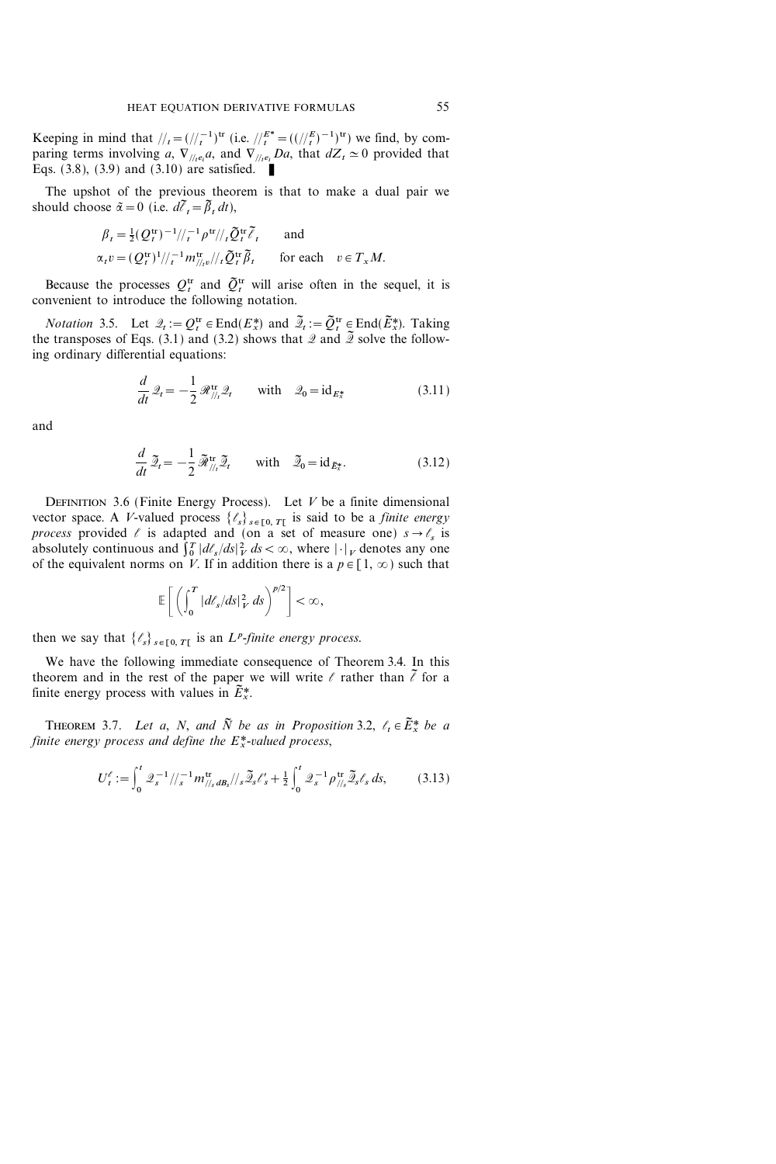Keeping in mind that  $\frac{1}{t} = \frac{(\frac{t-1}{t})^{\text{tr}}}{}$  (i.e.  $\frac{1}{t} = \frac{E^* - (t-1)^{\text{tr}}}{}$ ) we find, by comparing terms involving a,  $\nabla_{\ell_1} e_i$  and  $\nabla_{\ell_1} e_i$  Da, that  $dZ_t \simeq 0$  provided that Eqs. (3.8), (3.9) and (3.10) are satisfied.

The upshot of the previous theorem is that to make a dual pair we should choose  $\tilde{\alpha} = 0$  (i.e.  $d\tilde{\ell}_t = \tilde{\beta}_t dt$ ),

$$
\beta_t = \frac{1}{2} (Q_t^{\text{tr}})^{-1} / \frac{1}{t} \rho^{\text{tr}} / \frac{1}{2} \rho^{\text{tr}} \tilde{\ell}_t \quad \text{and}
$$
  

$$
\alpha_t v = (Q_t^{\text{tr}})^1 / \frac{1}{t} m_{\text{min}}^{\text{tr}} / \frac{1}{2} \tilde{\ell}_t \tilde{\ell}_t \quad \text{for each} \quad v \in T_x M.
$$

Because the processes  $Q_t^{\text{tr}}$  and  $\tilde{Q}_t^{\text{tr}}$  will arise often in the sequel, it is convenient to introduce the following notation.

*Notation* 3.5. Let  $\mathcal{Q}_t := Q_t^{\text{tr}} \in \text{End}(E_x^*)$  and  $\tilde{\mathcal{Q}}_t := \tilde{Q}_t^{\text{tr}} \in \text{End}(\tilde{E}_x^*)$ . Taking the transposes of Eqs. (3.1) and (3.2) shows that  $\mathscr Q$  and  $\widetilde{\mathscr Q}$  solve the following ordinary differential equations:

$$
\frac{d}{dt}\mathcal{Q}_t = -\frac{1}{2}\mathcal{R}_{\text{N}_t}^{\text{tr}}\mathcal{Q}_t \quad \text{with} \quad \mathcal{Q}_0 = \text{id}_{E_x^*}
$$
\n(3.11)

and

$$
\frac{d}{dt}\,\tilde{\mathcal{Z}}_t = -\frac{1}{2}\,\tilde{\mathcal{R}}_{\frac{1}{t}}^{\text{tr}}\,\tilde{\mathcal{Z}}_t \qquad \text{with} \quad \tilde{\mathcal{Z}}_0 = \text{id}_{\tilde{E}_x^*}.\tag{3.12}
$$

DEFINITION 3.6 (Finite Energy Process). Let  $V$  be a finite dimensional vector space. A V-valued process  $\{\ell_s\}_{s \in [0, T]}$  is said to be a *finite energy* process provided  $\ell$  is adapted and (on a set of measure one)  $s \rightarrow \ell_s$  is absolutely continuous and  $\int_0^T |dt_s/ds|_V^2 ds < \infty$ , where  $|\cdot|_V$  denotes any one of the equivalent norms on V. If in addition there is a  $p \in [1, \infty)$  such that

$$
\mathbb{E}\bigg[\left(\int_0^T |d\ell_s/ds|_V^2 ds\right)^{p/2}\bigg] < \infty,
$$

then we say that  $\{\ell_s\}_{s \in [0, T]}$  is an *L<sup>p</sup>*-finite energy process.

We have the following immediate consequence of Theorem 3.4. In this theorem and in the rest of the paper we will write  $\ell$  rather than  $\tilde{\ell}$  for a finite energy process with values in  $\tilde{E}_{x}^{*}$ .

THEOREM 3.7. Let a, N, and  $\tilde{N}$  be as in Proposition 3.2,  $\ell_t \in \tilde{E}_x^*$  be a finite energy process and define the  $E^*$ -valued process,

$$
U_t^{\ell} := \int_0^t \mathcal{Q}_s^{-1} / \! /_{s}^{-1} m_{\text{N}_s}^{\text{tr}} d B_s / \! /_{s} \widetilde{\mathcal{Q}}_s \ell_s' + \frac{1}{2} \int_0^t \mathcal{Q}_s^{-1} \rho_{\text{N}_s}^{\text{tr}} \widetilde{\mathcal{Q}}_s \ell_s \, ds, \tag{3.13}
$$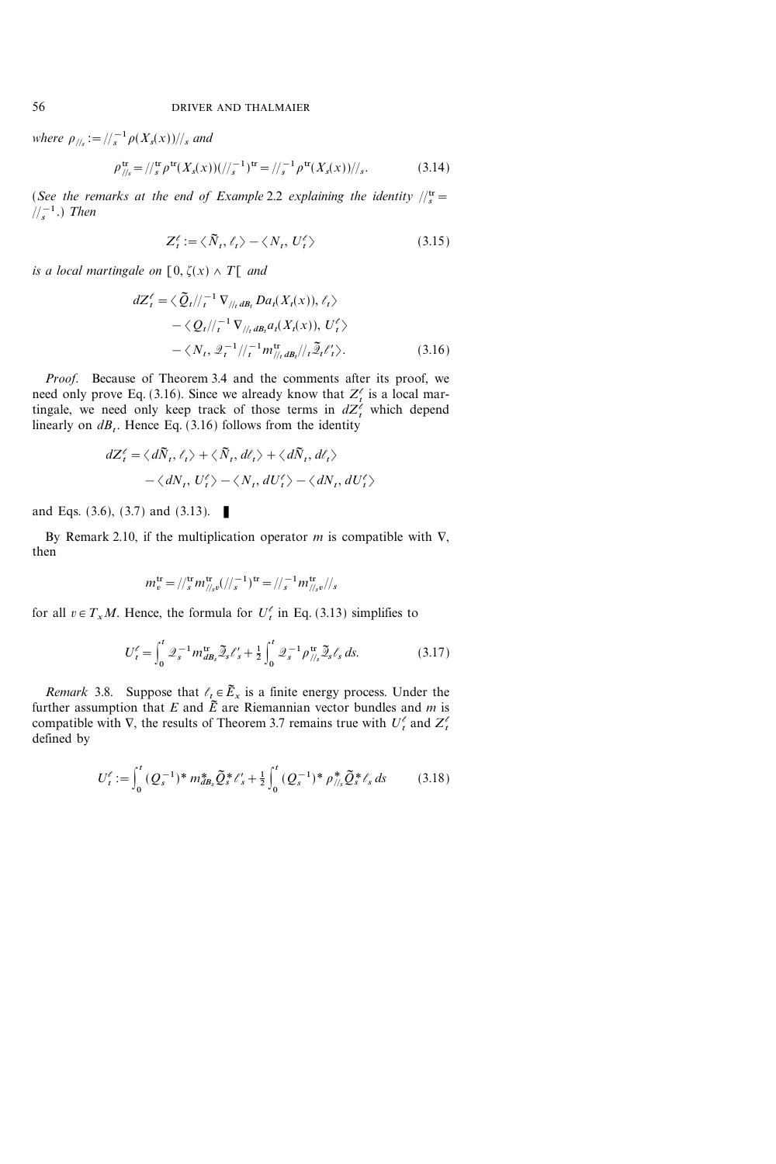where  $\rho_{\frac{1}{s}} := \frac{1}{s} \rho(X_s(x))}{\frac{s}{s}}$  and

$$
\rho_{\text{N}_s}^{\text{tr}} = \frac{1}{s} \rho^{\text{tr}}(X_s(x)) \left( \frac{1}{s} \right)^{\text{tr}} = \frac{1}{s} \rho^{\text{tr}}(X_s(x)) \left/ \frac{s}{s} \right). \tag{3.14}
$$

(See the remarks at the end of Example 2.2 explaining the identity  $\frac{d\mathbf{r}}{ds}$  =  $\frac{1}{s}$ .) Then

$$
Z_t^{\ell} := \langle \tilde{N}_t, \ell_t \rangle - \langle N_t, U_t^{\ell} \rangle \tag{3.15}
$$

is a local martingale on  $[0, \zeta(x) \wedge T[$  and

$$
dZ_t^{\ell} = \langle \tilde{Q}_t | /_{\tau}^{-1} \nabla_{/ \ell_t} d B_t D a_t(X_t(x)), \ell_t \rangle
$$
  
 
$$
- \langle Q_t | /_{\tau}^{-1} \nabla_{/ \ell_t} d B_t a_t(X_t(x)), U_t^{\ell} \rangle
$$
  
 
$$
- \langle N_t, \mathcal{Q}_t^{-1} / /_{\tau}^{-1} m_{/ \ell_t}^{\text{tr}} d B_t / /_{\tau} \tilde{\mathcal{Q}}_t \ell_t' \rangle. \tag{3.16}
$$

Proof. Because of Theorem 3.4 and the comments after its proof, we need only prove Eq. (3.16). Since we already know that  $Z_t^{\ell}$  is a local martingale, we need only keep track of those terms in  $dZ_t^{\ell}$  which depend linearly on  $dB_t$ . Hence Eq. (3.16) follows from the identity

$$
dZ_t^{\ell} = \langle d\tilde{N}_t, \ell_t \rangle + \langle \tilde{N}_t, d\ell_t \rangle + \langle d\tilde{N}_t, d\ell_t \rangle
$$
  
-  $\langle dN_t, U_t^{\ell} \rangle - \langle N_t, dU_t^{\ell} \rangle - \langle dN_t, dU_t^{\ell} \rangle$ 

and Eqs.  $(3.6)$ ,  $(3.7)$  and  $(3.13)$ .

By Remark 2.10, if the multiplication operator  $m$  is compatible with  $\nabla$ , then

$$
m_v^{\rm tr} = / \langle J_s^{\rm tr} m_{\frac{1}{s}}^{\rm tr} (1 / \gamma_s^{-1})^{\rm tr} = / \gamma_s^{-1} m_{\frac{1}{s}}^{\rm tr} \rangle / \gamma_s
$$

for all  $v \in T_x M$ . Hence, the formula for  $U_t^{\ell}$  in Eq. (3.13) simplifies to

$$
U_t^{\ell} = \int_0^t \mathcal{Q}_s^{-1} m_{d\mathcal{B}_s}^{\text{tr}} \tilde{\mathcal{Q}}_s \ell_s' + \frac{1}{2} \int_0^t \mathcal{Q}_s^{-1} \rho_{\text{N}_s}^{\text{tr}} \tilde{\mathcal{Q}}_s \ell_s \, ds. \tag{3.17}
$$

*Remark* 3.8. Suppose that  $\ell_t \in \widetilde{E}_x$  is a finite energy process. Under the further assumption that E and  $\tilde{E}$  are Riemannian vector bundles and m is compatible with  $\nabla$ , the results of Theorem 3.7 remains true with  $U_t^{\ell}$  and  $Z_t^{\ell}$ defined by

$$
U_t^{\ell} := \int_0^t (Q_s^{-1})^* m_{dB_s}^* \tilde{Q}_s^* \ell_s' + \frac{1}{2} \int_0^t (Q_s^{-1})^* \rho_{\textit{N}_s}^* \tilde{Q}_s^* \ell_s \, ds \tag{3.18}
$$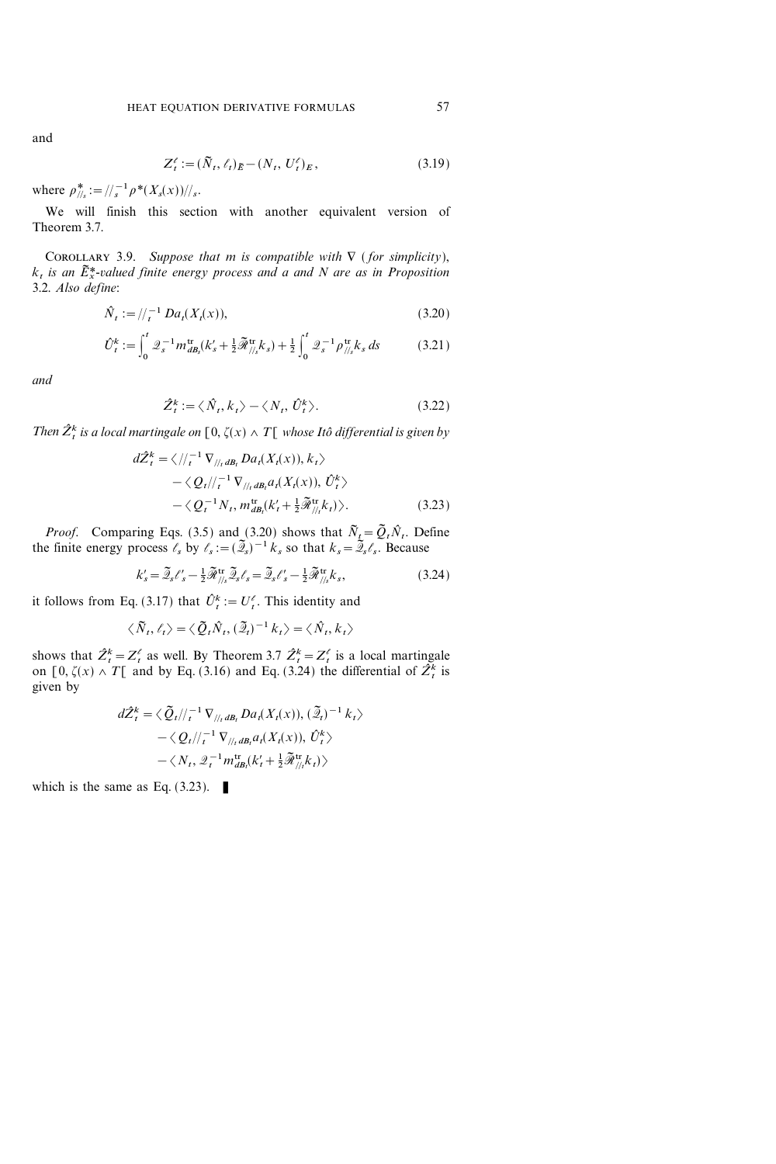and

$$
Z_t^{\ell} := (\tilde{N}_t, \ell_t)_{\tilde{E}} - (N_t, U_t^{\ell})_E, \tag{3.19}
$$

where  $\rho_{\frac{1}{s}}^* := \frac{1}{s} \rho^*(X_s(x))}{s}$ .

We will finish this section with another equivalent version of Theorem 3.7.

COROLLARY 3.9. Suppose that m is compatible with  $\nabla$  (for simplicity),  $k_t$  is an  $\tilde{E}_x^*$ -valued finite energy process and a and N are as in Proposition 3.2. Also define:

$$
\hat{N}_t := / \frac{1}{t} D a_t(X_t(x)), \tag{3.20}
$$

$$
\hat{U}_{t}^{k} := \int_{0}^{t} \mathcal{Q}_{s}^{-1} m_{d\mathcal{B}_{s}}^{\text{tr}}(k_{s}^{\prime} + \frac{1}{2} \tilde{\mathcal{R}}_{/\!/_{s}}^{\text{tr}} k_{s}) + \frac{1}{2} \int_{0}^{t} \mathcal{Q}_{s}^{-1} \rho_{/\!/_{s}}^{\text{tr}} k_{s} ds \tag{3.21}
$$

and

$$
\hat{Z}_t^k := \langle \hat{N}_t, k_t \rangle - \langle N_t, \hat{U}_t^k \rangle. \tag{3.22}
$$

Then  $\hat{Z}_{t}^{k}$  is a local martingale on  $[0, \zeta(x) \wedge T[$  whose Itô differential is given by

$$
d\hat{Z}_{t}^{k} = \langle / /_{t}^{-1} \nabla_{/ /_{t} dB_{t}} Da_{t}(X_{t}(x)), k_{t} \rangle
$$
  
 
$$
- \langle Q_{t} / /_{t}^{-1} \nabla_{/ /_{t} dB_{t}} a_{t}(X_{t}(x)), \hat{U}_{t}^{k} \rangle
$$
  
 
$$
- \langle Q_{t}^{-1} N_{t}, m_{dB_{t}}^{tr}(k_{t} + \frac{1}{2} \tilde{\mathcal{R}}_{/ /_{t}}^{tr}(k_{t}) \rangle.
$$
 (3.23)

*Proof.* Comparing Eqs. (3.5) and (3.20) shows that  $\tilde{N}_t = \tilde{Q}_t \tilde{N}_t$ . Define the finite energy process  $\ell_s$  by  $\ell_s := (\tilde{\mathcal{Q}}_s)^{-1} k_s$  so that  $k_s = \tilde{\mathcal{Q}}_s \ell_s$ . Because

$$
k'_{s} = \tilde{\mathcal{Q}}_{s} \ell'_{s} - \frac{1}{2} \tilde{\mathcal{R}}_{\frac{1}{s}}^{\text{tr}} \tilde{\mathcal{Q}}_{s} \ell_{s} = \tilde{\mathcal{Q}}_{s} \ell'_{s} - \frac{1}{2} \tilde{\mathcal{R}}_{\frac{1}{s}}^{\text{tr}} k_{s},
$$
\n(3.24)

it follows from Eq. (3.17) that  $\hat{U}_t^k := U_t^{\ell}$ . This identity and

$$
\langle \tilde{N}_t, \ell_t \rangle = \langle \tilde{Q}_t \hat{N}_t, (\tilde{\mathcal{Z}}_t)^{-1} k_t \rangle = \langle \hat{N}_t, k_t \rangle
$$

shows that  $\hat{Z}_t^k = Z_t^{\ell}$  as well. By Theorem 3.7  $\hat{Z}_t^k = Z_t^{\ell}$  is a local martingale on [0,  $\zeta(x) \wedge T$ ] and by Eq. (3.16) and Eq. (3.24) the differential of  $\hat{Z}_t^k$  is given by

$$
d\hat{Z}_{t}^{k} = \langle \tilde{Q}_{t} \rangle /_{t}^{-1} \nabla_{\mathcal{J}_{t}t} B_{t} D a_{t}(X_{t}(x)), (\tilde{Z}_{t})^{-1} k_{t} \rangle
$$
  

$$
- \langle Q_{t} \rangle /_{t}^{-1} \nabla_{\mathcal{J}_{t}t} B_{t} a_{t}(X_{t}(x)), \hat{U}_{t}^{k} \rangle
$$
  

$$
- \langle N_{t}, \mathcal{Q}_{t}^{-1} m_{dB_{t}}^{\text{tr}}(k_{t}^{\prime} + \frac{1}{2} \tilde{\mathcal{R}}_{\mathcal{J}_{t}}^{\text{tr}} k_{t}) \rangle
$$

which is the same as Eq.  $(3.23)$ .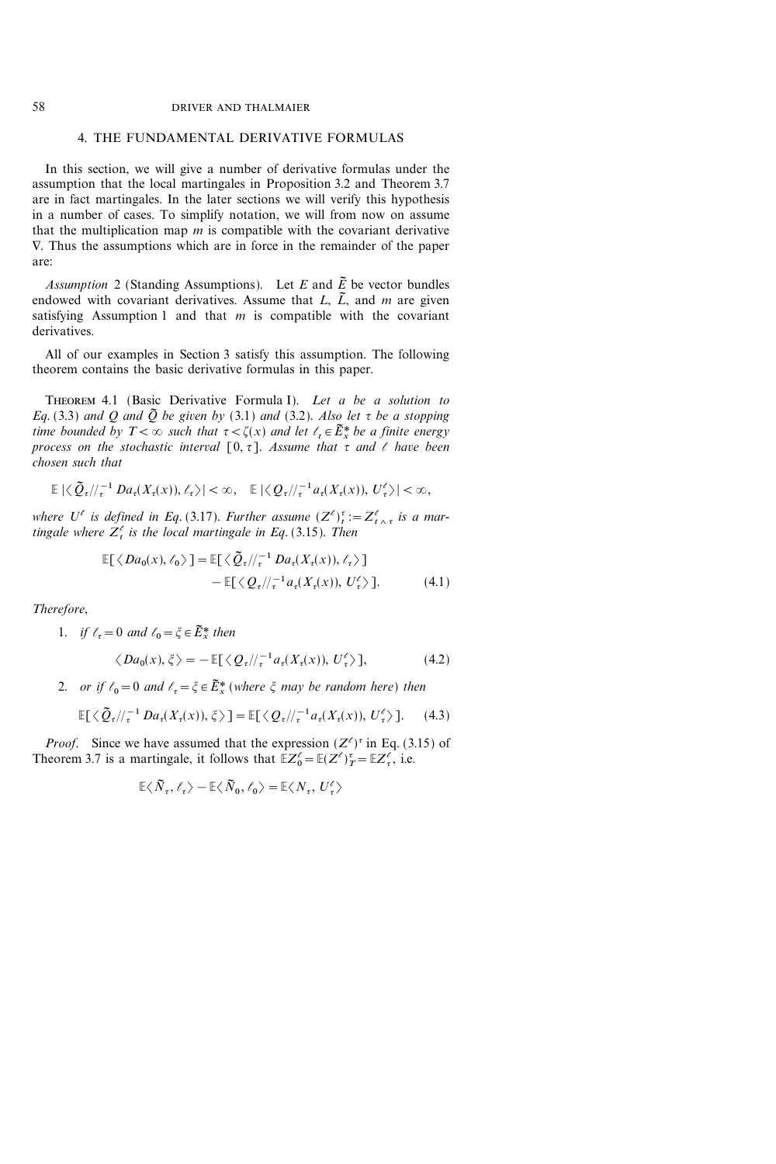# 4. THE FUNDAMENTAL DERIVATIVE FORMULAS

In this section, we will give a number of derivative formulas under the assumption that the local martingales in Proposition 3.2 and Theorem 3.7 are in fact martingales. In the later sections we will verify this hypothesis in a number of cases. To simplify notation, we will from now on assume that the multiplication map  $m$  is compatible with the covariant derivative  $\nabla$ . Thus the assumptions which are in force in the remainder of the paper are:

Assumption 2 (Standing Assumptions). Let E and  $\tilde{E}$  be vector bundles endowed with covariant derivatives. Assume that  $L$ ,  $\tilde{L}$ , and m are given satisfying Assumption 1 and that  $m$  is compatible with the covariant derivatives.

All of our examples in Section 3 satisfy this assumption. The following theorem contains the basic derivative formulas in this paper.

THEOREM 4.1 (Basic Derivative Formula I). Let a be a solution to Eq. (3.3) and Q and  $\tilde{Q}$  be given by (3.1) and (3.2). Also let  $\tau$  be a stopping time bounded by  $T < \infty$  such that  $\tau < \zeta(x)$  and let  $\ell_t \in \widetilde{E}^*$  be a finite energy process on the stochastic interval  $[0, \tau]$ . Assume that  $\tau$  and  $\ell$  have been chosen such that

$$
\mathbb{E} |\langle \tilde{Q}_{\tau}/\!/_{\tau}^{-1} Da_{\tau}(X_{\tau}(x)), \ell_{\tau} \rangle| < \infty, \quad \mathbb{E} |\langle Q_{\tau}/\!/_{\tau}^{-1} a_{\tau}(X_{\tau}(x)), U_{\tau}^{\ell} \rangle| < \infty,
$$

where  $U^{\ell}$  is defined in Eq. (3.17). Further assume  $(Z^{\ell})^{\tau}_{t} := Z^{\ell}_{t \wedge \tau}$  is a martingale where  $Z_t^{\ell}$  is the local martingale in Eq. (3.15). Then

$$
\mathbb{E}[\langle Da_0(x), \ell_0 \rangle] = \mathbb{E}[\langle \tilde{Q}_{\tau}/\!/_{\tau}^{-1} Da_{\tau}(X_{\tau}(x)), \ell_{\tau} \rangle] \n- \mathbb{E}[\langle Q_{\tau}/\!/_{\tau}^{-1} a_{\tau}(X_{\tau}(x)), U_{\tau}^{\ell} \rangle].
$$
\n(4.1)

Therefore,

1. if 
$$
\ell_{\tau} = 0
$$
 and  $\ell_0 = \xi \in \tilde{E}_x^*$  then

$$
\langle Da_0(x), \xi \rangle = -\mathbb{E}[\langle Q_\tau / \rangle_\tau^{-1} a_\tau(X_\tau(x)), U_\tau^\ell \rangle],\tag{4.2}
$$

2. or if  $\ell_0=0$  and  $\ell_{\tau} = \xi \in \tilde{E}^*_x$  (where  $\xi$  may be random here) then

$$
\mathbb{E}[\langle \tilde{Q}_{\tau}/\!/_{\tau}^{-1}Da_{\tau}(X_{\tau}(x)), \xi \rangle] = \mathbb{E}[\langle Q_{\tau}/\!/_{\tau}^{-1}a_{\tau}(X_{\tau}(x)), U_{\tau}^{\ell} \rangle]. \tag{4.3}
$$

*Proof.* Since we have assumed that the expression  $(Z^{\ell})^{\tau}$  in Eq. (3.15) of Theorem 3.7 is a martingale, it follows that  $\mathbb{E}Z_0^{\ell} = \mathbb{E}(Z^{\ell})_T^{\tau} = \mathbb{E}Z_{\tau}^{\ell}$ , i.e.

$$
\mathbb{E}\langle \tilde{N}_{\tau}, \ell_{\tau}\rangle - \mathbb{E}\langle \tilde{N}_{0}, \ell_{0}\rangle = \mathbb{E}\langle N_{\tau}, U_{\tau}^{\ell}\rangle
$$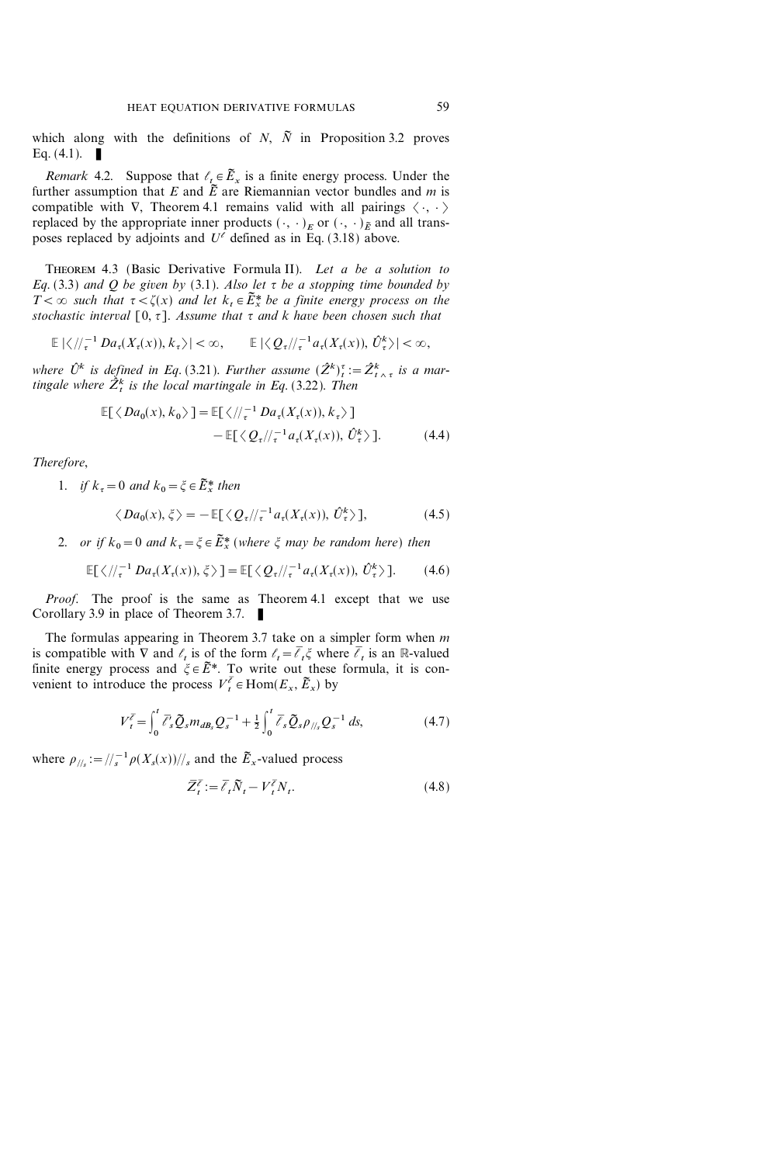which along with the definitions of  $N$ ,  $\tilde{N}$  in Proposition 3.2 proves Eq.  $(4.1)$ .

*Remark* 4.2. Suppose that  $\ell_t \in \widetilde{E}_x$  is a finite energy process. Under the further assumption that E and  $\tilde{E}$  are Riemannian vector bundles and m is compatible with  $\nabla$ , Theorem 4.1 remains valid with all pairings  $\langle \cdot, \cdot \rangle$ replaced by the appropriate inner products  $(\cdot, \cdot)_E$  or  $(\cdot, \cdot)_E$  and all transposes replaced by adjoints and  $U^{\ell}$  defined as in Eq. (3.18) above.

THEOREM 4.3 (Basic Derivative Formula II). Let a be a solution to Eq. (3.3) and Q be given by (3.1). Also let  $\tau$  be a stopping time bounded by  $T<\infty$  such that  $\tau<\zeta(x)$  and let  $k_t \in \widetilde{E}_x^*$  be a finite energy process on the stochastic interval  $[0, \tau]$ . Assume that  $\tau$  and k have been chosen such that

$$
\mathbb{E} |\langle \, \, / \, /_{\tau}^{-1} D a_{\tau}(X_{\tau}(x)), k_{\tau} \rangle| < \infty, \qquad \mathbb{E} |\langle \, \mathcal{Q}_{\tau} / \, /_{\tau}^{-1} a_{\tau}(X_{\tau}(x)), \hat{U}_{\tau}^{k} \rangle| < \infty,
$$

where  $\hat{U}^k$  is defined in Eq. (3.21). Further assume  $(\hat{Z}^k)_{t}^{\tau} := \hat{Z}^k_{t \wedge \tau}$  is a martingale where  $\hat{Z}_{t}^{k}$  is the local martingale in Eq. (3.22). Then

$$
\mathbb{E}[\langle Da_0(x), k_0 \rangle] = \mathbb{E}[\langle / \rangle_{\tau}^{-1} Da_{\tau}(X_{\tau}(x)), k_{\tau} \rangle] \n- \mathbb{E}[\langle Q_{\tau} / \rangle_{\tau}^{-1} a_{\tau}(X_{\tau}(x)), \hat{U}_{\tau}^k \rangle].
$$
\n(4.4)

Therefore,

1. if 
$$
k_{\tau} = 0
$$
 and  $k_0 = \xi \in \tilde{E}_x^*$  then  
\n
$$
\langle Da_0(x), \xi \rangle = -\mathbb{E}[\langle Q_{\tau}/\langle \tau^{-1} a_{\tau}(X_{\tau}(x)), \hat{U}_{\tau}^k \rangle],
$$
\n(4.5)

2. or if  $k_0=0$  and  $k_{\tau} = \xi \in \tilde{E}^*$  (where  $\xi$  may be random here) then

$$
\mathbb{E}[\langle \, \mathcal{N}^{-1}_{\tau} \, Da_{\tau}(X_{\tau}(x)), \xi \, \rangle] = \mathbb{E}[\langle \, Q_{\tau} \mathcal{N}^{-1}_{\tau} a_{\tau}(X_{\tau}(x)), \, \hat{U}_{\tau}^{k} \rangle]. \tag{4.6}
$$

Proof. The proof is the same as Theorem 4.1 except that we use Corollary 3.9 in place of Theorem 3.7.  $\blacksquare$ 

The formulas appearing in Theorem 3.7 take on a simpler form when  $m$ is compatible with  $\nabla$  and  $\ell_t$  is of the form  $\ell_t = \overline{\ell}_t \xi$  where  $\overline{\ell}_t$  is an R-valued finite energy process and  $\xi \in \tilde{E}^*$ . To write out these formula, it is convenient to introduce the process  $V_t^{\bar{\ell}} \in \text{Hom}(E_x, \tilde{E}_x)$  by

$$
V_t^{\bar{\ell}} = \int_0^t \bar{\ell}_s' \tilde{Q}_s m_{dB_s} Q_s^{-1} + \frac{1}{2} \int_0^t \bar{\ell}_s \tilde{Q}_s \rho_{\frac{1}{s}} Q_s^{-1} ds, \qquad (4.7)
$$

where  $\rho_{\parallel/s} := / \frac{1}{s} \rho(X_s(x)) / \frac{1}{s}$  and the  $\tilde{E}_x$ -valued process

$$
\overline{Z}_t^{\overline{\ell}} := \overline{\ell}_t \widetilde{N}_t - V_t^{\overline{\ell}} N_t. \tag{4.8}
$$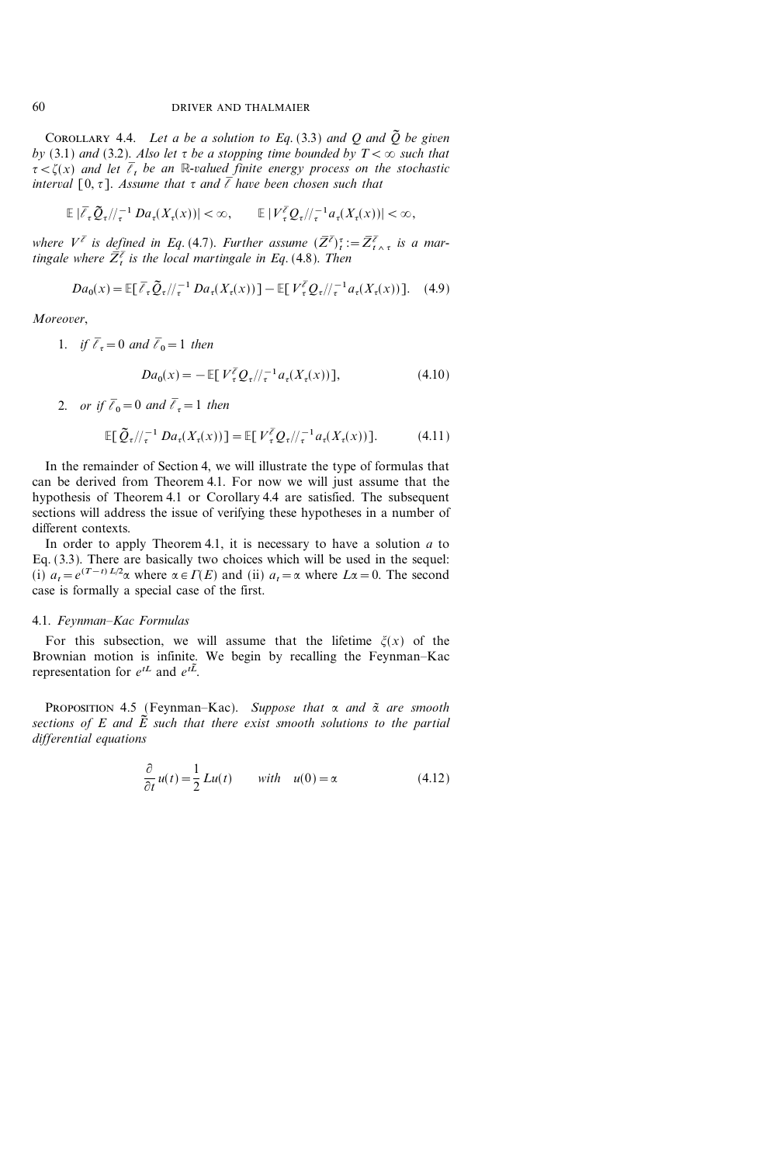COROLLARY 4.4. Let a be a solution to Eq. (3.3) and Q and  $\tilde{Q}$  be given by (3.1) and (3.2). Also let  $\tau$  be a stopping time bounded by  $T < \infty$  such that  $\tau < \zeta(x)$  and let  $\overline{\ell}_t$  be an R-valued finite energy process on the stochastic interval  $[0, \tau]$ . Assume that  $\tau$  and  $\bar{\ell}$  have been chosen such that

$$
\mathbb{E} \left| \overline{\ell}_{\tau} \widetilde{Q}_{\tau}/\!/_{\tau}^{-1} D a_{\tau}(X_{\tau}(x)) \right| < \infty, \qquad \mathbb{E} \left| V_{\tau}^{\overline{\ell}} \mathcal{Q}_{\tau}/\!/_{\tau}^{-1} a_{\tau}(X_{\tau}(x)) \right| < \infty,
$$

where  $V^{\bar{\ell}}$  is defined in Eq. (4.7). Further assume  $(\bar{Z}^{\bar{\ell}})_{t}^{\tau}:=\bar{Z}^{\bar{\ell}}_{t\wedge\tau}$  is a martingale where  $\overline{Z}_t^{\overline{\ell}}$  is the local martingale in Eq. (4.8). Then

$$
Da_0(x) = \mathbb{E}[\overline{\ell}_{\tau} \widetilde{Q}_{\tau}/\!/_{\tau}^{-1} Da_{\tau}(X_{\tau}(x))] - \mathbb{E}[V_{\tau}^{\overline{\ell}} Q_{\tau}/\!/_{\tau}^{-1} a_{\tau}(X_{\tau}(x))]. \quad (4.9)
$$

Moreover,

1. if 
$$
\bar{\ell}_{\tau} = 0
$$
 and  $\bar{\ell}_{0} = 1$  then

$$
Da_0(x) = -\mathbb{E}[V_{\tau}^{\bar{\ell}} Q_{\tau}/\!/_{\tau}^{-1} a_{\tau}(X_{\tau}(x))], \tag{4.10}
$$

2. or if 
$$
\bar{\ell}_0 = 0
$$
 and  $\bar{\ell}_\tau = 1$  then

$$
\mathbb{E}\big[\,\widetilde{Q}_{\tau}/\!/_{\tau}^{-1}D a_{\tau}(X_{\tau}(x))\big] = \mathbb{E}\big[\,V_{\tau}^{\overline{\ell}}Q_{\tau}/\!/_{\tau}^{-1}a_{\tau}(X_{\tau}(x))\big].\tag{4.11}
$$

In the remainder of Section 4, we will illustrate the type of formulas that can be derived from Theorem 4.1. For now we will just assume that the hypothesis of Theorem 4.1 or Corollary 4.4 are satisfied. The subsequent sections will address the issue of verifying these hypotheses in a number of different contexts.

In order to apply Theorem 4.1, it is necessary to have a solution  $a$  to Eq. (3.3). There are basically two choices which will be used in the sequel: (i)  $a_t = e^{(T-t)L/2}\alpha$  where  $\alpha \in \Gamma(E)$  and (ii)  $a_t = \alpha$  where  $L\alpha = 0$ . The second case is formally a special case of the first.

#### 4.1. Feynman-Kac Formulas

For this subsection, we will assume that the lifetime  $\xi(x)$  of the Brownian motion is infinite. We begin by recalling the Feynman-Kac representation for  $e^{tL}$  and  $e^{t\tilde{L}}$ .

PROPOSITION 4.5 (Feynman-Kac). Suppose that  $\alpha$  and  $\tilde{\alpha}$  are smooth sections of E and  $\tilde{E}$  such that there exist smooth solutions to the partial differential equations

$$
\frac{\partial}{\partial t}u(t) = \frac{1}{2}Lu(t) \qquad with \quad u(0) = \alpha \tag{4.12}
$$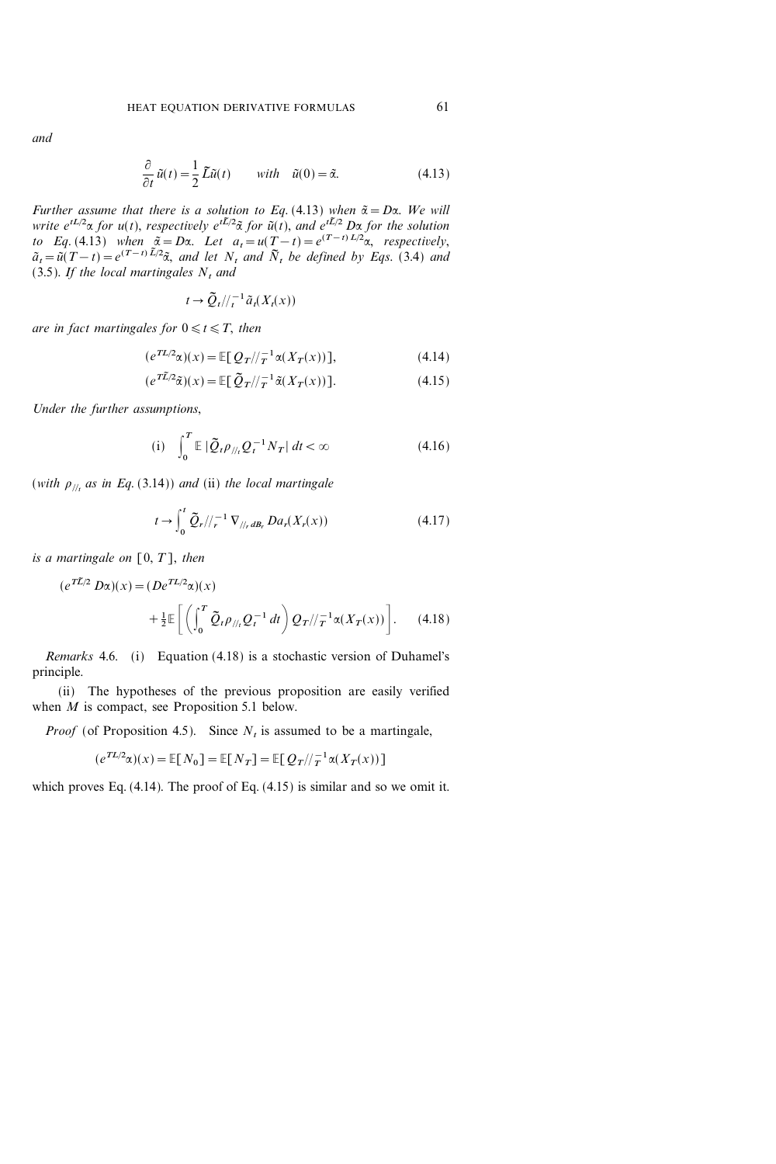$$
\frac{\partial}{\partial t}\tilde{u}(t) = \frac{1}{2}\tilde{L}\tilde{u}(t) \qquad with \quad \tilde{u}(0) = \tilde{\alpha}.\tag{4.13}
$$

Further assume that there is a solution to Eq. (4.13) when  $\tilde{\alpha} = D\alpha$ . We will write  $e^{tL/2}\alpha$  for  $u(t)$ , respectively  $e^{t\tilde{L}/2}\tilde{\alpha}$  for  $\tilde{u}(t)$ , and  $e^{t\tilde{L}/2}$  D $\alpha$  for the solution to Eq. (4.13) when  $\tilde{\alpha} = D\alpha$ . Let  $a_t = u(T-t) = e^{(T-t)L/2}\alpha$ , respectively,  $\tilde{a}_t = \tilde{u}(T-t) = e^{(T-t)\tilde{L}/2\tilde{\alpha}}$ , and let  $N_t$  and  $\tilde{N}_t$  be defined by Eqs. (3.4) and (3.5). If the local martingales  $N_t$  and

$$
t \to \widetilde{Q}_t/\!/_{t}^{-1}\widetilde{a}_t(X_t(x))
$$

are in fact martingales for  $0 \le t \le T$ , then

(eTL<sup>2</sup> :)(x)=E[QT&1 <sup>T</sup> :(XT(x))], (4.14)

$$
(e^{T\widetilde{L}/2}\widetilde{\alpha})(x) = \mathbb{E}[\,\widetilde{Q}_T/\!/_{T}^{-1}\widetilde{\alpha}(X_T(x))].\tag{4.15}
$$

Under the further assumptions,

(i) 
$$
\int_0^T \mathbb{E} |\tilde{Q}_t \rho_{//t} Q_t^{-1} N_T| dt < \infty
$$
 (4.16)

(with  $\rho_{\mu}$  as in Eq. (3.14)) and (ii) the local martingale

$$
t \to \int_0^t \tilde{Q}_r / \langle r^{-1} \nabla_{/ \langle r \, dB_r} D a_r(X_r(x)) \rangle \tag{4.17}
$$

is a martingale on  $[0, T]$ , then

$$
(e^{T\tilde{L}/2} D\alpha)(x) = (De^{TL/2}\alpha)(x) + \frac{1}{2} \mathbb{E} \left[ \left( \int_0^T \tilde{Q}_t \rho_{//t} Q_t^{-1} dt \right) Q_T / / \tau^1 \alpha(X_T(x)) \right].
$$
 (4.18)

Remarks 4.6. (i) Equation (4.18) is a stochastic version of Duhamel's principle.

(ii) The hypotheses of the previous proposition are easily verified when *M* is compact, see Proposition 5.1 below.

*Proof* (of Proposition 4.5). Since  $N<sub>t</sub>$  is assumed to be a martingale,

$$
(e^{TL/2}\alpha)(x) = \mathbb{E}[N_0] = \mathbb{E}[N_T] = \mathbb{E}[Q_T|/\tau^{-1}\alpha(X_T(x))]
$$

which proves Eq. (4.14). The proof of Eq. (4.15) is similar and so we omit it.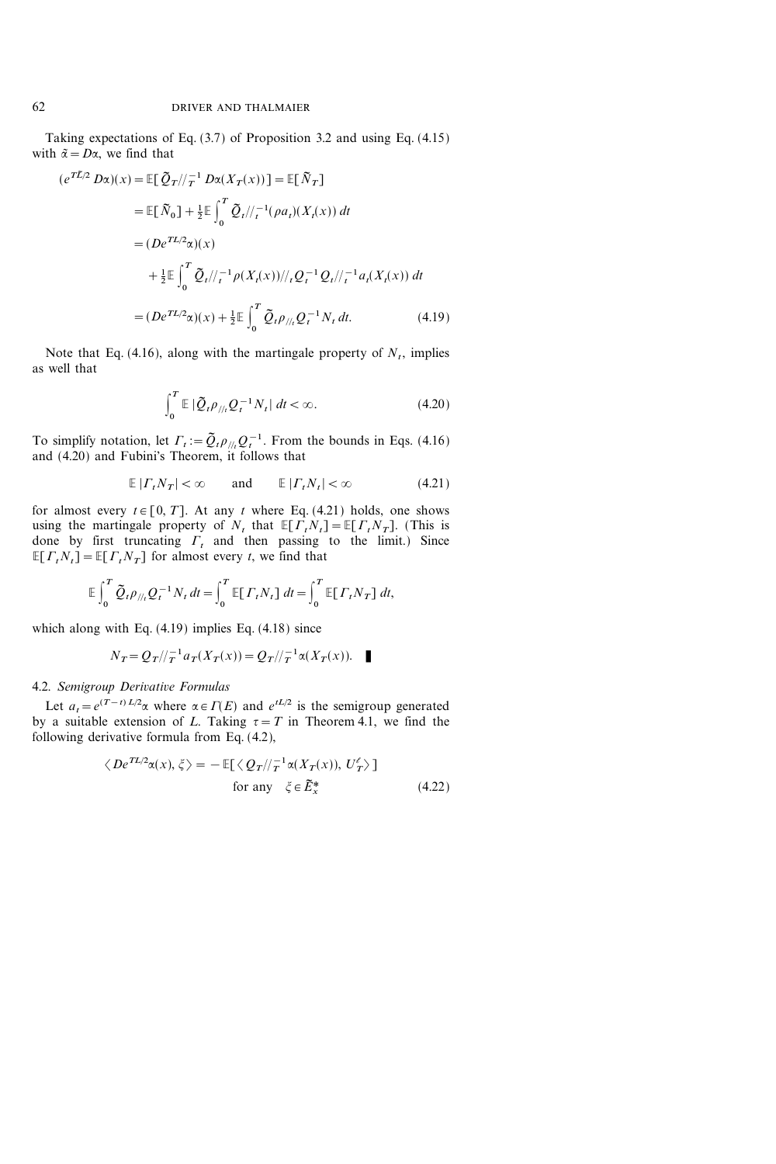Taking expectations of Eq. (3.7) of Proposition 3.2 and using Eq. (4.15) with  $\tilde{\alpha} = D\alpha$ , we find that

$$
(e^{T\tilde{L}/2} D\alpha)(x) = \mathbb{E}[\ \tilde{Q}_T / /_{T}^{-1} D\alpha(X_T(x))] = \mathbb{E}[\ \tilde{N}_T]
$$
  
\n
$$
= \mathbb{E}[\ \tilde{N}_0] + \frac{1}{2} \mathbb{E}\int_0^T \tilde{Q}_t / /_{t}^{-1} (\rho a_t)(X_t(x)) dt
$$
  
\n
$$
= (De^{TL/2}\alpha)(x)
$$
  
\n
$$
+ \frac{1}{2} \mathbb{E}\int_0^T \tilde{Q}_t / /_{t}^{-1} \rho(X_t(x)) / /_{t} Q_t^{-1} Q_t / /_{t}^{-1} a_t(X_t(x)) dt
$$
  
\n
$$
= (De^{TL/2}\alpha)(x) + \frac{1}{2} \mathbb{E}\int_0^T \tilde{Q}_t \rho_{//t} Q_t^{-1} N_t dt. \tag{4.19}
$$

Note that Eq.  $(4.16)$ , along with the martingale property of N<sub>t</sub>, implies as well that

$$
\int_0^T \mathbb{E} \left| \tilde{Q}_t \rho_{\text{th}} Q_t^{-1} N_t \right| dt < \infty. \tag{4.20}
$$

To simplify notation, let  $\Gamma_t := \tilde{Q}_t \rho_{//t} Q_t^{-1}$ . From the bounds in Eqs. (4.16) and (4.20) and Fubini's Theorem, it follows that

$$
\mathbb{E}\left|\Gamma_t N_T\right| < \infty \qquad \text{and} \qquad \mathbb{E}\left|\Gamma_t N_t\right| < \infty \tag{4.21}
$$

for almost every  $t \in [0, T]$ . At any t where Eq. (4.21) holds, one shows using the martingale property of  $N_t$  that  $\mathbb{E}[T_tN_t]=\mathbb{E}[T_tN_T]$ . (This is done by first truncating  $\Gamma_t$  and then passing to the limit.) Since  $E[T_tN_t]=E[T_tN_T]$  for almost every t, we find that

$$
\mathbb{E}\int_0^T \tilde{Q}_t \rho_{//t} Q_t^{-1} N_t dt = \int_0^T \mathbb{E}[T_t N_t] dt = \int_0^T \mathbb{E}[T_t N_T] dt,
$$

which along with Eq. (4.19) implies Eq. (4.18) since

$$
N_T = Q_T / \frac{1}{T} a_T(X_T(x)) = Q_T / \frac{1}{T} \alpha(X_T(x)).
$$

# 4.2. Semigroup Derivative Formulas

Let  $a_t = e^{(T-t)L/2}\alpha$  where  $\alpha \in \Gamma(E)$  and  $e^{tL/2}$  is the semigroup generated by a suitable extension of L. Taking  $\tau = T$  in Theorem 4.1, we find the following derivative formula from Eq. (4.2),

$$
\langle De^{TL/2}\alpha(x), \xi \rangle = -\mathbb{E}[\langle Q_T/\!/_{T}^{-1}\alpha(X_T(x)), U_T^{\ell} \rangle]
$$
  
for any  $\xi \in \tilde{E}_x^*$  (4.22)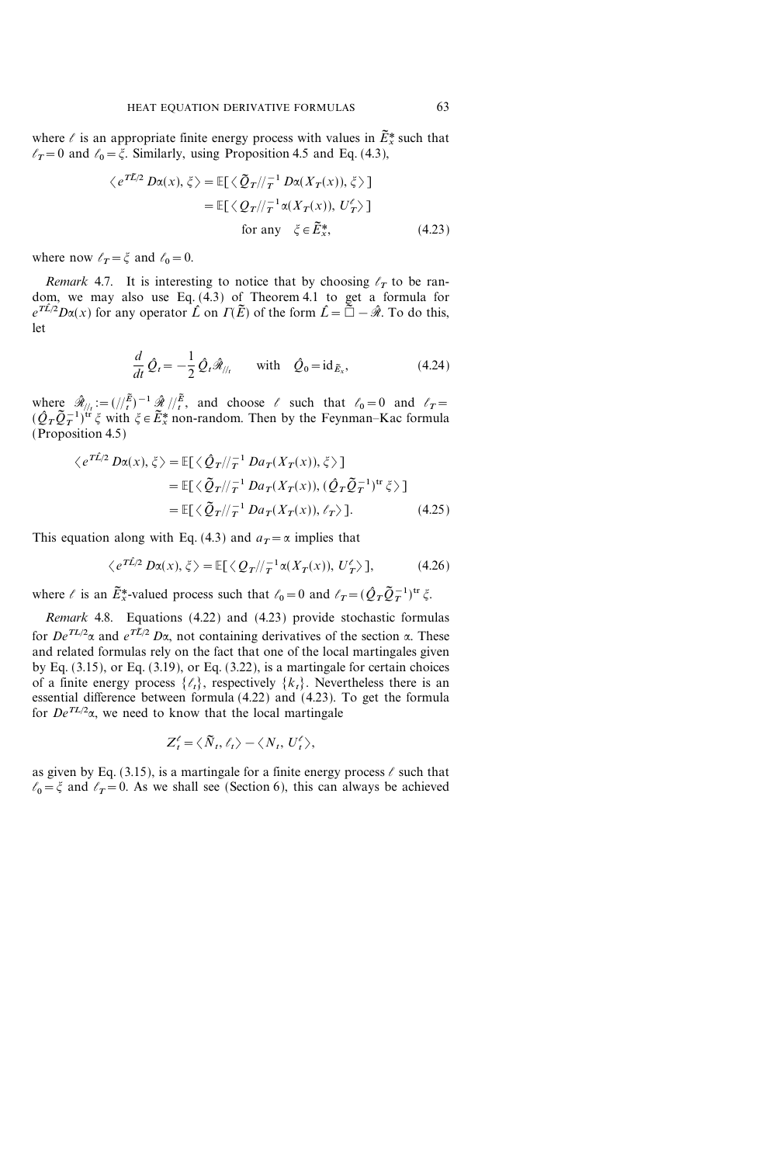where  $\ell$  is an appropriate finite energy process with values in  $\tilde{E}_{x}^{*}$  such that  $\ell_T=0$  and  $\ell_0=\xi$ . Similarly, using Proposition 4.5 and Eq. (4.3),

$$
\langle e^{T\tilde{L}/2} D\alpha(x), \xi \rangle = \mathbb{E}[\langle \tilde{Q}_T / \rangle_T^{-1} D\alpha(X_T(x)), \xi \rangle]
$$
  
=  $\mathbb{E}[\langle Q_T / \rangle_T^{-1} \alpha(X_T(x)), U_T' \rangle]$   
for any  $\xi \in \tilde{E}_x^*$ , (4.23)

where now  $\ell_T = \xi$  and  $\ell_0 = 0$ .

Remark 4.7. It is interesting to notice that by choosing  $\ell_T$  to be random, we may also use Eq. (4.3) of Theorem 4.1 to get a formula for  $e^{T\hat{L}/2}D\alpha(x)$  for any operator  $\hat{L}$  on  $\Gamma(\tilde{E})$  of the form  $\hat{L}=\tilde{\Box}-\hat{\mathcal{R}}$ . To do this, let

$$
\frac{d}{dt}\hat{Q}_t = -\frac{1}{2}\hat{Q}_t\hat{\mathcal{R}}_{/l_t} \quad \text{with} \quad \hat{Q}_0 = \mathrm{id}_{\tilde{E}_x},\tag{4.24}
$$

where  $\hat{\mathcal{R}}_{\ell/2} := (1/\tilde{E})^{-1} \hat{\mathcal{R}}_{\ell}/\tilde{E}_{\ell}$ , and choose  $\ell$  such that  $\ell_0 = 0$  and  $\ell_T =$  $(\hat{Q}_T \tilde{Q}_T^{-1})^{\text{tr}} \xi$  with  $\xi \in \tilde{E}_x^*$  non-random. Then by the Feynman–Kac formula (Proposition 4.5)

$$
\langle e^{T\hat{L}/2} D\alpha(x), \xi \rangle = \mathbb{E}[\langle \hat{Q}_T / \langle \tau^1 D a_T(X_T(x)), \xi \rangle]
$$
  
\n
$$
= \mathbb{E}[\langle \tilde{Q}_T / \langle \tau^1 D a_T(X_T(x)), (\hat{Q}_T \tilde{Q}_T^{-1})^{\text{tr}} \xi \rangle]
$$
  
\n
$$
= \mathbb{E}[\langle \tilde{Q}_T / \langle \tau^1 D a_T(X_T(x)), \ell_T \rangle]. \tag{4.25}
$$

This equation along with Eq. (4.3) and  $a_T = \alpha$  implies that

$$
\langle e^{T\hat{L}/2} D\alpha(x), \xi \rangle = \mathbb{E}[\langle Q_T / \rangle_T^{-1} \alpha(X_T(x)), U_T^{\ell} \rangle], \tag{4.26}
$$

where  $\ell$  is an  $\tilde{E}_x^*$ -valued process such that  $\ell_0 = 0$  and  $\ell_T = (\hat{Q}_T \tilde{Q}_T^{-1})^{tr} \xi$ .

Remark 4.8. Equations (4.22) and (4.23) provide stochastic formulas for  $De^{TL/2}\alpha$  and  $e^{T\tilde{L}/2}$  D $\alpha$ , not containing derivatives of the section  $\alpha$ . These and related formulas rely on the fact that one of the local martingales given by Eq. (3.15), or Eq. (3.19), or Eq. (3.22), is a martingale for certain choices of a finite energy process  $\{\ell_t\}$ , respectively  $\{k_t\}$ . Nevertheless there is an essential difference between formula (4.22) and (4.23). To get the formula for  $De^{TL/2}\alpha$ , we need to know that the local martingale

$$
Z_t^{\ell} = \langle \tilde{N}_t, \ell_t \rangle - \langle N_t, U_t^{\ell} \rangle,
$$

as given by Eq. (3.15), is a martingale for a finite energy process  $\ell$  such that  $\ell_0 = \xi$  and  $\ell_T = 0$ . As we shall see (Section 6), this can always be achieved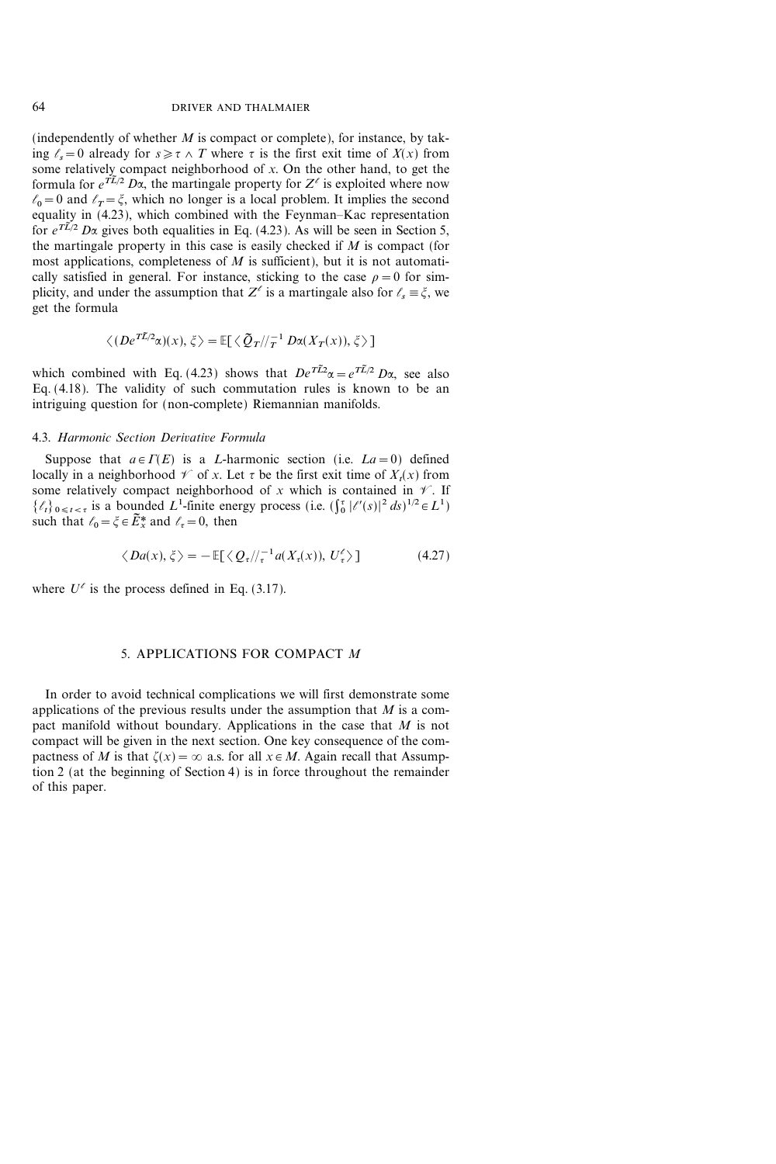(independently of whether  $M$  is compact or complete), for instance, by taking  $\ell_s=0$  already for  $s\geq \tau \wedge T$  where  $\tau$  is the first exit time of  $X(x)$  from some relatively compact neighborhood of  $x$ . On the other hand, to get the formula for  $e^{t\tilde{L}/2} D\alpha$ , the martingale property for  $Z^{\ell}$  is exploited where now  $\ell_0=0$  and  $\ell_T=\xi$ , which no longer is a local problem. It implies the second equality in  $(4.23)$ , which combined with the Feynman–Kac representation for  $e^{T\tilde{L}/2}$  D $\alpha$  gives both equalities in Eq. (4.23). As will be seen in Section 5, the martingale property in this case is easily checked if  $M$  is compact (for most applications, completeness of  $M$  is sufficient), but it is not automatically satisfied in general. For instance, sticking to the case  $\rho=0$  for simplicity, and under the assumption that  $Z^{\ell}$  is a martingale also for  $\ell_{s} \equiv \xi$ , we get the formula

$$
\langle (De^{T\tilde{L}/2}\alpha)(x), \xi \rangle = \mathbb{E}[\langle \tilde{Q}_T / \rangle_T^{-1} D\alpha(X_T(x)), \xi \rangle]
$$

which combined with Eq. (4.23) shows that  $De^{T\tilde{L}2}\alpha = e^{T\tilde{L}/2} D\alpha$ , see also Eq. (4.18). The validity of such commutation rules is known to be an intriguing question for (non-complete) Riemannian manifolds.

## 4.3. Harmonic Section Derivative Formula

Suppose that  $a \in \Gamma(E)$  is a *L*-harmonic section (i.e.  $La=0$ ) defined locally in a neighborhood  $\mathscr V$  of x. Let  $\tau$  be the first exit time of  $X_t(x)$  from some relatively compact neighborhood of x which is contained in  $\mathscr V$ . If  $\{\ell_t\}_{0 \leq t < \tau}$  is a bounded  $L^1$ -finite energy process (i.e.  $(\int_0^{\tau} |f'(s)|^2 ds)^{1/2} \in L^1$ ) such that  $\ell_0 = \xi \in \widetilde{E}_x^*$  and  $\ell_z = 0$ , then

$$
\langle Da(x), \xi \rangle = -\mathbb{E}[\langle Q_{\tau}/\!/_{\tau}^{-1}a(X_{\tau}(x)), U_{\tau}^{\ell} \rangle ] \tag{4.27}
$$

where  $U^{\ell}$  is the process defined in Eq. (3.17).

## 5. APPLICATIONS FOR COMPACT M

In order to avoid technical complications we will first demonstrate some applications of the previous results under the assumption that  $M$  is a compact manifold without boundary. Applications in the case that M is not compact will be given in the next section. One key consequence of the compactness of M is that  $\zeta(x) = \infty$  a.s. for all  $x \in M$ . Again recall that Assumption 2 (at the beginning of Section 4) is in force throughout the remainder of this paper.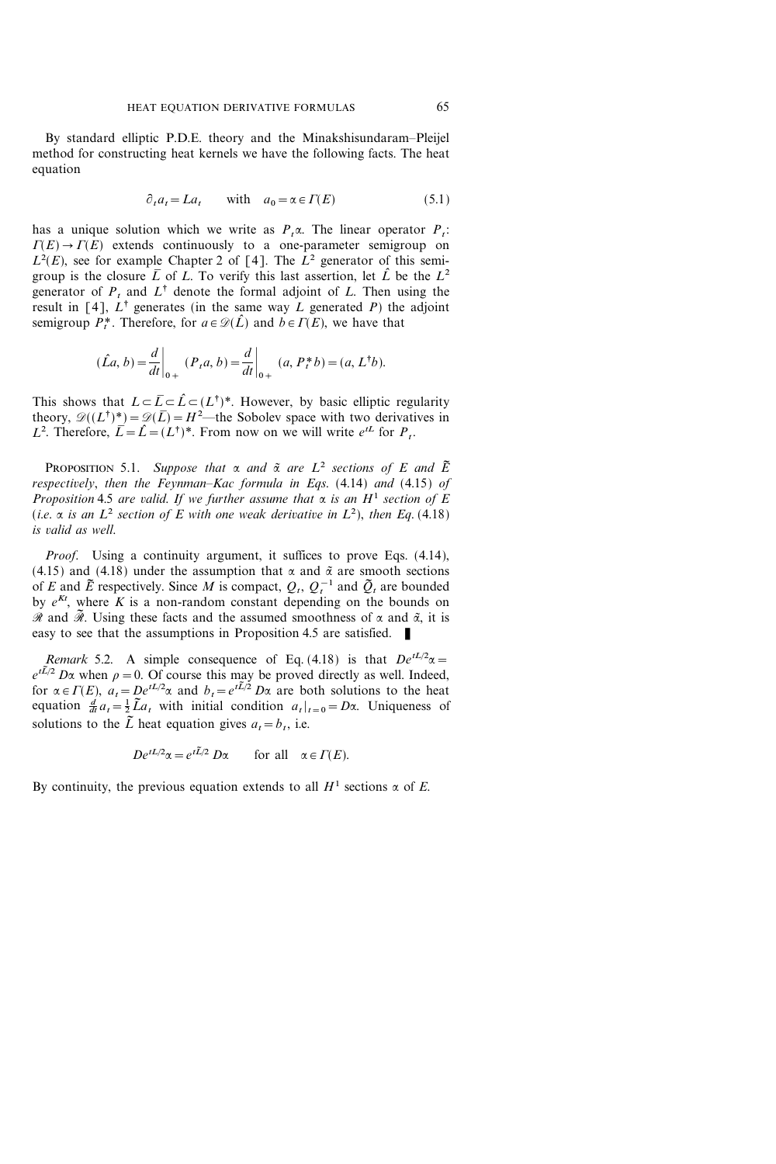By standard elliptic P.D.E. theory and the Minakshisundaram-Pleijel method for constructing heat kernels we have the following facts. The heat equation

$$
\partial_t a_t = La_t \qquad \text{with} \quad a_0 = \alpha \in \Gamma(E) \tag{5.1}
$$

has a unique solution which we write as  $P<sub>t</sub>$ . The linear operator  $P<sub>t</sub>$ :  $\Gamma(E) \rightarrow \Gamma(E)$  extends continuously to a one-parameter semigroup on  $L^2(E)$ , see for example Chapter 2 of [4]. The  $L^2$  generator of this semigroup is the closure  $\overline{L}$  of L. To verify this last assertion, let  $\hat{L}$  be the  $L^2$ generator of  $P_t$  and  $L^{\dagger}$  denote the formal adjoint of L. Then using the result in [4],  $L^{\dagger}$  generates (in the same way L generated P) the adjoint semigroup  $P_t^*$ . Therefore, for  $a \in \mathcal{D}(L)$  and  $b \in \Gamma(E)$ , we have that

$$
(\hat{L}a, b) = \frac{d}{dt}\Big|_{0+} (P_t a, b) = \frac{d}{dt}\Big|_{0+} (a, P_t^* b) = (a, L^{\dagger} b).
$$

This shows that  $L \subset \overline{L} \subset \hat{L} \subset (L^{\dagger})^*$ . However, by basic elliptic regularity theory,  $\mathcal{D}((L^{\dagger})^*) = \mathcal{D}(\overline{L}) = H^2$ —the Sobolev space with two derivatives in L<sup>2</sup>. Therefore,  $\bar{L} = \hat{L} = (L^{\dagger})^*$ . From now on we will write  $e^{tL}$  for  $P_t$ .

PROPOSITION 5.1. Suppose that  $\alpha$  and  $\tilde{\alpha}$  are  $L^2$  sections of E and  $\tilde{E}$ respectively, then the Feynman-Kac formula in Eqs.  $(4.14)$  and  $(4.15)$  of Proposition 4.5 are valid. If we further assume that  $\alpha$  is an  $H^1$  section of E (i.e.  $\alpha$  is an  $L^2$  section of E with one weak derivative in  $L^2$ ), then Eq. (4.18) is valid as well.

Proof. Using a continuity argument, it suffices to prove Eqs. (4.14), (4.15) and (4.18) under the assumption that  $\alpha$  and  $\tilde{\alpha}$  are smooth sections of E and  $\tilde{E}$  respectively. Since M is compact,  $Q_t$ ,  $Q_t^{-1}$  and  $\tilde{Q}_t$  are bounded by  $e^{Kt}$ , where K is a non-random constant depending on the bounds on  $\mathscr R$  and  $\widetilde{\mathscr R}$ . Using these facts and the assumed smoothness of  $\alpha$  and  $\widetilde{\alpha}$ , it is easy to see that the assumptions in Proposition 4.5 are satisfied.

Remark 5.2. A simple consequence of Eq. (4.18) is that  $De^{tL/2}\alpha =$  $e^{t\tilde{L}/2}$  D $\alpha$  when  $\rho=0$ . Of course this may be proved directly as well. Indeed, for  $\alpha \in \Gamma(E)$ ,  $a_t = De^{tL/2}\alpha$  and  $b_t = e^{tL/2}D\alpha$  are both solutions to the heat equation  $\frac{d}{dt}a_t = \frac{1}{2}\tilde{L}a_t$  with initial condition  $a_t|_{t=0} = D\alpha$ . Uniqueness of solutions to the  $\tilde{L}$  heat equation gives  $a_t = b_t$ , i.e.

$$
De^{tL/2}\alpha = e^{t\tilde{L}/2} D\alpha \quad \text{for all} \quad \alpha \in \Gamma(E).
$$

By continuity, the previous equation extends to all  $H^1$  sections  $\alpha$  of E.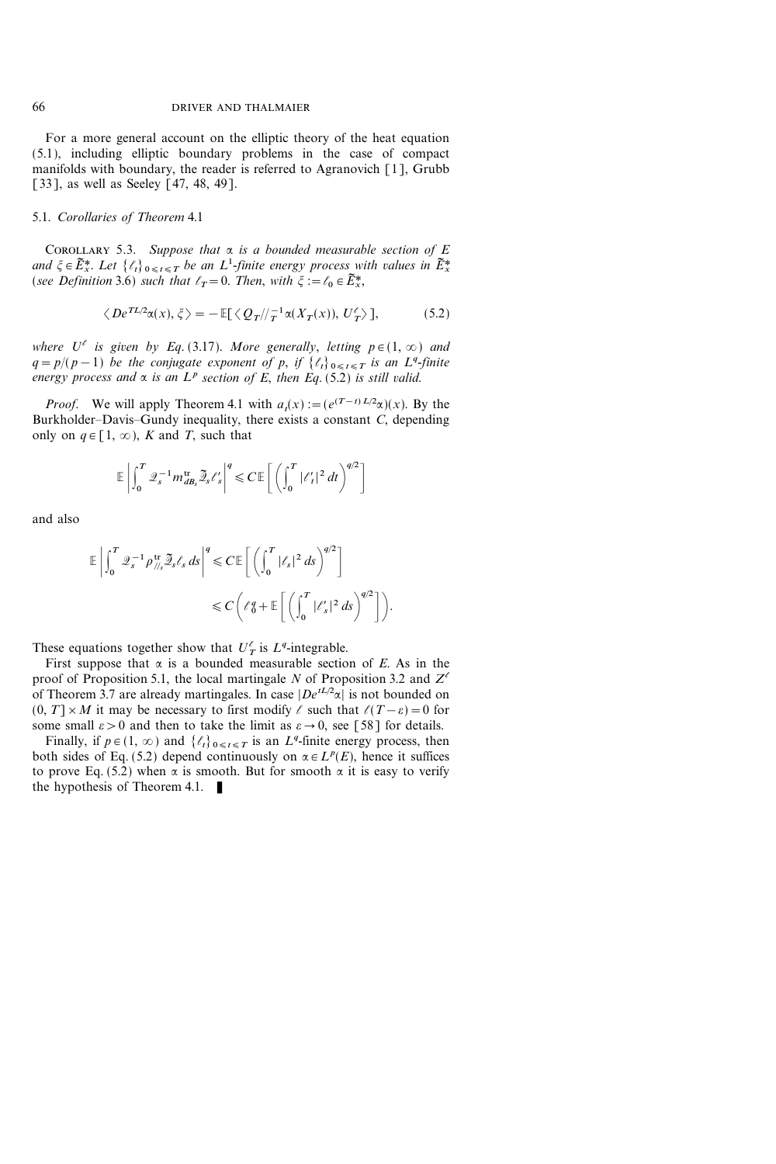For a more general account on the elliptic theory of the heat equation (5.1), including elliptic boundary problems in the case of compact manifolds with boundary, the reader is referred to Agranovich [1], Grubb [33], as well as Seeley [47, 48, 49].

# 5.1. Corollaries of Theorem 4.1

COROLLARY 5.3. Suppose that  $\alpha$  is a bounded measurable section of E and  $\xi \in \widetilde{E}_x^*$ . Let  $\{\ell_t\}_{0 \leq t \leq T}$  be an  $L^1$ -finite energy process with values in  $\widetilde{E}_x^*$ (see Definition 3.6) such that  $\ell_T=0$ . Then, with  $\xi := \ell_0 \in \widetilde{E}_x^*$ ,

$$
\langle De^{TL/2}\alpha(x), \xi \rangle = -\mathbb{E}[\langle Q_T/\!/_{T}^{-1}\alpha(X_T(x)), U_T^{\ell} \rangle],\tag{5.2}
$$

where  $U^{\ell}$  is given by Eq. (3.17). More generally, letting  $p \in (1, \infty)$  and  $q = p/(p-1)$  be the conjugate exponent of p, if  $\{\ell_t\}_{0 \leq t \leq T}$  is an  $L^q$ -finite energy process and  $\alpha$  is an  $L^p$  section of E, then Eq. (5.2) is still valid.

*Proof.* We will apply Theorem 4.1 with  $a_t(x) := (e^{(T-t)L/2}\alpha)(x)$ . By the Burkholder-Davis-Gundy inequality, there exists a constant  $C$ , depending only on  $q \in [1, \infty)$ , K and T, such that

$$
\mathbb{E}\left|\int_0^T \mathcal{Q}_s^{-1} m_{dB_s}^{\text{tr}} \widetilde{\mathcal{Q}}_s \ell_s'\right|^q \leqslant C \mathbb{E}\left[\left(\int_0^T |\ell_t'|^2 \, dt\right)^{q/2}\right]
$$

and also

$$
\mathbb{E}\left|\int_0^T \mathcal{Q}_s^{-1} \rho_{\text{th}}^{\text{tr}} \widetilde{\mathcal{Q}}_s \ell_s \, ds\right|^q \leqslant C \mathbb{E}\left[\left(\int_0^T |\ell_s|^2 \, ds\right)^{q/2}\right] \leqslant C \left(\ell_0^q + \mathbb{E}\left[\left(\int_0^T |\ell_s'|^2 \, ds\right)^{q/2}\right]\right).
$$

These equations together show that  $U_T^{\ell}$  is  $L^q$ -integrable.

First suppose that  $\alpha$  is a bounded measurable section of E. As in the proof of Proposition 5.1, the local martingale N of Proposition 3.2 and  $Z^{\ell}$ of Theorem 3.7 are already martingales. In case  $|De^{tL/2}\alpha|$  is not bounded on  $(0, T] \times M$  it may be necessary to first modify  $\ell$  such that  $\ell(T-\varepsilon)=0$  for some small  $\varepsilon > 0$  and then to take the limit as  $\varepsilon \to 0$ , see [58] for details.

Finally, if  $p \in (1, \infty)$  and  $\{\ell_t\}_{0 \leq t \leq T}$  is an  $L^q$ -finite energy process, then both sides of Eq. (5.2) depend continuously on  $\alpha \in L^p(E)$ , hence it suffices to prove Eq. (5.2) when  $\alpha$  is smooth. But for smooth  $\alpha$  it is easy to verify the hypothesis of Theorem 4.1.  $\blacksquare$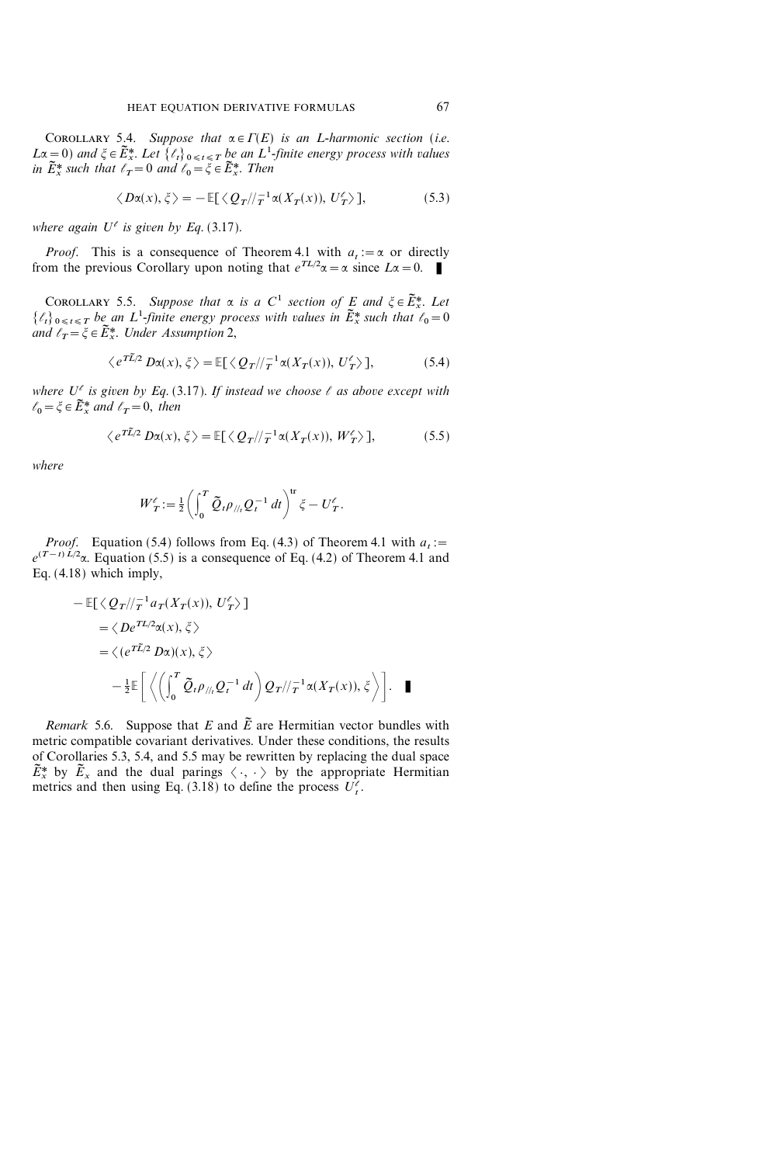COROLLARY 5.4. Suppose that  $\alpha \in \Gamma(E)$  is an L-harmonic section (i.e.  $L\alpha = 0$ ) and  $\xi \in \widetilde{E}_x^*$ . Let  $\{\ell_t\}_{0 \leq t \leq T}$  be an  $L^1$ -finite energy process with values in  $\tilde{E}^*$  such that  $\ell_T=0$  and  $\ell_0=\xi\in \tilde{E}^*$ . Then

$$
\langle D\alpha(x), \xi \rangle = -\mathbb{E}[\langle Q_T / \! /_T^{-1} \alpha(X_T(x)), U_T' \rangle],\tag{5.3}
$$

where again  $U^{\ell}$  is given by Eq. (3.17).

*Proof.* This is a consequence of Theorem 4.1 with  $a_t := \alpha$  or directly from the previous Corollary upon noting that  $e^{TL/2}\alpha = \alpha$  since  $L\alpha = 0$ .

COROLLARY 5.5. Suppose that  $\alpha$  is a C<sup>1</sup> section of E and  $\xi \in \widetilde{E}_x^*$ . Let  $\{\ell_t\}_{0\leq t\leq T}$  be an  $L^1$ -finite energy process with values in  $\tilde{E}_x^*$  such that  $\ell_0=0$ and  $\ell_{T} = \xi \in \widetilde{E}^{*}_{x}$ . Under Assumption 2,

$$
\langle e^{T\tilde{L}/2} D\alpha(x), \xi \rangle = \mathbb{E}[\langle Q_T / \rangle_T^{-1} \alpha(X_T(x)), U_T^{\ell} \rangle],\tag{5.4}
$$

where  $U^{\ell}$  is given by Eq. (3.17). If instead we choose  $\ell$  as above except with  $\ell_0 = \xi \in \tilde{E}^*$  and  $\ell_T = 0$ , then

$$
\langle e^{T\tilde{L}/2} D\alpha(x), \xi \rangle = \mathbb{E}[\langle Q_T / \rangle_T^{-1} \alpha(X_T(x)), W_T^{\ell} \rangle],\tag{5.5}
$$

where

$$
W_T' := \frac{1}{2} \left( \int_0^T \widetilde{Q}_t \rho_{//t} Q_t^{-1} dt \right)^{\text{tr}} \xi - U_T'.
$$

*Proof.* Equation (5.4) follows from Eq. (4.3) of Theorem 4.1 with  $a_i$ :=  $e^{(T-t)L/2}\alpha$ . Equation (5.5) is a consequence of Eq. (4.2) of Theorem 4.1 and Eq. (4.18) which imply,

$$
- \mathbb{E}[\langle Q_T / \rangle_T^{-1} a_T(X_T(x)), U_T' \rangle]
$$
  
\n
$$
= \langle De^{TL/2} \alpha(x), \xi \rangle
$$
  
\n
$$
= \langle (e^{TL/2} D\alpha)(x), \xi \rangle
$$
  
\n
$$
- \frac{1}{2} \mathbb{E} \left[ \langle \langle \int_0^T \tilde{Q}_t \rho_{\text{N}_t} Q_t^{-1} dt \rangle Q_T / \langle \tau^{1} \alpha(X_T(x)), \xi \rangle \right].
$$

*Remark* 5.6. Suppose that E and  $\tilde{E}$  are Hermitian vector bundles with metric compatible covariant derivatives. Under these conditions, the results of Corollaries 5.3, 5.4, and 5.5 may be rewritten by replacing the dual space  $\tilde{E}_{x}^{*}$  by  $\tilde{E}_{x}$  and the dual parings  $\langle \cdot, \cdot \rangle$  by the appropriate Hermitian metrics and then using Eq. (3.18) to define the process  $U_t^{\ell}$ .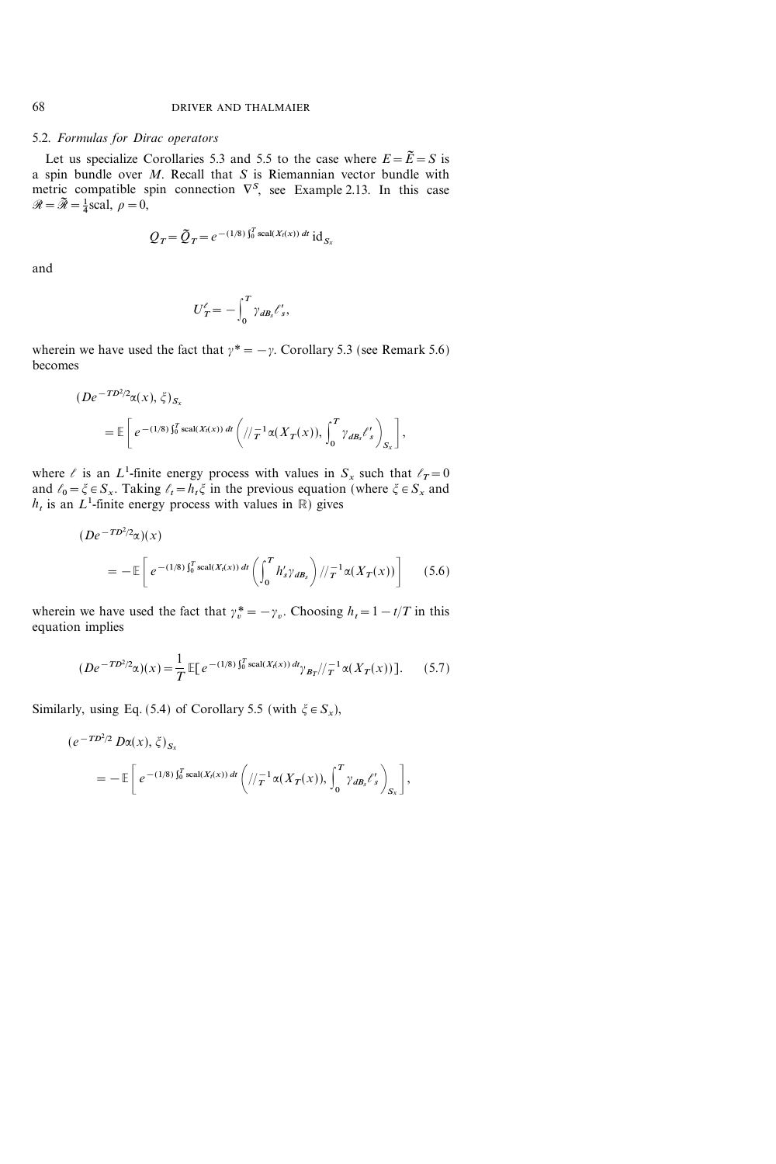#### 5.2. Formulas for Dirac operators

Let us specialize Corollaries 5.3 and 5.5 to the case where  $E = \tilde{E} = S$  is a spin bundle over  $M$ . Recall that  $S$  is Riemannian vector bundle with metric compatible spin connection  $\nabla^S$ , see Example 2.13. In this case  $\mathscr{R} = \widetilde{\mathscr{R}} = \frac{1}{4}$ scal,  $\rho = 0$ ,

$$
Q_T = \tilde{Q}_T = e^{-(1/8)\int_0^T \text{scal}(X_t(x)) dt} \text{ id}_{S_x}
$$

and

$$
U^\ell_{\,T} = -\int_0^T \gamma_{\,dB_s} \ell'_s,
$$

wherein we have used the fact that  $\gamma^* = -\gamma$ . Corollary 5.3 (see Remark 5.6) becomes

$$
(De^{-TD^2/2}\alpha(x), \zeta)_{S_x}
$$
  
=  $\mathbb{E}\left[e^{-(1/8)\int_0^T \text{scal}(X_t(x)) dt}\left(\sqrt{\frac{1}{T}}\alpha(X_T(x)), \int_0^T \gamma_{dB_s} \ell_s' \right)_{S_x}\right],$ 

where  $\ell$  is an  $L^1$ -finite energy process with values in  $S_x$  such that  $\ell_T=0$ and  $\ell_0 = \xi \in S_x$ . Taking  $\ell_t = h_t \xi$  in the previous equation (where  $\xi \in S_x$  and  $h_t$  is an  $L^1$ -finite energy process with values in  $\mathbb R$ ) gives

$$
(De^{-TD^2/2}\alpha)(x)
$$
  
=  $-\mathbb{E}\left[e^{-(1/8)\int_0^T \text{scal}(X_t(x))\,dt}\left(\int_0^T h'_s \gamma_{dB_s}\right)/\tau_1^{-1}\alpha(X_T(x))\right]$  (5.6)

wherein we have used the fact that  $\gamma_n^* = -\gamma_n$ . Choosing  $h_t = 1 - t/T$  in this equation implies

$$
(De^{-TD^2/2}\alpha)(x) = \frac{1}{T} \mathbb{E}[e^{-(1/8)\int_0^T \text{scal}(X_t(x)) \, dt} \gamma_{B_T}/\gamma_T^{-1} \alpha(X_T(x))]. \tag{5.7}
$$

Similarly, using Eq. (5.4) of Corollary 5.5 (with  $\zeta \in S_x$ ),

$$
(e^{-T D^2/2} D\alpha(x), \zeta)_{S_x}
$$
  
= 
$$
- \mathbb{E}\left[e^{-(1/8)\int_0^T \text{scal}(X_t(x)) dt} \left(\frac{1}{T} \alpha(X_T(x)), \int_0^T \gamma_{dB_s} \ell_s' \right)_{S_x}\right],
$$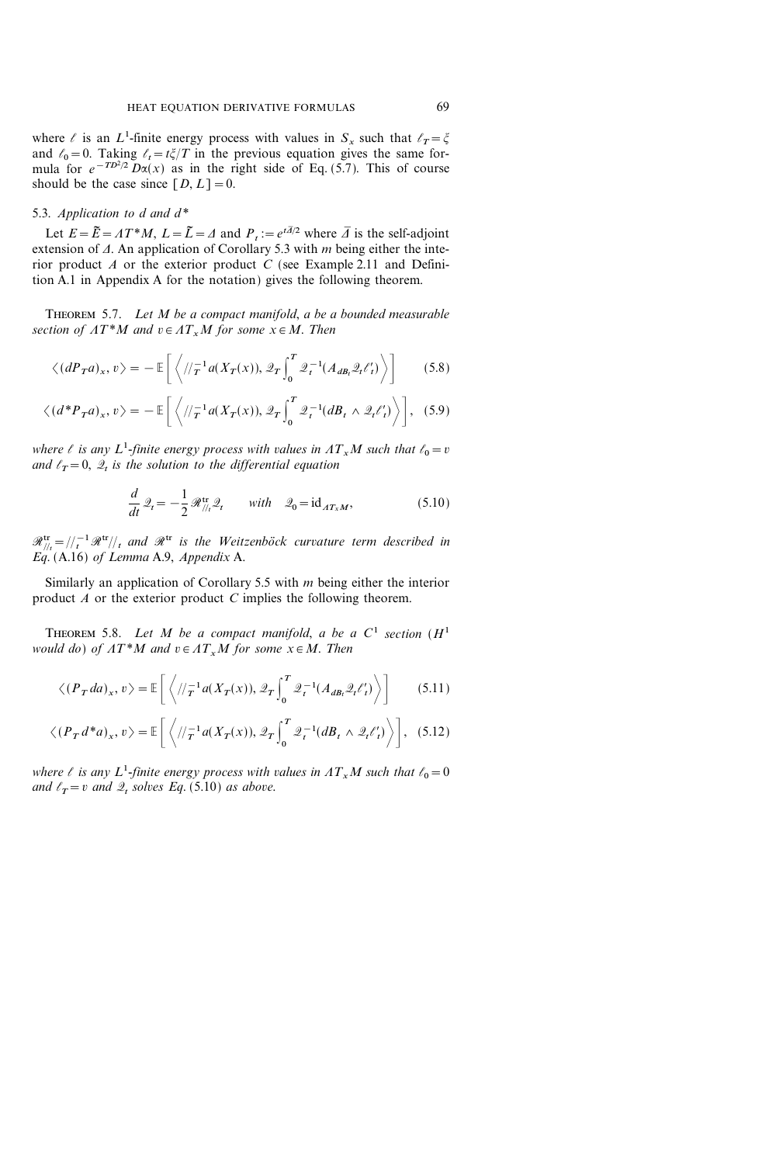where  $\ell$  is an  $L^1$ -finite energy process with values in  $S_x$  such that  $\ell_T = \xi$ and  $\ell_0=0$ . Taking  $\ell_t=t\xi/T$  in the previous equation gives the same formula for  $e^{-T D^2/2} D\alpha(x)$  as in the right side of Eq. (5.7). This of course should be the case since  $[D, L]=0$ .

## 5.3. Application to d and  $d^*$

Let  $E = \tilde{E} = \Lambda T^*M$ ,  $L = \tilde{L} = \Lambda$  and  $P_t := e^{t\overline{A}/2}$  where  $\overline{\Lambda}$  is the self-adjoint extension of  $\Delta$ . An application of Corollary 5.3 with m being either the interior product  $A$  or the exterior product  $C$  (see Example 2.11 and Definition A.1 in Appendix A for the notation) gives the following theorem.

THEOREM 5.7. Let M be a compact manifold, a be a bounded measurable section of  $AT^*M$  and  $v \in AT_xM$  for some  $x \in M$ . Then

$$
\langle (dP_T a)_x, v \rangle = -\mathbb{E}\bigg[\left\langle //\tau^{-1} a(X_T(x)), \mathcal{Q}_T \int_0^T \mathcal{Q}_t^{-1}(A_{dB_t} \mathcal{Q}_t \ell_t') \right\rangle \bigg] \tag{5.8}
$$

$$
\langle (d^*P_T a)_x, v \rangle = -\mathbb{E}\bigg[\bigg\langle //\tau^1 a(X_T(x)), \mathcal{Q}_T \int_0^T \mathcal{Q}_t^{-1}(dB_t \wedge \mathcal{Q}_t \ell_t') \bigg\rangle \bigg], \quad (5.9)
$$

where  $\ell$  is any  $L^1$ -finite energy process with values in  $AT_xM$  such that  $\ell_0=v$ and  $\ell_T=0$ ,  $\mathcal{Q}_t$  is the solution to the differential equation

$$
\frac{d}{dt}\mathcal{Q}_t = -\frac{1}{2}\mathcal{R}_{\text{III}}^{\text{tr}}\mathcal{Q}_t \quad \text{with} \quad \mathcal{Q}_0 = \text{id}_{AT_xM},\tag{5.10}
$$

 $\mathscr{R}^{\text{tr}}_{/}/\tau = / \frac{1}{t} \mathscr{R}^{\text{tr}}/ \frac{1}{t}$  and  $\mathscr{R}^{\text{tr}}$  is the Weitzenböck curvature term described in Eq.  $(A.16)$  of Lemma A.9, Appendix A.

Similarly an application of Corollary 5.5 with  $m$  being either the interior product A or the exterior product C implies the following theorem.

THEOREM 5.8. Let M be a compact manifold, a be a  $C^1$  section  $(H^1)$ would do) of  $AT^*M$  and  $v \in AT_xM$  for some  $x \in M$ . Then

$$
\langle (P_T da)_x, v \rangle = \mathbb{E}\left[\left\langle / \frac{1}{T} a(X_T(x)), \mathcal{Q}_T \int_0^T \mathcal{Q}_t^{-1}(A_{dB_t} \mathcal{Q}_t \ell_t') \right\rangle\right] \tag{5.11}
$$

$$
\langle (P_T d^* a)_x, v \rangle = \mathbb{E}\bigg[\left\langle / \langle f^{-1} a(X_T(x)), \mathcal{Q}_T \int_0^T \mathcal{Q}_t^{-1}(dB_t \wedge \mathcal{Q}_t \ell_t') \right\rangle\bigg], \quad (5.12)
$$

where  $\ell$  is any  $L^1$ -finite energy process with values in  $AT_xM$  such that  $\ell_0=0$ and  $\ell_T=v$  and  $\mathcal{Q}_t$  solves Eq. (5.10) as above.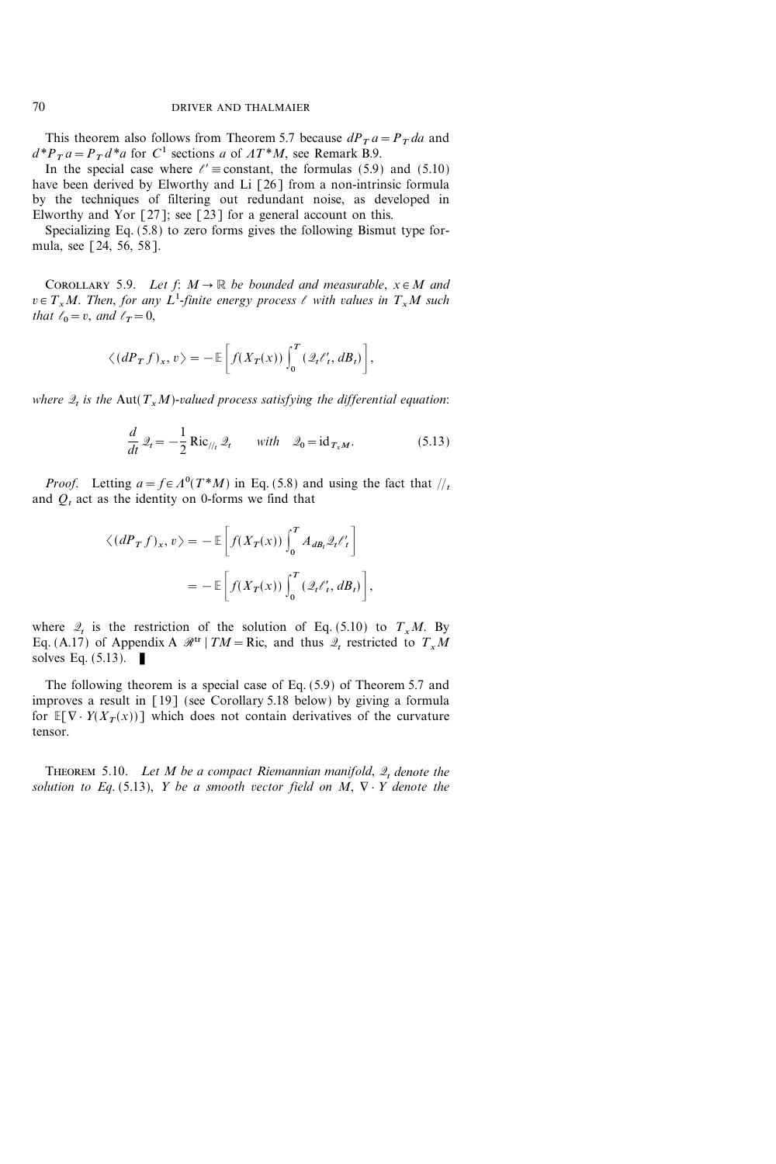This theorem also follows from Theorem 5.7 because  $dP_T a = P_T da$  and  $d^*P_T a = P_T d^*a$  for C<sup>1</sup> sections a of  $AT^*M$ , see Remark B.9.

In the special case where  $\ell' \equiv$  constant, the formulas (5.9) and (5.10) have been derived by Elworthy and Li [26] from a non-intrinsic formula by the techniques of filtering out redundant noise, as developed in Elworthy and Yor  $[27]$ ; see  $[23]$  for a general account on this.

Specializing Eq. (5.8) to zero forms gives the following Bismut type formula, see [24, 56, 58].

COROLLARY 5.9. Let  $f: M \to \mathbb{R}$  be bounded and measurable,  $x \in M$  and  $v \in T_xM$ . Then, for any L<sup>1</sup>-finite energy process  $\ell$  with values in  $T_xM$  such that  $\ell_0=v$ , and  $\ell_T=0$ ,

$$
\langle (dP_T f)_x, v \rangle = -\mathbb{E}\bigg[f(X_T(x))\int_0^T (\mathcal{Q}_t \ell'_t, dB_t)\bigg],
$$

where  $\mathcal{Q}_t$  is the Aut( $T_xM$ )-valued process satisfying the differential equation:

$$
\frac{d}{dt}\mathcal{Q}_t = -\frac{1}{2}\operatorname{Ric}_{\mathcal{U}_t}\mathcal{Q}_t \quad \text{with} \quad \mathcal{Q}_0 = \operatorname{id}_{T_xM}.\tag{5.13}
$$

*Proof.* Letting  $a = f \in A^0(T^*M)$  in Eq. (5.8) and using the fact that  $\frac{1}{t}$ and  $Q_t$  act as the identity on 0-forms we find that

$$
\langle (dP_T f)_x, v \rangle = -\mathbb{E}\left[f(X_T(x))\int_0^T A_{dB_t} \mathcal{Q}_t \ell'_t\right]
$$
  
= 
$$
-\mathbb{E}\left[f(X_T(x))\int_0^T (\mathcal{Q}_t \ell'_t, dB_t)\right],
$$

where  $\mathcal{Q}_t$  is the restriction of the solution of Eq. (5.10) to  $T_xM$ . By Eq. (A.17) of Appendix A  $\mathcal{R}^{tr}$  | TM = Ric, and thus  $\mathcal{Q}_t$  restricted to  $T_xM$ solves Eq.  $(5.13)$ .

The following theorem is a special case of Eq. (5.9) of Theorem 5.7 and improves a result in [19] (see Corollary 5.18 below) by giving a formula for  $E[\nabla \cdot Y(X_T(x))]$  which does not contain derivatives of the curvature tensor.

THEOREM 5.10. Let M be a compact Riemannian manifold,  $\mathcal{Q}_t$  denote the solution to Eq. (5.13), Y be a smooth vector field on M,  $\nabla \cdot Y$  denote the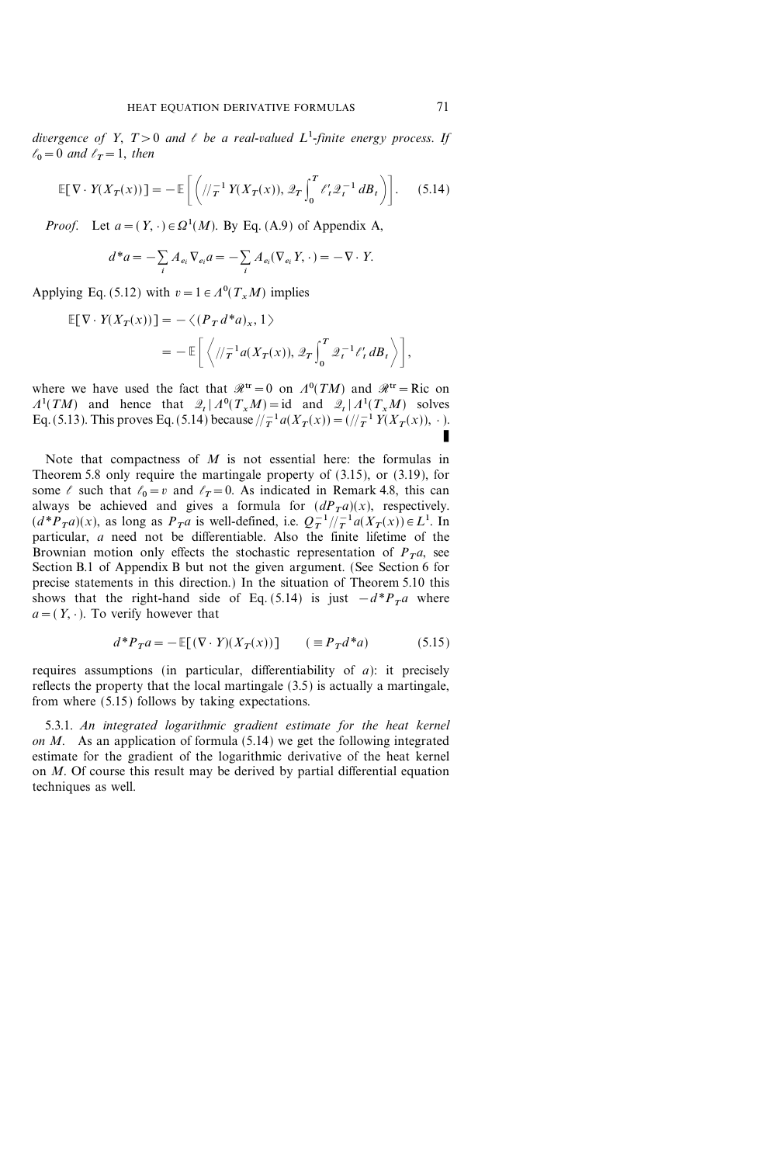divergence of Y,  $T>0$  and  $\ell$  be a real-valued  $L^1$ -finite energy process. If  $\ell_0=0$  and  $\ell_T=1$ , then

$$
\mathbb{E}[\nabla \cdot Y(X_T(x))] = -\mathbb{E}\left[\left(\sqrt{\frac{1}{T}} Y(X_T(x)), \mathcal{Q}_T \int_0^T \ell'_t \mathcal{Q}_t^{-1} dB_t\right)\right].
$$
 (5.14)

*Proof.* Let  $a = (Y, \cdot) \in \Omega^1(M)$ . By Eq. (A.9) of Appendix A,

$$
d^*a = -\sum_i A_{e_i} \nabla_{e_i} a = -\sum_i A_{e_i} (\nabla_{e_i} Y, \cdot) = -\nabla \cdot Y.
$$

Applying Eq. (5.12) with  $v = 1 \in A^0(T_x M)$  implies

$$
\mathbb{E}[\nabla \cdot Y(X_T(x))] = -\langle (P_T d^* a)_x, 1 \rangle
$$
  
= 
$$
-\mathbb{E}\left[\langle / \langle T^{-1} a(X_T(x)), \mathcal{Q}_T \int_0^T \mathcal{Q}_t^{-1} \ell'_t dB_t \rangle \right],
$$

where we have used the fact that  $\mathcal{R}^{tr} = 0$  on  $\Lambda^0(TM)$  and  $\mathcal{R}^{tr} = \text{Ric}$  on  $A^1(TM)$  and hence that  $\mathcal{Q}_t | A^0(T_xM) = id$  and  $\mathcal{Q}_t | A^1(T_xM)$  solves Eq. (5.13). This proves Eq. (5.14) because  $/_{T}^{-1} a(X_{T}(x)) = (1/T^{1} Y(X_{T}(x)), \cdot)$ . K

Note that compactness of  $M$  is not essential here: the formulas in Theorem 5.8 only require the martingale property of (3.15), or (3.19), for some  $\ell$  such that  $\ell_0 = v$  and  $\ell_T = 0$ . As indicated in Remark 4.8, this can always be achieved and gives a formula for  $(dP_Ta)(x)$ , respectively.  $(d^*P_Ta)(x)$ , as long as  $P_Ta$  is well-defined, i.e.  $Q_T^{-1}/T^{-1}a(X_T(x)) \in L^1$ . In particular, a need not be differentiable. Also the finite lifetime of the Brownian motion only effects the stochastic representation of  $P_T a$ , see Section B.1 of Appendix B but not the given argument. (See Section 6 for precise statements in this direction.) In the situation of Theorem 5.10 this shows that the right-hand side of Eq. (5.14) is just  $-d^*P_Ta$  where  $a=(Y, \cdot)$ . To verify however that

$$
d^*P_T a = -\mathbb{E}[(\nabla \cdot Y)(X_T(x))] \qquad (\equiv P_T d^* a) \tag{5.15}
$$

requires assumptions (in particular, differentiability of  $a$ ): it precisely reflects the property that the local martingale (3.5) is actually a martingale, from where (5.15) follows by taking expectations.

5.3.1. An integrated logarithmic gradient estimate for the heat kernel on M. As an application of formula (5.14) we get the following integrated estimate for the gradient of the logarithmic derivative of the heat kernel on M. Of course this result may be derived by partial differential equation techniques as well.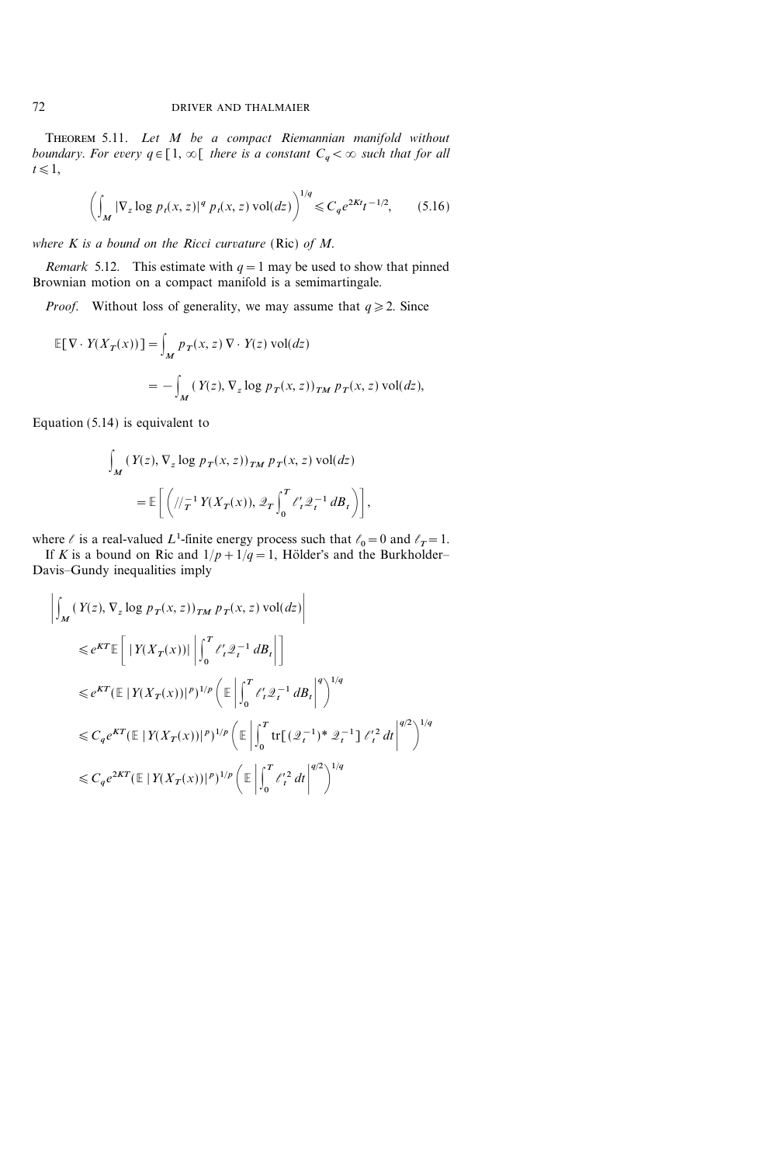THEOREM 5.11. Let M be a compact Riemannian manifold without boundary. For every  $q \in [1, \infty[$  there is a constant  $C_q < \infty$  such that for all  $t \leq 1$ ,

$$
\left(\int_M |\nabla_z \log p_t(x, z)|^q \ p_t(x, z) \text{ vol}(dz)\right)^{1/q} \leq C_q e^{2Kt} t^{-1/2},\tag{5.16}
$$

where  $K$  is a bound on the Ricci curvature (Ric) of  $M$ .

*Remark* 5.12. This estimate with  $q=1$  may be used to show that pinned Brownian motion on a compact manifold is a semimartingale.

*Proof.* Without loss of generality, we may assume that  $q \ge 2$ . Since

$$
\mathbb{E}[\nabla \cdot Y(X_T(x))] = \int_M p_T(x, z) \nabla \cdot Y(z) \operatorname{vol}(dz)
$$
  
= 
$$
- \int_M (Y(z), \nabla_z \log p_T(x, z))_{TM} p_T(x, z) \operatorname{vol}(dz),
$$

Equation (5.14) is equivalent to

$$
\int_M (Y(z), \nabla_z \log p_T(x, z))_{TM} p_T(x, z) \operatorname{vol}(dz)
$$
  
=  $\mathbb{E}\left[\left(\sqrt{\frac{1}{T}} Y(X_T(x)), \mathcal{Q}_T \int_0^T \ell'_t \mathcal{Q}_t^{-1} dB_t\right)\right],$ 

where  $\ell$  is a real-valued L<sup>1</sup>-finite energy process such that  $\ell_0=0$  and  $\ell_T=1$ .

If K is a bound on Ric and  $1/p+1/q=1$ , Hölder's and the Burkholder-Davis-Gundy inequalities imply

$$
\left| \int_{M} (Y(z), \nabla_{z} \log p_{T}(x, z))_{TM} p_{T}(x, z) \operatorname{vol}(dz) \right|
$$
  
\n
$$
\leq e^{KT} \mathbb{E} \left[ |Y(X_{T}(x))| \left| \int_{0}^{T} \ell_{t}^{n} 2_{t}^{-1} dB_{t} \right| \right]
$$
  
\n
$$
\leq e^{KT} (\mathbb{E} |Y(X_{T}(x))|^{p})^{1/p} \left( \mathbb{E} \left| \int_{0}^{T} \ell_{t}^{n} 2_{t}^{-1} dB_{t} \right|^{q} \right)^{1/q}
$$
  
\n
$$
\leq C_{q} e^{KT} (\mathbb{E} |Y(X_{T}(x))|^{p})^{1/p} \left( \mathbb{E} \left| \int_{0}^{T} \text{tr} \left[ (\mathcal{Q}_{t}^{-1})^{*} \mathcal{Q}_{t}^{-1} \right] \ell_{t}^{n} dt \right|^{q/2} \right)^{1/q}
$$
  
\n
$$
\leq C_{q} e^{2KT} (\mathbb{E} |Y(X_{T}(x))|^{p})^{1/p} \left( \mathbb{E} \left| \int_{0}^{T} \ell_{t}^{n} dt \right|^{q/2} \right)^{1/q}
$$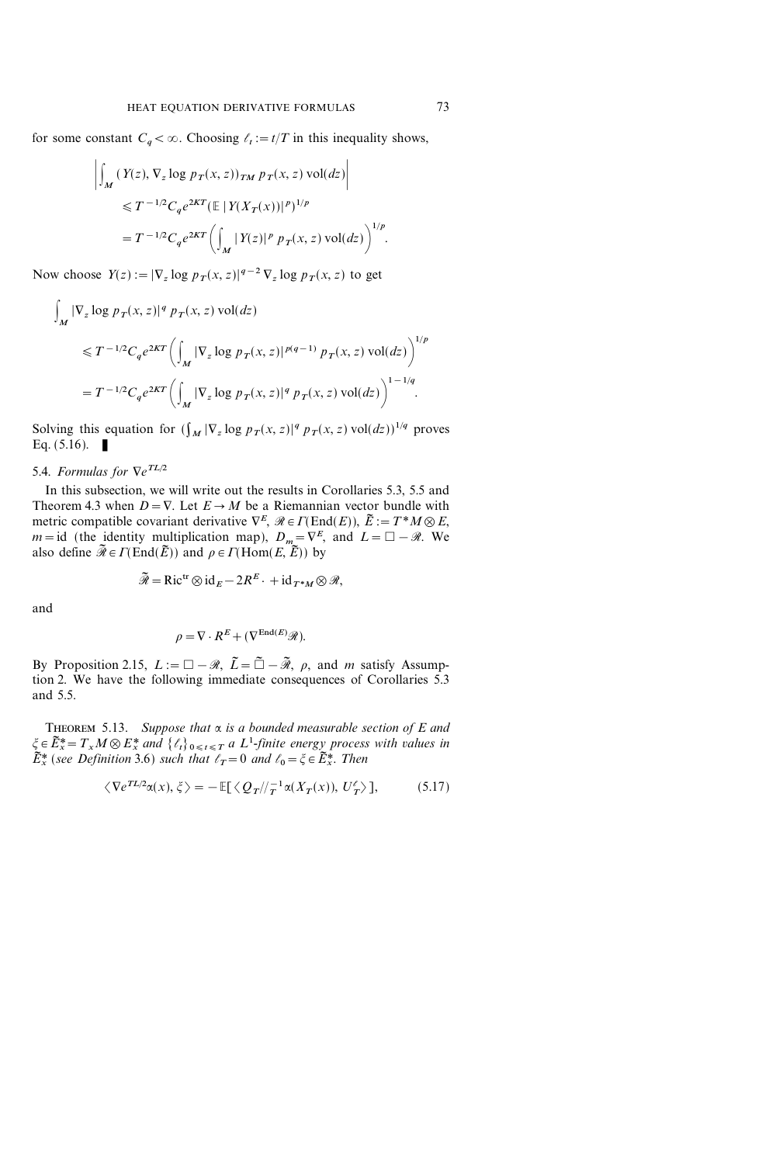for some constant  $C_a < \infty$ . Choosing  $\ell_t := t/T$  in this inequality shows,

$$
\left| \int_{M} (Y(z), \nabla_{z} \log p_{T}(x, z))_{TM} p_{T}(x, z) \operatorname{vol}(dz) \right|
$$
  

$$
\leq T^{-1/2} C_{q} e^{2KT} (\mathbb{E} |Y(X_{T}(x))|^{p})^{1/p}
$$
  

$$
= T^{-1/2} C_{q} e^{2KT} \left( \int_{M} |Y(z)|^{p} p_{T}(x, z) \operatorname{vol}(dz) \right)^{1/p}.
$$

Now choose  $Y(z) := |\nabla_z \log p_T(x, z)|^{q-2} \nabla_z \log p_T(x, z)$  to get

$$
\int_{M} |\nabla_{z} \log p_{T}(x, z)|^{q} p_{T}(x, z) \operatorname{vol}(dz)
$$
\n
$$
\leq T^{-1/2} C_{q} e^{2KT} \left( \int_{M} |\nabla_{z} \log p_{T}(x, z)|^{p(q-1)} p_{T}(x, z) \operatorname{vol}(dz) \right)^{1/p}
$$
\n
$$
= T^{-1/2} C_{q} e^{2KT} \left( \int_{M} |\nabla_{z} \log p_{T}(x, z)|^{q} p_{T}(x, z) \operatorname{vol}(dz) \right)^{1-1/q}.
$$

Solving this equation for  $(\int_M |\nabla_z \log p_T(x, z)|^q p_T(x, z)$  vol $(dz))^{1/q}$  proves Eq.  $(5.16)$ .

# 5.4. Formulas for  $\nabla e^{TL/2}$

In this subsection, we will write out the results in Corollaries 5.3, 5.5 and Theorem 4.3 when  $D = \nabla$ . Let  $E \rightarrow M$  be a Riemannian vector bundle with metric compatible covariant derivative  $\nabla^E$ ,  $\mathcal{R} \in \Gamma(\text{End}(E))$ ,  $\tilde{E} := T^*M \otimes E$ ,  $m=$ id (the identity multiplication map),  $D_m={\nabla}^E$ , and  $L={\square}-\mathcal{R}$ . We also define  $\widetilde{\mathcal{R}} \in \Gamma(\text{End}(\widetilde{E}))$  and  $\rho \in \Gamma(\text{Hom}(E, \widetilde{E}))$  by

$$
\widetilde{\mathcal{R}} = \text{Ric}^{\text{tr}} \otimes \text{id}_{E} - 2R^{E} \cdot + \text{id}_{T^{*}M} \otimes \mathcal{R},
$$

and

$$
\rho = \nabla \cdot R^E + (\nabla^{\text{End}(E)} \mathscr{R}).
$$

By Proposition 2.15,  $L := \square - \mathcal{R}, \ \tilde{L} = \tilde{\square} - \tilde{\mathcal{R}}, \ \rho, \ \text{and} \ m \ \text{satisfy Assump-}$ tion 2. We have the following immediate consequences of Corollaries 5.3 and 5.5.

THEOREM 5.13. Suppose that  $\alpha$  is a bounded measurable section of E and  $\xi \in \widetilde{E}^*_x = T_x M \otimes E^*_x$  and  $\{\ell_t\}_{0 \leq t \leq T}$  a  $L^1$ -finite energy process with values in  $\tilde{E}^*_x$  (see Definition 3.6) such that  $\ell_T=0$  and  $\ell_0=\xi \in \tilde{E}^*_x$ . Then

$$
\langle \nabla e^{TL/2} \alpha(x), \xi \rangle = -\mathbb{E}[\langle Q_T / \! /_T^{-1} \alpha(X_T(x)), U_T' \rangle],\tag{5.17}
$$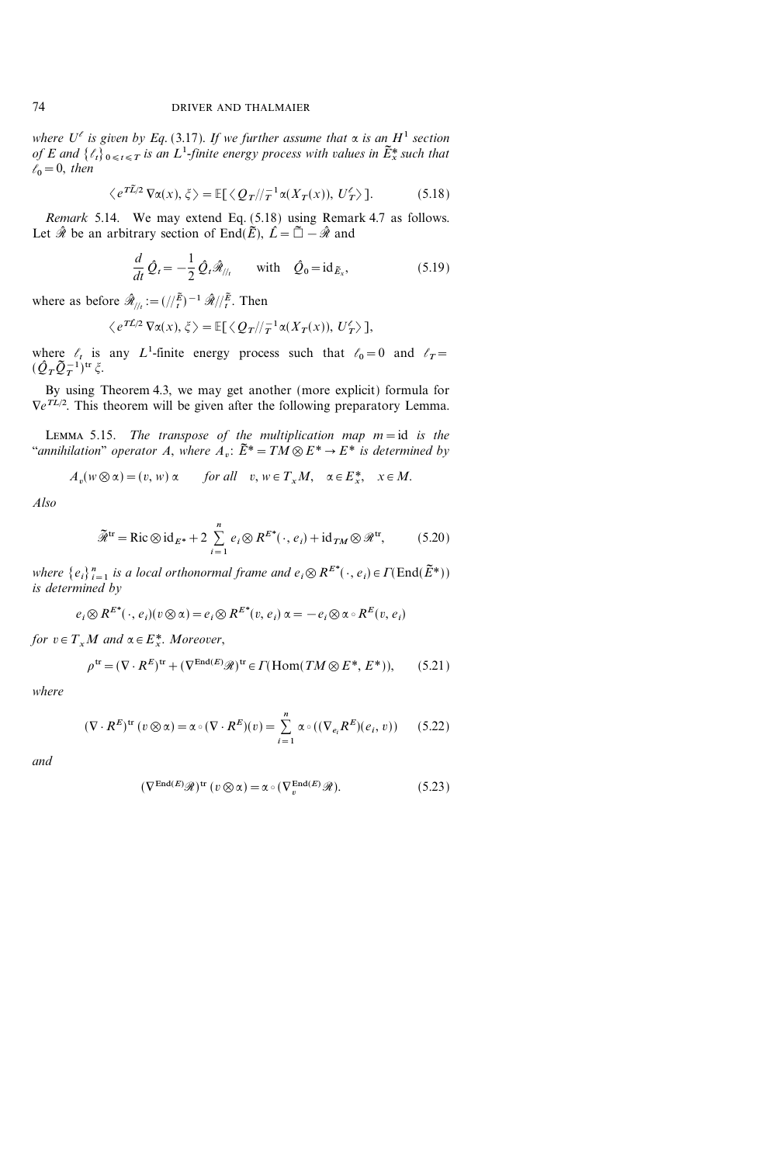where  $U^{\ell}$  is given by Eq. (3.17). If we further assume that  $\alpha$  is an H<sup>1</sup> section of E and  $\{\ell_t\}_{0\leq t\leq T}$  is an  $L^1$ -finite energy process with values in  $\tilde{E}_x^*$  such that  $\ell_0=0$ , then

$$
\langle e^{T\tilde{L}/2} \nabla \alpha(x), \xi \rangle = \mathbb{E}[\langle Q_T / \rangle_T^{-1} \alpha(X_T(x)), U_T^{\ell} \rangle]. \tag{5.18}
$$

Remark 5.14. We may extend Eq. (5.18) using Remark 4.7 as follows. Let  $\hat{\mathcal{R}}$  be an arbitrary section of End( $\tilde{E}$ ),  $\hat{L}=\tilde{\Box}-\hat{\mathcal{R}}$  and

$$
\frac{d}{dt}\hat{Q}_t = -\frac{1}{2}\hat{Q}_t\hat{\mathcal{R}}_{/h} \quad \text{with} \quad \hat{Q}_0 = \mathrm{id}_{\tilde{E}_x},\tag{5.19}
$$

where as before  $\hat{\mathcal{R}}_{//t} := (//_{t}^{\tilde{E}})^{-1} \hat{\mathcal{R}}//_{t}^{\tilde{E}}$ . Then

$$
\langle e^{T\hat{L}/2} \nabla \alpha(x), \xi \rangle = \mathbb{E}[\langle Q_T / \rangle_T^{-1} \alpha(X_T(x)), U_T^{\ell} \rangle],
$$

where  $\ell_t$  is any L<sup>1</sup>-finite energy process such that  $\ell_0=0$  and  $\ell_T=$  $(\hat{{\cal Q}}_T\tilde{{\cal Q}}_T^{-1})^{{\rm tr}}\,\tilde{\zeta}.$ 

By using Theorem 4.3, we may get another (more explicit) formula for  $\nabla e^{TL/2}$ . This theorem will be given after the following preparatory Lemma.

LEMMA 5.15. The transpose of the multiplication map  $m = id$  is the "annihilation" operator A, where  $A_n$ :  $\tilde{E}^* = TM \otimes E^* \to E^*$  is determined by

$$
A_v(w \otimes \alpha) = (v, w) \alpha \qquad \text{for all} \quad v, w \in T_x M, \quad \alpha \in E_x^*, \quad x \in M.
$$

Also

$$
\widetilde{\mathcal{R}}^{\text{tr}} = \text{Ric}\otimes\text{id}_{E^*} + 2\sum_{i=1}^n e_i\otimes R^{E^*}(\cdot, e_i) + \text{id}_{TM}\otimes\mathcal{R}^{\text{tr}},\tag{5.20}
$$

where  $\{e_i\}_{i=1}^n$  is a local orthonormal frame and  $e_i \otimes R^{E^*}(\cdot, e_i) \in \Gamma(\text{End}(\widetilde{E}^*))$ is determined by

$$
e_i \otimes R^{E^*}(\cdot, e_i)(v \otimes \alpha) = e_i \otimes R^{E^*}(v, e_i) \alpha = -e_i \otimes \alpha \circ R^{E}(v, e_i)
$$

for  $v \in T_xM$  and  $\alpha \in E^*_x$ . Moreover,

$$
\rho^{\text{tr}} = (\nabla \cdot R^E)^{\text{tr}} + (\nabla^{\text{End}(E)} \mathcal{R})^{\text{tr}} \in \Gamma(\text{Hom}(TM \otimes E^*, E^*)),\tag{5.21}
$$

where

$$
(\nabla \cdot R^E)^{\text{tr}}(v \otimes \alpha) = \alpha \circ (\nabla \cdot R^E)(v) = \sum_{i=1}^n \alpha \circ ((\nabla_{e_i} R^E)(e_i, v)) \qquad (5.22)
$$

and

$$
(\nabla^{\mathrm{End}(E)}\mathcal{R})^{\mathrm{tr}}(v\otimes\alpha) = \alpha \circ (\nabla_v^{\mathrm{End}(E)}\mathcal{R}).
$$
\n(5.23)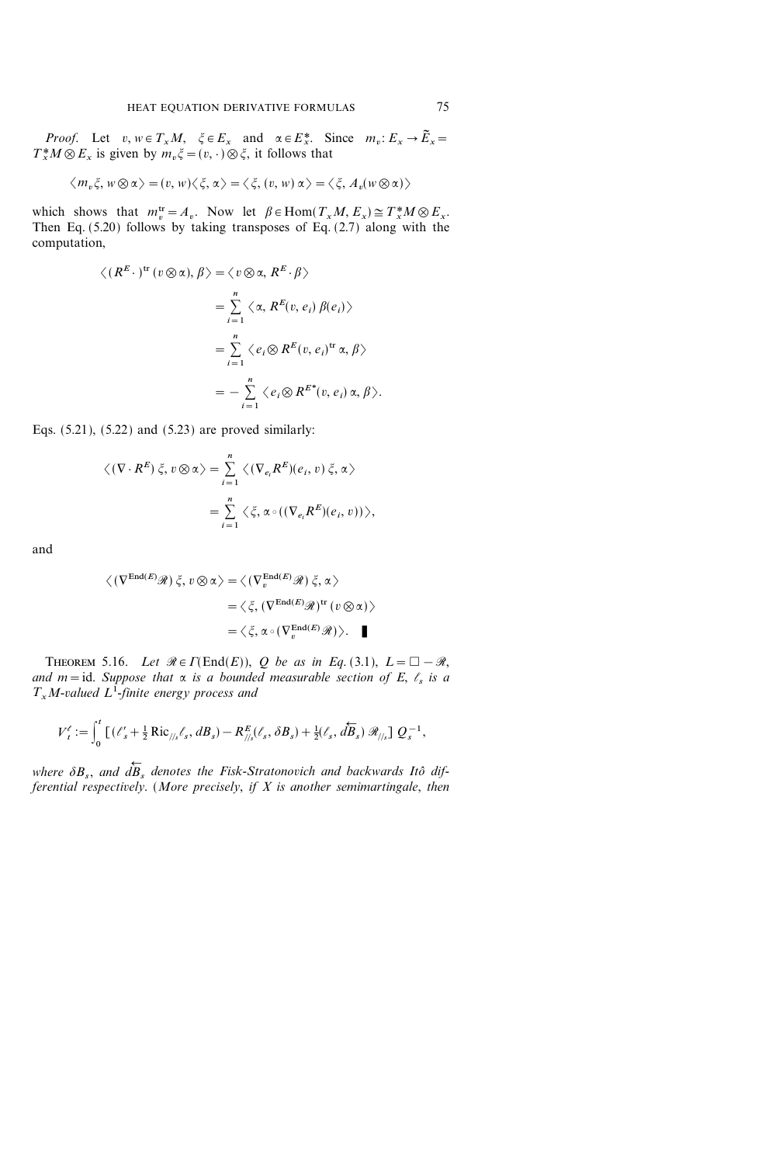*Proof.* Let  $v, w \in T_xM$ ,  $\xi \in E_x$  and  $\alpha \in E_x^*$ . Since  $m_v : E_x \to \tilde{E}_x$  $T^*_{x}M \otimes E_x$  is given by  $m_v \xi = (v, \cdot) \otimes \xi$ , it follows that

$$
\langle m_v \xi, w \otimes \alpha \rangle = (v, w) \langle \xi, \alpha \rangle = \langle \xi, (v, w) \alpha \rangle = \langle \xi, A_v (w \otimes \alpha) \rangle
$$

which shows that  $m_v^{\text{tr}} = A_v$ . Now let  $\beta \in \text{Hom}(T_xM, E_x) \cong T_x^*M \otimes E_x$ . Then Eq.  $(5.20)$  follows by taking transposes of Eq.  $(2.7)$  along with the computation,

$$
\langle (R^{E} \cdot)^{\text{tr}} (v \otimes \alpha), \beta \rangle = \langle v \otimes \alpha, R^{E} \cdot \beta \rangle
$$
  
= 
$$
\sum_{i=1}^{n} \langle \alpha, R^{E}(v, e_{i}) \beta(e_{i}) \rangle
$$
  
= 
$$
\sum_{i=1}^{n} \langle e_{i} \otimes R^{E}(v, e_{i})^{\text{tr}} \alpha, \beta \rangle
$$
  
= 
$$
- \sum_{i=1}^{n} \langle e_{i} \otimes R^{E^{*}}(v, e_{i}) \alpha, \beta \rangle.
$$

Eqs. (5.21), (5.22) and (5.23) are proved similarly:

$$
\langle (\nabla \cdot R^E) \xi, v \otimes \alpha \rangle = \sum_{i=1}^n \langle (\nabla_{e_i} R^E)(e_i, v) \xi, \alpha \rangle
$$
  
= 
$$
\sum_{i=1}^n \langle \xi, \alpha \circ ((\nabla_{e_i} R^E)(e_i, v)) \rangle,
$$

and

$$
\langle (\nabla^{\text{End}(E)} \mathcal{R}) \xi, v \otimes \alpha \rangle = \langle (\nabla_v^{\text{End}(E)} \mathcal{R}) \xi, \alpha \rangle
$$
  

$$
= \langle \xi, (\nabla^{\text{End}(E)} \mathcal{R})^{\text{tr}} (v \otimes \alpha) \rangle
$$
  

$$
= \langle \xi, \alpha \circ (\nabla_v^{\text{End}(E)} \mathcal{R}) \rangle. \quad \blacksquare
$$

THEOREM 5.16. Let  $\mathcal{R} \in \Gamma(\text{End}(E)), Q$  be as in Eq. (3.1),  $L = \square - \mathcal{R}$ , and  $m = id$ . Suppose that  $\alpha$  is a bounded measurable section of E,  $\ell_s$  is a  $T_xM$ -valued  $L^1$ -finite energy process and

$$
V_t^{\ell} := \int_0^t \left[ \left( \ell_s' + \frac{1}{2} \text{Ric}_{\frac{1}{s}}, \ell_s, dB_s \right) - R_{\frac{1}{s}}^E(\ell_s, \delta B_s) + \frac{1}{2} (\ell_s, d\overleftarrow{B}_s) \mathcal{R}_{\frac{1}{s}} \right] Q_s^{-1},
$$

where  $\delta B_s$ , and  $dB_s$  $\leftarrow$  $B_s$  denotes the Fisk-Stratonovich and backwards Itô differential respectively. (More precisely, if  $X$  is another semimartingale, then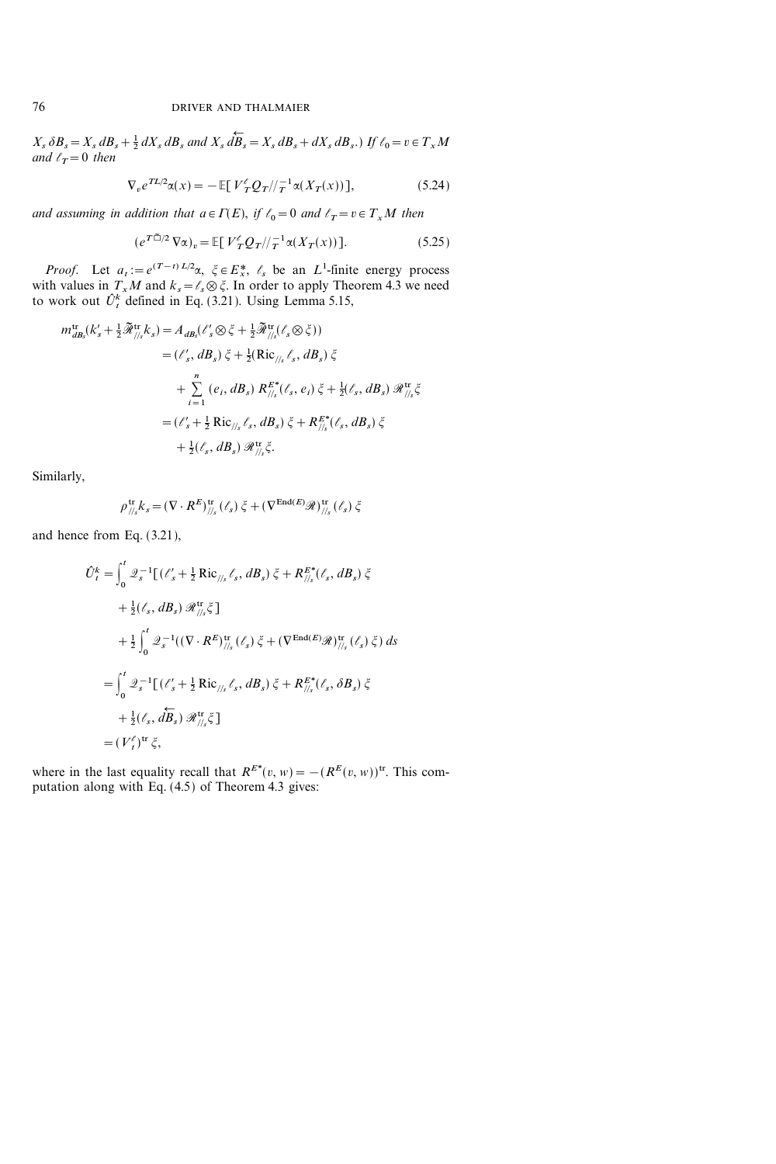$X_s \, \delta B_s = X_s \, dB_s + \frac{1}{2} \, dX_s \, dB_s$  and  $X_s \, d\dot{B}_s$  $\leftarrow$  $B_s = X_s dB_s + dX_s dB_s.$ ) If  $\ell_0 = v \in T_x M$ and  $\ell_T=0$  then

$$
\nabla_v e^{TL/2} \alpha(x) = -\mathbb{E}[V_T^{\ell} Q_T / \tau^{-1} \alpha(X_T(x))],\tag{5.24}
$$

and assuming in addition that  $a \in \Gamma(E)$ , if  $\ell_0=0$  and  $\ell_T=v \in T_xM$  then

$$
\left(e^{T\tilde{\Box}/2}\,\nabla\alpha\right)_v = \mathbb{E}\left[\,V_T^{\ell}\mathcal{Q}_T/\big/\,^{-1}\alpha(X_T(x))\,\right].\tag{5.25}
$$

*Proof.* Let  $a_t := e^{(T-t)L/2}\alpha$ ,  $\xi \in E^*_x$ ,  $\ell_s$  be an  $L^1$ -finite energy process with values in  $T_xM$  and  $k_s = l_s \otimes \xi$ . In order to apply Theorem 4.3 we need to work out  $\hat{U}_t^k$  defined in Eq. (3.21). Using Lemma 5.15,

$$
m_{dB_s}^{\text{tr}}(k_s' + \frac{1}{2}\tilde{\mathcal{R}}_{//s}^{\text{tr}}k_s) = A_{dB_s}(\ell_s' \otimes \xi + \frac{1}{2}\tilde{\mathcal{R}}_{//s}^{\text{tr}}(\ell_s \otimes \xi))
$$
  

$$
= (\ell_s', dB_s) \xi + \frac{1}{2}(\text{Ric}_{//s} \ell_s, dB_s) \xi
$$
  

$$
+ \sum_{i=1}^n (e_i, dB_s) R_{//s}^{E^*}(\ell_s, e_i) \xi + \frac{1}{2}(\ell_s, dB_s) \mathcal{R}_{//s}^{\text{tr}}\xi
$$
  

$$
= (\ell_s' + \frac{1}{2}\text{Ric}_{//s} \ell_s, dB_s) \xi + R_{//s}^{E^*}(\ell_s, dB_s) \xi
$$
  

$$
+ \frac{1}{2}(\ell_s, dB_s) \mathcal{R}_{//s}^{\text{tr}}\xi.
$$

Similarly,

$$
\rho^{\text{tr}}_{/\!/_{\!s}}k_s\!=\!({\nabla\cdot R^{E}})^{\text{tr}}_{/\!/_{\!s}}\left(\ell_s\right)\xi+({\nabla^{\text{End}(E)}\mathscr{R}})^{\text{tr}}_{/\!/_{\!s}}\left(\ell_s\right)\xi
$$

and hence from Eq. (3.21),

$$
\hat{U}_{t}^{k} = \int_{0}^{t} \mathcal{Q}_{s}^{-1} \left[ (\ell'_{s} + \frac{1}{2} \text{Ric}_{\text{//s}} \ell_{s}, dB_{s}) \xi + R_{\text{//s}}^{E*} (\ell_{s}, dB_{s}) \xi \right]
$$
  
+  $\frac{1}{2} (\ell_{s}, dB_{s}) \mathcal{R}_{\text{//s}}^{\text{tr}} \xi$   
+  $\frac{1}{2} \int_{0}^{t} \mathcal{Q}_{s}^{-1} ((\nabla \cdot R^{E})_{\text{//s}}^{\text{tr}} (\ell_{s}) \xi + (\nabla^{\text{End}(E)} \mathcal{R})_{\text{//s}}^{\text{tr}} (\ell_{s}) \xi) ds$   
=  $\int_{0}^{t} \mathcal{Q}_{s}^{-1} \left[ (\ell'_{s} + \frac{1}{2} \text{Ric}_{\text{//s}} \ell_{s}, dB_{s}) \xi + R_{\text{//s}}^{E*} (\ell_{s}, \delta B_{s}) \xi \right]$   
+  $\frac{1}{2} (\ell_{s}, d\overline{B}_{s}) \mathcal{R}_{\text{//s}}^{\text{tr}} \xi$   
=  $(V_{t}^{\ell})^{\text{tr}} \xi$ ,

where in the last equality recall that  $R^{E^*}(v, w) = -(R^E(v, w))^{\text{tr}}$ . This computation along with Eq. (4.5) of Theorem 4.3 gives: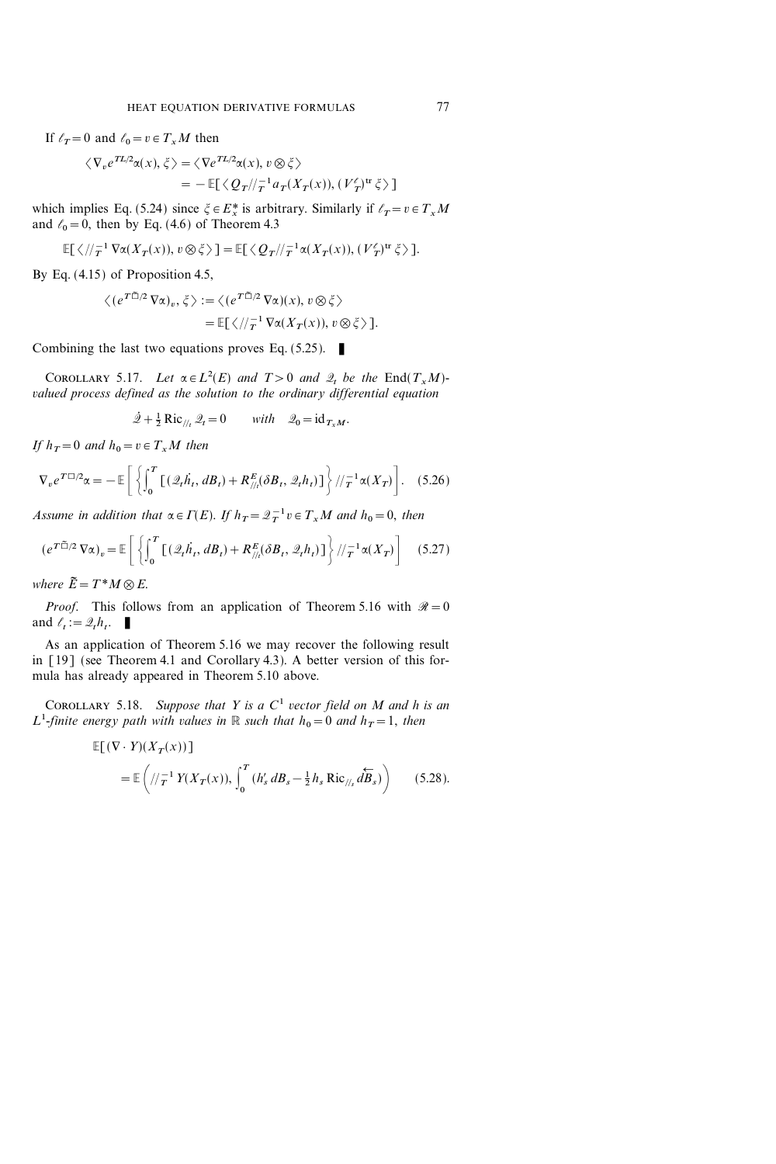If  $\ell_T=0$  and  $\ell_0=v\in T_xM$  then

$$
\langle \nabla_v e^{TL/2} \alpha(x), \xi \rangle = \langle \nabla e^{TL/2} \alpha(x), v \otimes \xi \rangle
$$
  
= 
$$
-\mathbb{E}[\langle Q_T / \langle \tau^{-1} a_T(X_T(x)), (V_T^{\ell})^{\text{tr}} \xi \rangle]
$$

which implies Eq. (5.24) since  $\zeta \in E_x^*$  is arbitrary. Similarly if  $\ell_T = v \in T_xM$ and  $\ell_0=0$ , then by Eq. (4.6) of Theorem 4.3

$$
\mathbb{E}[\langle/\!/_{T}^{-1}\nabla\alpha(X_{T}(x)),v\otimes\xi\rangle]=\mathbb{E}[\langle Q_{T}/\!/_{T}^{-1}\alpha(X_{T}(x)),(V'_{T})^{\text{tr}}\xi\rangle].
$$

By Eq. (4.15) of Proposition 4.5,

$$
\langle (e^{T\tilde{\Box}/2} \nabla \alpha)_v, \xi \rangle := \langle (e^{T\tilde{\Box}/2} \nabla \alpha)(x), v \otimes \xi \rangle
$$
  
=  $\mathbb{E}[\langle / \rangle_T^{-1} \nabla \alpha(X_T(x)), v \otimes \xi \rangle].$ 

Combining the last two equations proves Eq.  $(5.25)$ .

COROLLARY 5.17. Let  $\alpha \in L^2(E)$  and  $T>0$  and  $\mathcal{Q}_t$  be the End( $T_xM$ )valued process defined as the solution to the ordinary differential equation

$$
\dot{\mathcal{Q}} + \frac{1}{2} \operatorname{Ric}_{\mathcal{U}_t} \mathcal{Q}_t = 0 \quad \text{with} \quad \mathcal{Q}_0 = \operatorname{id}_{T_x M}.
$$

If  $h_T=0$  and  $h_0=v \in T_xM$  then

$$
\nabla_v e^{T\square/2} \alpha = -\mathbb{E}\bigg[\bigg\{\int_0^T \big[(\mathcal{Q}_t \dot{h}_t, dB_t) + R_{//t}^E(\delta B_t, \mathcal{Q}_t h_t)\big]\bigg\}/\big/\tau^1 \alpha(X_T)\bigg].\tag{5.26}
$$

Assume in addition that  $\alpha \in \Gamma(E)$ . If  $h_T = \mathcal{Q}_T^{-1} v \in T_x M$  and  $h_0 = 0$ , then

$$
\left(e^{T\tilde{\Box}/2}\,\nabla\alpha\right)_v = \mathbb{E}\left[\left\{\int_0^T \left[\left(\mathcal{Q}_t \dot{h}_t, dB_t\right) + R_{\text{N}_t}^E(\delta B_t, \mathcal{Q}_t h_t)\right]\right\}/\text{E}^{-1}\alpha(X_T)\right] \tag{5.27}
$$

where  $\tilde{E}=T^*M\otimes E$ .

*Proof.* This follows from an application of Theorem 5.16 with  $\mathcal{R}=0$ and  $\ell_t := \mathcal{Q}_t h_t$ .

As an application of Theorem 5.16 we may recover the following result in [19] (see Theorem 4.1 and Corollary 4.3). A better version of this formula has already appeared in Theorem 5.10 above.

COROLLARY 5.18. Suppose that Y is a  $C<sup>1</sup>$  vector field on M and h is an  $L^1$ -finite energy path with values in  $\mathbb R$  such that  $h_0=0$  and  $h_T=1$ , then

$$
\mathbb{E}[(\nabla \cdot Y)(X_T(x))] = \mathbb{E}\left(\frac{1}{T} Y(X_T(x)), \int_0^T (h'_s dB_s - \frac{1}{2} h_s Ric_{\text{as}} d\overleftarrow{B}_s)\right) \tag{5.28}.
$$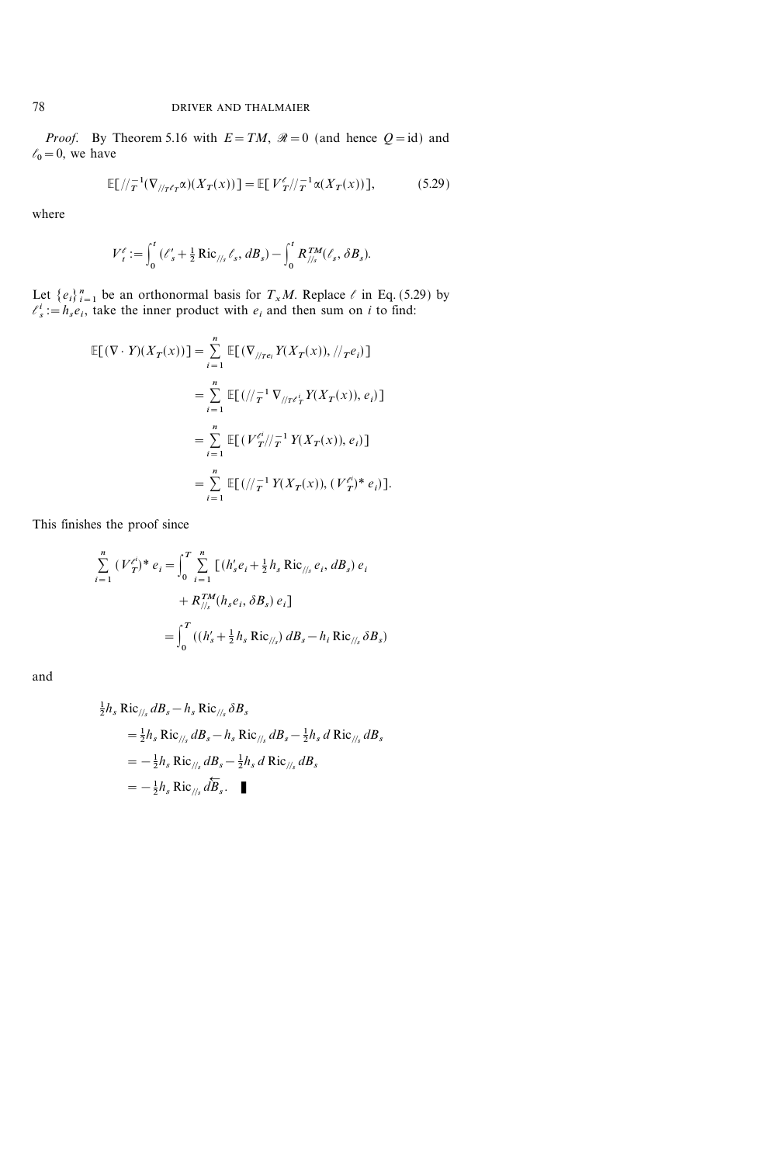*Proof.* By Theorem 5.16 with  $E=TM$ ,  $\mathcal{R}=0$  (and hence  $Q=id$ ) and  $\ell_0=0$ , we have

$$
\mathbb{E}\left[\left/\left(T^{-1}(\nabla_{\left/\left/T^{c}\right)}\alpha\right)(X_{T}(x))\right]\right]=\mathbb{E}\left[\left.V_{T}^{c}\right/\left/T^{-1}\alpha\left(X_{T}(x)\right)\right]\right],\tag{5.29}
$$

where

$$
V_t^{\ell} := \int_0^t (\ell_s' + \frac{1}{2} \text{Ric}_{/l_s} \ell_s, dB_s) - \int_0^t R_{/l_s}^{TM} (\ell_s, \delta B_s).
$$

Let  $\{e_i\}_{i=1}^n$  be an orthonormal basis for  $T_xM$ . Replace  $\ell$  in Eq. (5.29) by  $\ell_s^i := h_s e_i$ , take the inner product with  $e_i$  and then sum on i to find:

$$
\mathbb{E}[(\nabla \cdot Y)(X_T(x))] = \sum_{i=1}^n \mathbb{E}[(\nabla_{//Te_i} Y(X_T(x)), //_Te_i)]
$$
  
\n
$$
= \sum_{i=1}^n \mathbb{E}[ (//_T^{-1} \nabla_{//_T e'_T} Y(X_T(x)), e_i)]
$$
  
\n
$$
= \sum_{i=1}^n \mathbb{E}[ (V_T^{e_i} //_T^{-1} Y(X_T(x)), e_i)]
$$
  
\n
$$
= \sum_{i=1}^n \mathbb{E}[ (//_T^{-1} Y(X_T(x)), (V_T^{e_i})^* e_i)].
$$

This finishes the proof since

$$
\sum_{i=1}^{n} (V_T^{\ell})^* e_i = \int_0^T \sum_{i=1}^{n} [(h_s' e_i + \frac{1}{2} h_s \text{ Ric}_{\text{//s}} e_i, dB_s) e_i + R_{\text{//s}}^{TM} (h_s e_i, \delta B_s) e_i]
$$
  
= 
$$
\int_0^T ((h_s' + \frac{1}{2} h_s \text{ Ric}_{\text{//s}}) dB_s - h_i \text{ Ric}_{\text{//s}} \delta B_s)
$$

and

$$
\frac{1}{2}h_s \operatorname{Ric}_{\text{//}_s} dB_s - h_s \operatorname{Ric}_{\text{//}_s} \delta B_s
$$
  
\n
$$
= \frac{1}{2}h_s \operatorname{Ric}_{\text{//}_s} dB_s - h_s \operatorname{Ric}_{\text{//}_s} dB_s - \frac{1}{2}h_s d \operatorname{Ric}_{\text{//}_s} dB_s
$$
  
\n
$$
= -\frac{1}{2}h_s \operatorname{Ric}_{\text{//}_s} dB_s - \frac{1}{2}h_s d \operatorname{Ric}_{\text{//}_s} dB_s
$$
  
\n
$$
= -\frac{1}{2}h_s \operatorname{Ric}_{\text{//}_s} \widetilde{dB}_s.
$$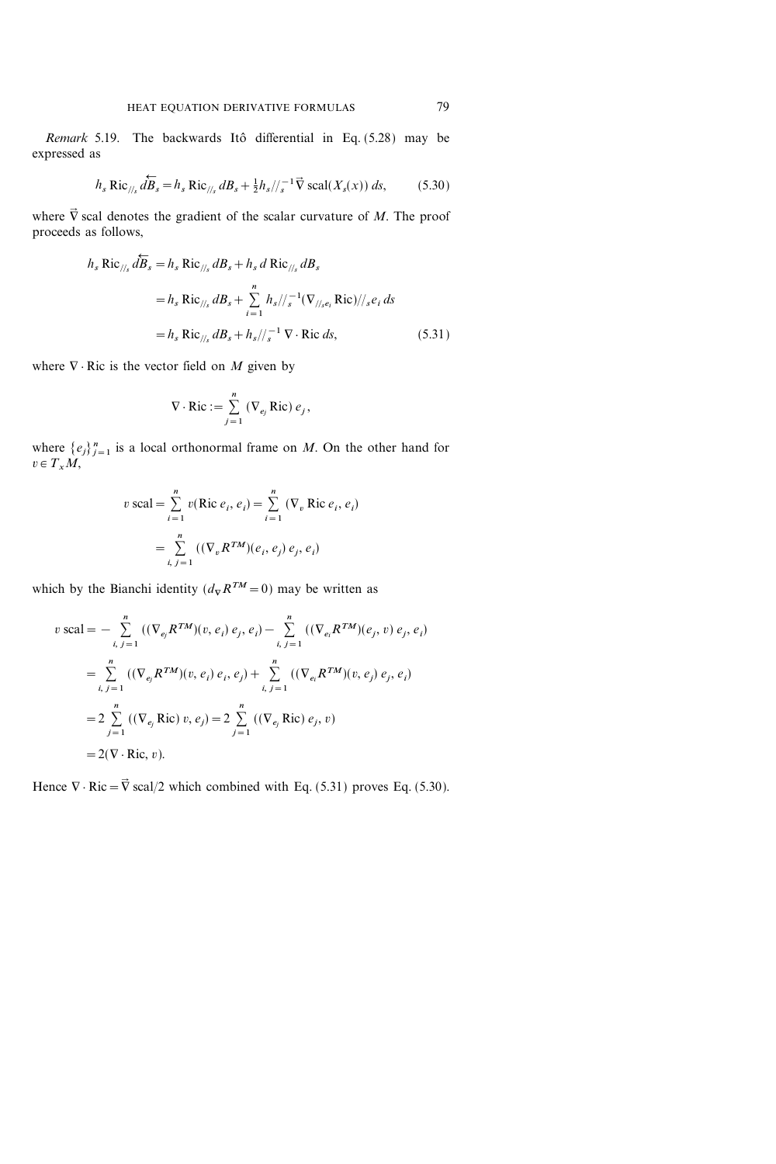Remark 5.19. The backwards Itô differential in Eq.  $(5.28)$  may be expressed as

$$
h_s \operatorname{Ric}_{\text{th}} \stackrel{\longleftrightarrow}{d\tilde{B}_s} = h_s \operatorname{Ric}_{\text{th}} \, dB_s + \frac{1}{2} h_s / \frac{1}{s} \nabla \operatorname{scal}(X_s(x)) \, ds,\tag{5.30}
$$

where  $\vec{\nabla}$  scal denotes the gradient of the scalar curvature of M. The proof proceeds as follows,

$$
h_s \operatorname{Ric}_{\text{//}_s} d\overleftarrow{B}_s = h_s \operatorname{Ric}_{\text{//}_s} dB_s + h_s d \operatorname{Ric}_{\text{//}_s} dB_s
$$
  
=  $h_s \operatorname{Ric}_{\text{//}_s} dB_s + \sum_{i=1}^n h_s / \sqrt{-1} (\nabla_{\text{//}_s e_i} \operatorname{Ric}) / \sqrt{s} e_i ds$   
=  $h_s \operatorname{Ric}_{\text{//}_s} dB_s + h_s / \sqrt{-1} \nabla \cdot \operatorname{Ric} ds,$  (5.31)

where  $\nabla \cdot$  Ric is the vector field on M given by

$$
\nabla \cdot \text{Ric} := \sum_{j=1}^{n} (\nabla_{e_j} \text{Ric}) e_j,
$$

where  $\{e_j\}_{j=1}^n$  is a local orthonormal frame on M. On the other hand for  $v \in T_xM$ ,

$$
v \text{ scal} = \sum_{i=1}^{n} v(\text{Ric } e_i, e_i) = \sum_{i=1}^{n} (\nabla_v \text{Ric } e_i, e_i)
$$

$$
= \sum_{i,j=1}^{n} ((\nabla_v R^{TM})(e_i, e_j) e_j, e_i)
$$

which by the Bianchi identity  $(d_{\nabla}R^{TM}=0)$  may be written as

$$
v \text{ scal} = -\sum_{i, j=1}^{n} ((\nabla_{e_j} R^{TM})(v, e_i) e_j, e_i) - \sum_{i, j=1}^{n} ((\nabla_{e_i} R^{TM})(e_j, v) e_j, e_i)
$$
  

$$
= \sum_{i, j=1}^{n} ((\nabla_{e_j} R^{TM})(v, e_i) e_i, e_j) + \sum_{i, j=1}^{n} ((\nabla_{e_i} R^{TM})(v, e_j) e_j, e_i)
$$
  

$$
= 2 \sum_{j=1}^{n} ((\nabla_{e_j} \text{Ric}) v, e_j) = 2 \sum_{j=1}^{n} ((\nabla_{e_j} \text{Ric}) e_j, v)
$$
  

$$
= 2(\nabla \cdot \text{Ric}, v).
$$

Hence  $\nabla \cdot \text{Ric} = \vec{\nabla} \text{ scal}/2$  which combined with Eq. (5.31) proves Eq. (5.30).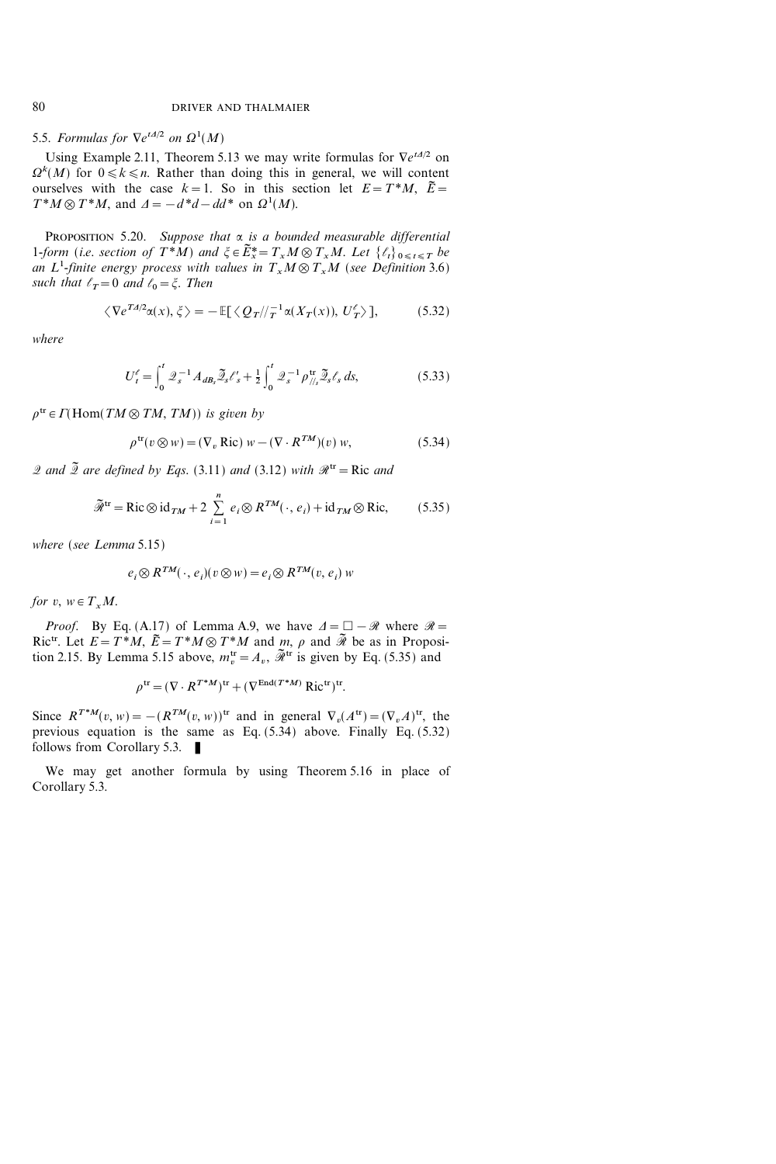5.5. Formulas for  $\nabla e^{tA/2}$  on  $\Omega^1(M)$ 

Using Example 2.11, Theorem 5.13 we may write formulas for  $\nabla e^{tA/2}$  on  $\Omega^k(M)$  for  $0 \le k \le n$ . Rather than doing this in general, we will content ourselves with the case  $k=1$ . So in this section let  $E=T^*M$ ,  $\tilde{E}=$  $T^*M \otimes T^*M$ , and  $\Delta = -d^*d - dd^*$  on  $\Omega^1(M)$ .

PROPOSITION 5.20. Suppose that  $\alpha$  is a bounded measurable differential 1-form (i.e. section of  $T^*M$ ) and  $\xi \in \tilde{E}_x^* = T_xM \otimes T_xM$ . Let  $\{\ell_t\}_{0 \le t \le T}$  be an L<sup>1</sup>-finite energy process with values in  $T_xM\otimes T_xM$  (see Definition 3.6) such that  $\ell_T=0$  and  $\ell_0=\xi$ . Then

$$
\langle \nabla e^{T A/2} \alpha(x), \xi \rangle = -\mathbb{E}[\langle Q_T / \langle T^{-1} \alpha(X_T(x)), U_T' \rangle], \tag{5.32}
$$

where

$$
U_t^{\ell} = \int_0^t \mathcal{Q}_s^{-1} A_{dB_s} \tilde{\mathcal{Q}}_s \ell_s' + \frac{1}{2} \int_0^t \mathcal{Q}_s^{-1} \rho_{\textit{//s}}^{\text{tr}} \tilde{\mathcal{Q}}_s \ell_s \, ds,\tag{5.33}
$$

 $\rho^{\text{tr}} \in \Gamma(\text{Hom}(TM \otimes TM, TM))$  is given by

$$
\rho^{\text{tr}}(v \otimes w) = (\nabla_v \text{ Ric}) w - (\nabla \cdot R^{TM})(v) w, \qquad (5.34)
$$

2 and  $\tilde{2}$  are defined by Eqs. (3.11) and (3.12) with  $\mathcal{R}^{tr} = Ric$  and

$$
\widetilde{\mathcal{R}}^{\text{tr}} = \text{Ric}\otimes\text{id}_{TM} + 2\sum_{i=1}^{n} e_i\otimes R^{TM}(\cdot, e_i) + \text{id}_{TM}\otimes\text{Ric},\tag{5.35}
$$

where (see Lemma 5.15)

$$
e_i \otimes R^{TM}(\cdot, e_i)(v \otimes w) = e_i \otimes R^{TM}(v, e_i) w
$$

for  $v, w \in T_xM$ .

*Proof.* By Eq. (A.17) of Lemma A.9, we have  $\Delta = \square - \mathcal{R}$  where  $\mathcal{R} =$ Ric<sup>tr</sup>. Let  $E = T^*M$ ,  $\tilde{E} = T^*M \otimes T^*M$  and  $m$ ,  $\rho$  and  $\tilde{M}$  be as in Proposition 2.15. By Lemma 5.15 above,  $m_v^{\text{tr}} = A_v$ ,  $\tilde{\mathcal{R}}^{\text{tr}}$  is given by Eq. (5.35) and

$$
\rho^{\text{tr}} = (\nabla \cdot R^{T^*M})^{\text{tr}} + (\nabla^{\text{End}(T^*M)} \text{Ric}^{\text{tr}})^{\text{tr}}.
$$

Since  $R^{T^*M}(v, w) = -(R^{TM}(v, w))^{\text{tr}}$  and in general  $\nabla_v(A^{\text{tr}})=(\nabla_v A)^{\text{tr}}$ , the previous equation is the same as Eq. (5.34) above. Finally Eq. (5.32) follows from Corollary 5.3.

We may get another formula by using Theorem 5.16 in place of Corollary 5.3.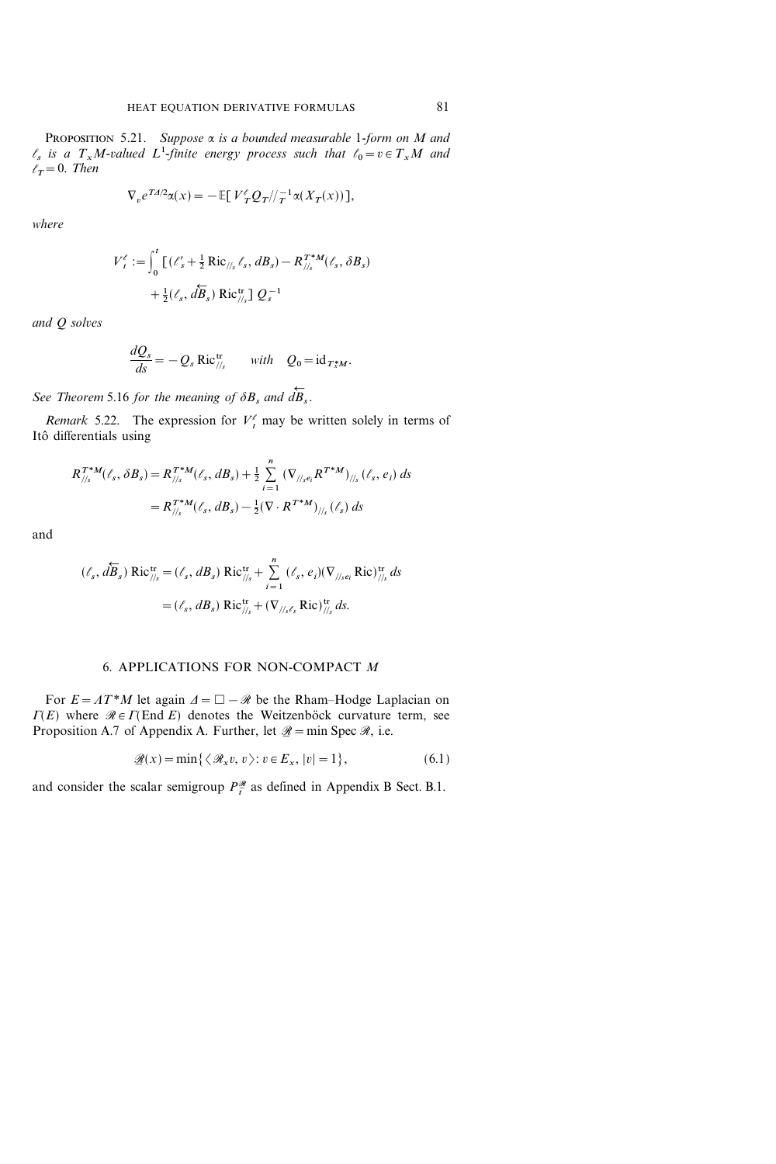PROPOSITION 5.21. Suppose  $\alpha$  is a bounded measurable 1-form on M and  $\ell_s$  is a  $T_xM$ -valued  $L^1$ -finite energy process such that  $\ell_0=v\in T_xM$  and  $\ell_{\mathcal{T}}=0$ . Then

$$
\nabla_v e^{TA/2} \alpha(x) = -\mathbb{E}[V_T^{\ell} Q_T / \tau^{-1} \alpha(X_T(x))],
$$

where

$$
V_t^{\ell} := \int_0^t \left[ (\ell_s' + \frac{1}{2} \text{Ric}_{\frac{s}{s}}, d_{s}) - R_{\frac{s}{s}}^{T^*M} (\ell_s, \delta B_s) \right. \\ + \frac{1}{2} (\ell_s, d_{s}) \text{Ric}_{\frac{s}{s}}^{T^*M} Q_s^{-1}
$$

and Q solves

$$
\frac{dQ_s}{ds} = -Q_s \operatorname{Ric}_{\frac{1}{s}}^{\operatorname{tr}} \quad \text{with} \quad Q_0 = \operatorname{id}_{T_x^*M}.
$$

See Theorem 5.16 for the meaning of  $\delta B_s$  and  $dB_s$  $\leftarrow$  $^{\prime\prime\prime} B$  , .

Remark 5.22. The expression for  $V_t^{\ell}$  may be written solely in terms of Itô differentials using

$$
R_{//s}^{T^*M}(\ell_s, \delta B_s) = R_{//s}^{T^*M}(\ell_s, dB_s) + \frac{1}{2} \sum_{i=1}^n (\nabla_{//se_i} R^{T^*M})_{//s} (\ell_s, e_i) ds
$$
  
=  $R_{//s}^{T^*M}(\ell_s, dB_s) - \frac{1}{2} (\nabla \cdot R^{T^*M})_{//s} (\ell_s) ds$ 

and

$$
(\ell_s, d\overleftarrow{B}_s) \operatorname{Ric}_{\mathbin{\scriptstyle\mathcal{H}}_s}^{\operatorname{tr}} = (\ell_s, dB_s) \operatorname{Ric}_{\mathbin{\scriptstyle\mathcal{H}}_s}^{\operatorname{tr}} + \sum_{i=1}^n (\ell_s, e_i) (\nabla_{\mathbin{\scriptstyle\mathcal{H}}_s e_i} \operatorname{Ric})_{\mathbin{\scriptstyle\mathcal{H}}_s}^{\operatorname{tr}} ds
$$

$$
= (\ell_s, dB_s) \operatorname{Ric}_{\mathbin{\scriptstyle\mathcal{H}}_s}^{\operatorname{tr}} + (\nabla_{\mathbin{\scriptstyle\mathcal{H}}_s e_i} \operatorname{Ric})_{\mathbin{\scriptstyle\mathcal{H}}_s}^{\operatorname{tr}} ds.
$$

## 6. APPLICATIONS FOR NON-COMPACT M

For  $E = AT^*M$  let again  $\Delta = \square - \mathcal{R}$  be the Rham-Hodge Laplacian on  $\Gamma(E)$  where  $\mathcal{R} \in \Gamma(\text{End } E)$  denotes the Weitzenböck curvature term, see Proposition A.7 of Appendix A. Further, let  $\mathcal{D} = \min \text{Spec } \mathcal{R}$ , i.e.

$$
\mathcal{L}(x) = \min\{\langle \mathcal{R}_x v, v \rangle : v \in E_x, |v| = 1\},\tag{6.1}
$$

and consider the scalar semigroup  $P_{\tau}^{\mathcal{R}}$  as defined in Appendix B Sect. B.1.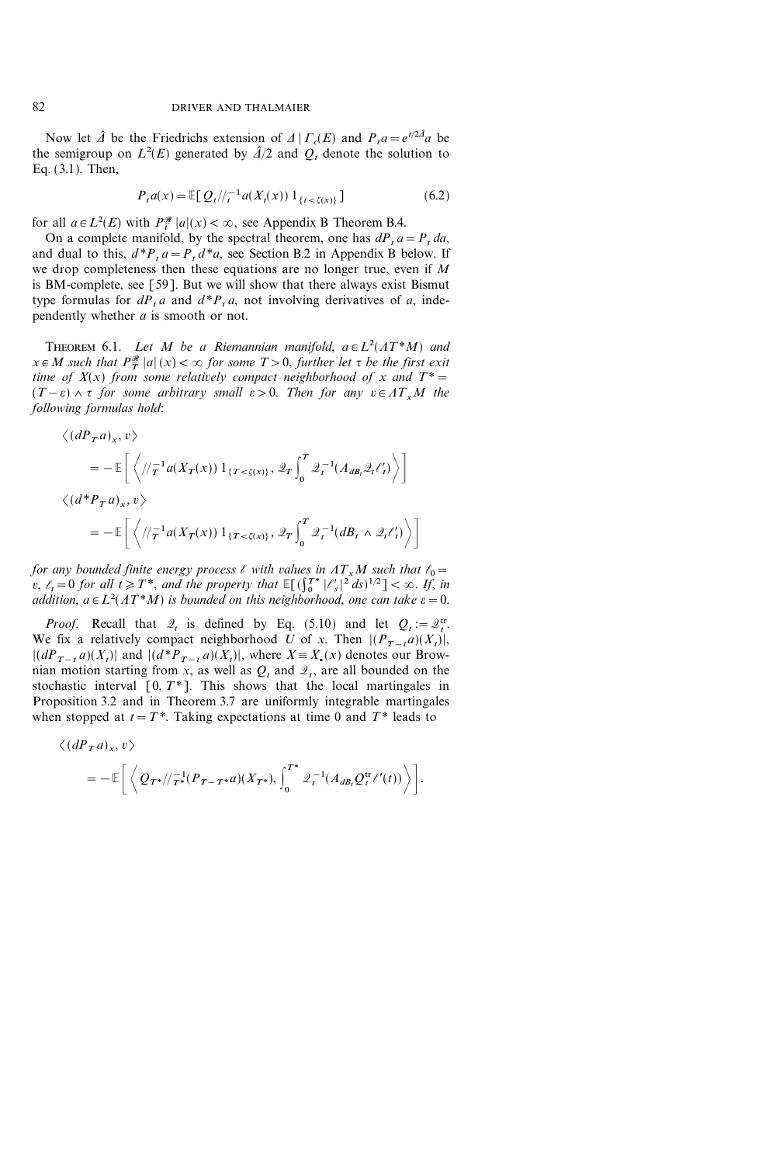Now let  $\hat{\mathcal{A}}$  be the Friedrichs extension of  $\mathcal{A} | \Gamma_c(E)$  and  $P_t a = e^{t/2\hat{\mathcal{A}}} a$  be the semigroup on  $L^2(E)$  generated by  $\hat{\mathcal{A}}/2$  and  $\mathcal{Q}_t$  denote the solution to Eq. (3.1). Then,

$$
P_t a(x) = \mathbb{E}[Q_t/\!/_{t}^{-1} a(X_t(x)) 1_{\{t < \zeta(x)\}}] \tag{6.2}
$$

for all  $a \in L^2(E)$  with  $P_{\overline{t}}^{\mathscr{R}} |a|(x) < \infty$ , see Appendix B Theorem B.4.

On a complete manifold, by the spectral theorem, one has  $dP_t a = P_t da$ , and dual to this,  $d^*P_t a = P_t d^*a$ , see Section B.2 in Appendix B below. If we drop completeness then these equations are no longer true, even if M is BM-complete, see [59]. But we will show that there always exist Bismut type formulas for  $dP_t a$  and  $d^*P_t a$ , not involving derivatives of a, independently whether a is smooth or not.

THEOREM 6.1. Let M be a Riemannian manifold,  $a \in L^2(AT^*M)$  and  $x \in M$  such that  $P^{\mathcal{R}}_{\overline{T}} |a|(x) < \infty$  for some  $T > 0$ , further let  $\tau$  be the first exit time of  $X(x)$  from some relatively compact neighborhood of x and  $T^* =$  $(T-\varepsilon) \wedge \tau$  for some arbitrary small  $\varepsilon > 0$ . Then for any  $v \in AT_xM$  the following formulas hold:

$$
\langle (dP_T a)_x, v \rangle
$$
  
=  $-\mathbb{E}\left[\left\langle //\tau^{-1}a(X_T(x))1_{\{T < \zeta(x)\}}, \mathcal{Q}_T \int_0^T \mathcal{Q}_t^{-1}(A_{dB_t}\mathcal{Q}_t \ell'_t) \right\rangle\right]$   

$$
\langle (d^*P_T a)_x, v \rangle
$$
  
=  $-\mathbb{E}\left[\left\langle //\tau^{-1}a(X_T(x))1_{\{T < \zeta(x)\}}, \mathcal{Q}_T \int_0^T \mathcal{Q}_t^{-1}(dB_t \wedge \mathcal{Q}_t \ell'_t) \right\rangle\right]$ 

for any bounded finite energy process  $\ell$  with values in  $AT_xM$  such that  $\ell_0=$ v,  $\ell_t = 0$  for all  $t \geq T^*$ , and the property that  $\mathbb{E}[(\int_0^{T^*} |\ell_s'|^2 ds)^{1/2}] < \infty$ . If, in addition,  $a \in L^2(AT^*M)$  is bounded on this neighborhood, one can take  $\varepsilon = 0$ .

*Proof.* Recall that  $\mathcal{Q}_t$  is defined by Eq. (5.10) and let  $Q_t := \mathcal{Q}_t^{\text{tr}}$ . We fix a relatively compact neighborhood U of x. Then  $|(P_{T-t}a)(X_t)|$ ,  $|(dP_{T-t} a)(X_t)|$  and  $|(d^*P_{T-t} a)(X_t)|$ , where  $X = X_*(x)$  denotes our Brownian motion starting from x, as well as  $Q_t$  and  $\mathcal{Q}_t$ , are all bounded on the stochastic interval  $[0, T^*]$ . This shows that the local martingales in Proposition 3.2 and in Theorem 3.7 are uniformly integrable martingales when stopped at  $t=T^*$ . Taking expectations at time 0 and  $T^*$  leads to

$$
\langle (dP_T a)_x, v \rangle
$$
  
= 
$$
- \mathbb{E} \bigg[ \bigg\langle Q_{T^*} / \bigg/ \frac{1}{T^*} (P_{T-T^*} a)(X_{T^*}), \int_0^{T^*} \mathcal{Q}_t^{-1} (A_{dB_t} Q_t^{\text{tr}} \ell'(t)) \bigg\rangle \bigg].
$$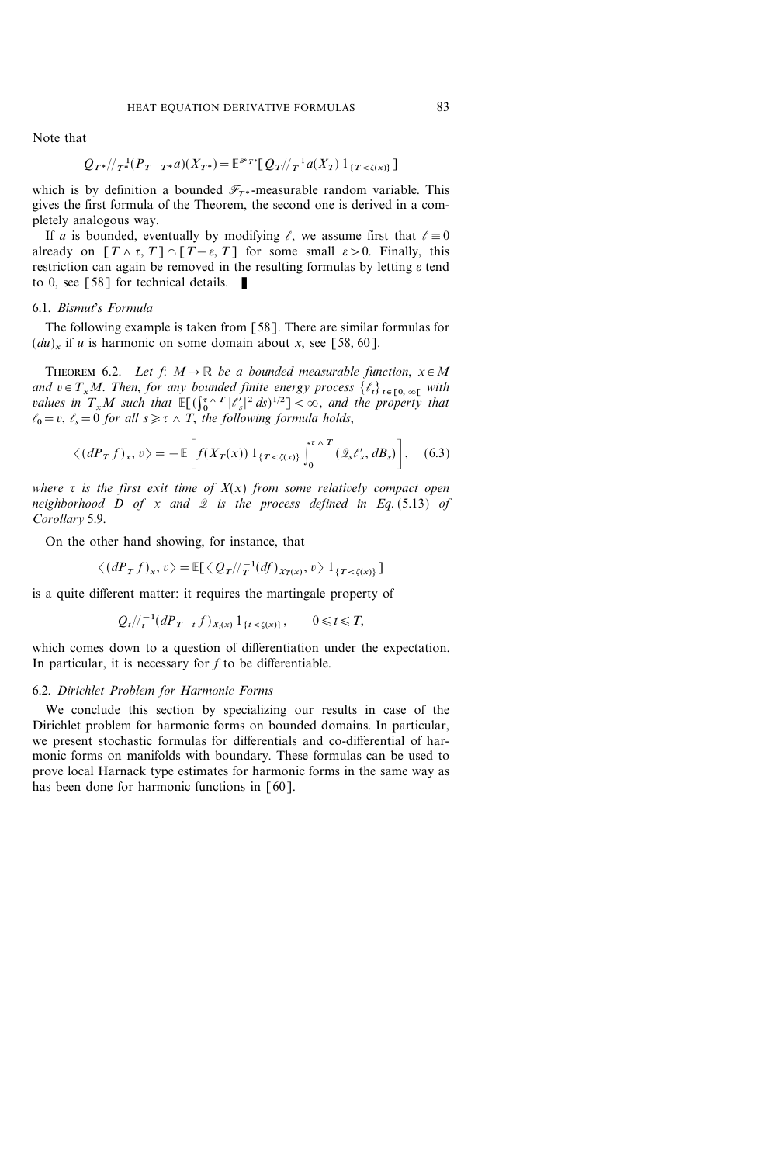Note that

$$
Q_{T^*}/T_{T^*}^{-1}(P_{T-T^*}a)(X_{T^*}) = \mathbb{E}^{\mathcal{F}_{T^*}}[Q_T]/T_1^{-1}a(X_T) 1_{\{T < \zeta(x)\}}]
$$

which is by definition a bounded  $\mathscr{F}_{T^*}$ -measurable random variable. This gives the first formula of the Theorem, the second one is derived in a completely analogous way.

If a is bounded, eventually by modifying  $\ell$ , we assume first that  $\ell = 0$ already on  $[T \wedge \tau, T] \cap [T-\varepsilon, T]$  for some small  $\varepsilon > 0$ . Finally, this restriction can again be removed in the resulting formulas by letting  $\varepsilon$  tend to 0, see [58] for technical details.  $\blacksquare$ 

## 6.1. Bismut's Formula

The following example is taken from [58]. There are similar formulas for  $(du)$ , if u is harmonic on some domain about x, see [58, 60].

THEOREM 6.2. Let  $f: M \to \mathbb{R}$  be a bounded measurable function,  $x \in M$ and  $v \in T_xM$ . Then, for any bounded finite energy process  $\{\ell_t\}_{t \in [0,\infty)}$  with values in  $T_xM$  such that  $\mathbb{E}[(\int_0^{\tau} \wedge T |\ell'_s|^2 ds)^{1/2}] < \infty$ , and the property that  $\ell_0 = v, \ \ell_s = 0$  for all  $s \geq \tau \wedge T$ , the following formula holds,

$$
\langle (dP_T f)_x, v \rangle = -\mathbb{E}\bigg[f(X_T(x))\,1_{\{T < \zeta(x)\}}\int_0^{\tau \wedge T} \left(\mathcal{Q}_s \ell'_s, dB_s\right)\bigg],\tag{6.3}
$$

where  $\tau$  is the first exit time of  $X(x)$  from some relatively compact open neighborhood  $D$  of  $x$  and  $\mathcal Q$  is the process defined in Eq. (5.13) of Corollary 5.9.

On the other hand showing, for instance, that

$$
\langle (dP_T f)_x, v \rangle = \mathbb{E}[\langle Q_T / \langle \tau^{-1}(df)_{X_T(x)}, v \rangle \mathbb{1}_{\{T < \zeta(x)\}}]
$$

is a quite different matter: it requires the martingale property of

$$
Q_t/\big|_{t}^{-1}(dP_{T-t}f)_{X_t(x)}\,1_{\{t<\zeta(x)\}},\qquad 0\leq t\leq T,
$$

which comes down to a question of differentiation under the expectation. In particular, it is necessary for  $f$  to be differentiable.

#### 6.2. Dirichlet Problem for Harmonic Forms

We conclude this section by specializing our results in case of the Dirichlet problem for harmonic forms on bounded domains. In particular, we present stochastic formulas for differentials and co-differential of harmonic forms on manifolds with boundary. These formulas can be used to prove local Harnack type estimates for harmonic forms in the same way as has been done for harmonic functions in [60].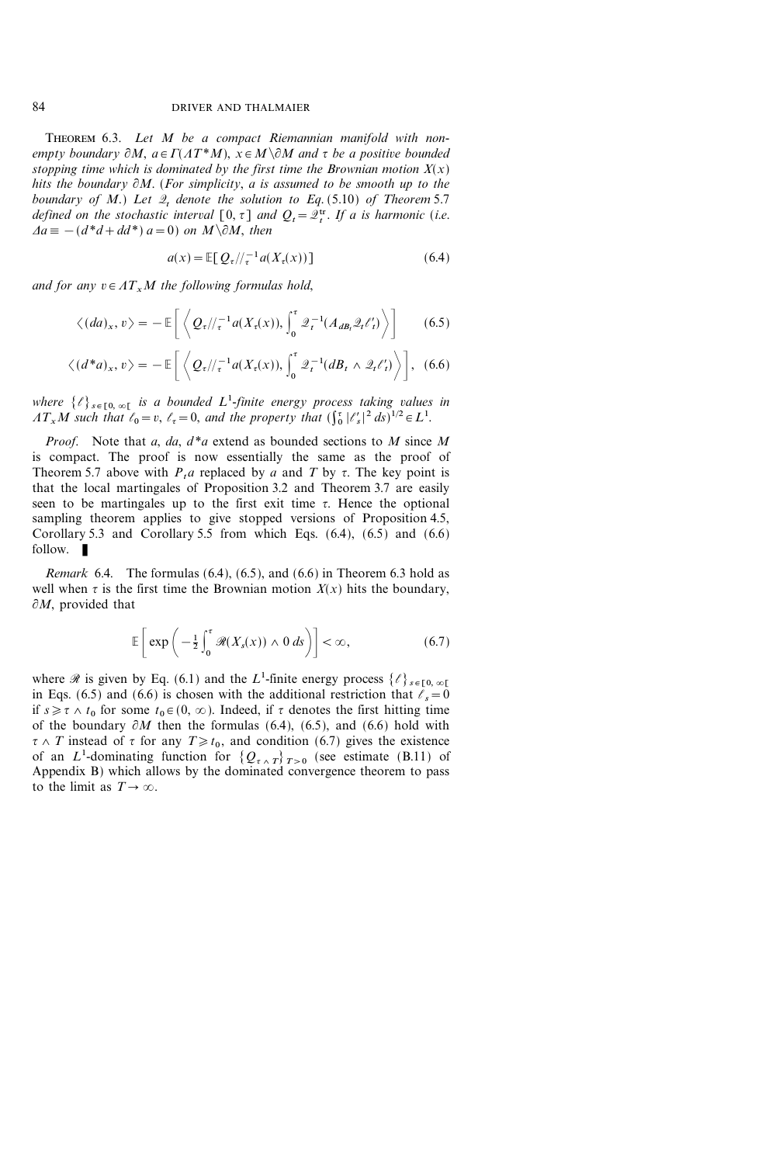THEOREM 6.3. Let M be a compact Riemannian manifold with nonempty boundary  $\partial M$ ,  $a \in \Gamma(\Lambda T^*M)$ ,  $x \in M \backslash \partial M$  and  $\tau$  be a positive bounded stopping time which is dominated by the first time the Brownian motion  $X(x)$ hits the boundary  $\partial M$ . (For simplicity, a is assumed to be smooth up to the boundary of M.) Let  $2_t$  denote the solution to Eq. (5.10) of Theorem 5.7 defined on the stochastic interval  $[0, \tau]$  and  $Q_t = \mathcal{Q}_t^{\text{tr}}$ . If a is harmonic (i.e.  $\Delta a \equiv -(d^*d+dd^*) a=0$  on  $M \setminus \partial M$ , then

$$
a(x) = \mathbb{E}[Q_{\tau}/\!/_{\tau}^{-1} a(X_{\tau}(x))]
$$
\n(6.4)

and for any  $v \in AT_xM$  the following formulas hold,

$$
\langle (da)_x, v \rangle = -\mathbb{E}\bigg[\bigg\langle Q_{\tau}/\!/_{\tau}^{-1}a(X_{\tau}(x)), \int_0^{\tau} \mathcal{Q}_t^{-1}(A_{dB_t}\mathcal{Q}_t\ell_t') \bigg\rangle\bigg] \qquad (6.5)
$$

$$
\langle (d^*a)_x, v \rangle = -\mathbb{E}\bigg[\left\langle \mathcal{Q}_{\tau}/\!/_\tau^{-1}a(X_{\tau}(x)), \int_0^{\tau} \mathcal{Q}_{t}^{-1}(dB_t \wedge \mathcal{Q}_{t} \ell_t') \right\rangle\bigg], \tag{6.6}
$$

where  $\{\ell\}_{s \in [0, \infty)}$  is a bounded  $L^1$ -finite energy process taking values in  $AT_xM$  such that  $\ell_0 = v$ ,  $\ell_{\tau} = 0$ , and the property that  $(\int_0^{\tau} |{\ell}'_s|^2 ds)^{1/2} \in L^1$ .

*Proof.* Note that a, da,  $d^*a$  extend as bounded sections to M since M is compact. The proof is now essentially the same as the proof of Theorem 5.7 above with  $P_t$ a replaced by a and T by  $\tau$ . The key point is that the local martingales of Proposition 3.2 and Theorem 3.7 are easily seen to be martingales up to the first exit time  $\tau$ . Hence the optional sampling theorem applies to give stopped versions of Proposition 4.5, Corollary 5.3 and Corollary 5.5 from which Eqs.  $(6.4)$ ,  $(6.5)$  and  $(6.6)$ follow.  $\blacksquare$ 

*Remark* 6.4. The formulas  $(6.4)$ ,  $(6.5)$ , and  $(6.6)$  in Theorem 6.3 hold as well when  $\tau$  is the first time the Brownian motion  $X(x)$  hits the boundary,  $\partial M$ , provided that

$$
\mathbb{E}\left[\exp\left(-\frac{1}{2}\int_0^{\tau} \mathcal{R}(X_s(x)) \wedge 0 \, ds\right)\right] < \infty, \tag{6.7}
$$

where  $\mathscr R$  is given by Eq. (6.1) and the  $L^1$ -finite energy process  $\{\ell\}_{\ell \in [0,\infty[}$ in Eqs. (6.5) and (6.6) is chosen with the additional restriction that  $\ell_s=0$ if  $s \geq \tau \wedge t_0$  for some  $t_0 \in (0, \infty)$ . Indeed, if  $\tau$  denotes the first hitting time of the boundary  $\partial M$  then the formulas (6.4), (6.5), and (6.6) hold with  ${\tau \wedge T}$  instead of  ${\tau}$  for any  $T \geq t_0$ , and condition (6.7) gives the existence of an L<sup>1</sup>-dominating function for  $\{Q_{\tau}$   $_{\tau}$   $_{\tau>0}$  (see estimate (B.11) of Appendix B) which allows by the dominated convergence theorem to pass to the limit as  $T \rightarrow \infty$ .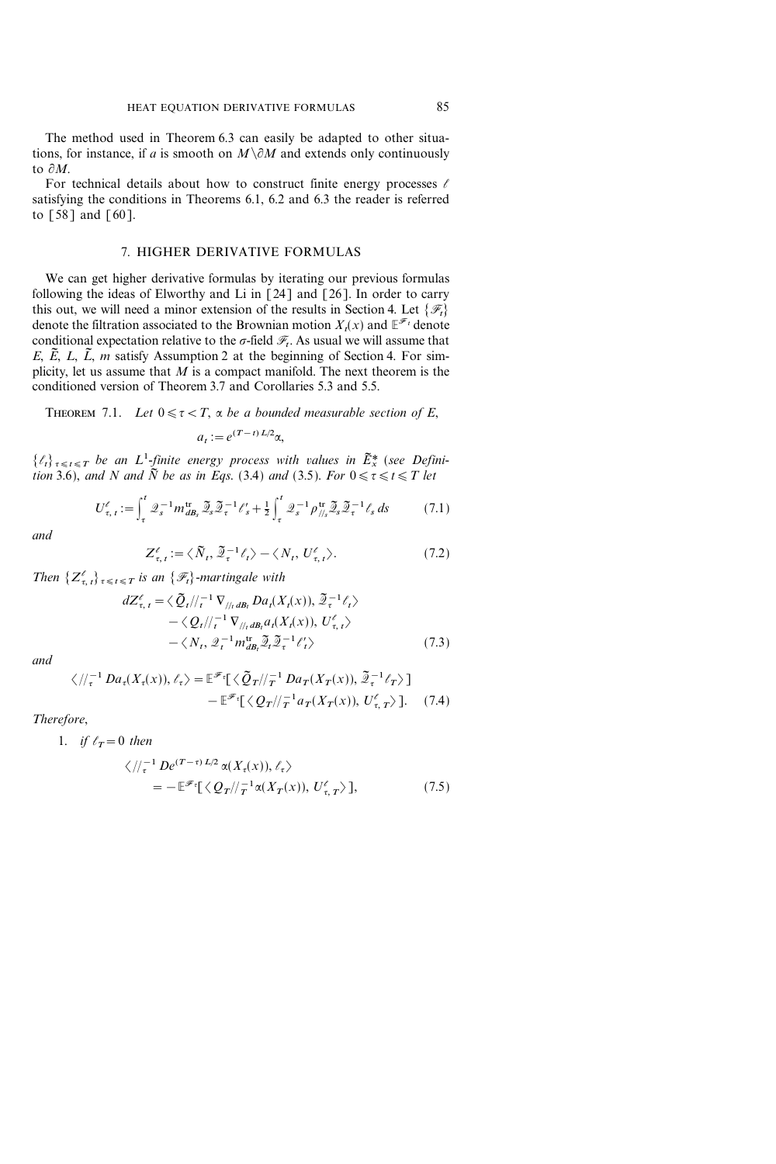The method used in Theorem 6.3 can easily be adapted to other situations, for instance, if a is smooth on  $M\{\partial M\}$  and extends only continuously to  $\partial M$ .

For technical details about how to construct finite energy processes  $\ell$ satisfying the conditions in Theorems 6.1, 6.2 and 6.3 the reader is referred to [58] and [60].

## 7. HIGHER DERIVATIVE FORMULAS

We can get higher derivative formulas by iterating our previous formulas following the ideas of Elworthy and Li in  $\lceil 24 \rceil$  and  $\lceil 26 \rceil$ . In order to carry this out, we will need a minor extension of the results in Section 4. Let  $\{\mathscr{F}_t\}$ denote the filtration associated to the Brownian motion  $X_t(x)$  and  $\mathbb{E}^{\mathscr{F}_t}$  denote conditional expectation relative to the  $\sigma$ -field  $\mathcal{F}_t$ . As usual we will assume that E, E, L, L, m satisfy Assumption 2 at the beginning of Section 4. For simplicity, let us assume that  $M$  is a compact manifold. The next theorem is the conditioned version of Theorem 3.7 and Corollaries 5.3 and 5.5.

THEOREM 7.1. Let 
$$
0 \le \tau < T
$$
,  $\alpha$  be a bounded measurable section of  $E$ ,

$$
a_t := e^{(T-t)L/2} \alpha,
$$

 $\{\ell_t\}_{t \leq t \leq T}$  be an  $L^1$ -finite energy process with values in  $\tilde{E}_x^*$  (see Definition 3.6), and N and  $\tilde{N}$  be as in Eqs. (3.4) and (3.5). For  $0 \leq \tau \leq t \leq T$  let

$$
U_{\tau,\,t}^{\ell} := \int_{\tau}^{t} \mathcal{Q}_s^{-1} m_{d\mathcal{B}_s}^{\text{tr}} \, \widetilde{\mathcal{Q}}_s \widetilde{\mathcal{Q}}_{\tau}^{-1} \ell_s^{\prime} + \frac{1}{2} \int_{\tau}^{t} \mathcal{Q}_s^{-1} \rho_{\textit{//s}}^{\text{tr}} \widetilde{\mathcal{Q}}_s \widetilde{\mathcal{Q}}_{\tau}^{-1} \ell_s \, ds \tag{7.1}
$$

and

$$
Z_{\tau, t}^{\ell} := \langle \tilde{N}_t, \tilde{Z}_{\tau}^{-1} \ell_t \rangle - \langle N_t, U_{\tau, t}^{\ell} \rangle. \tag{7.2}
$$

Then  $\{Z_{\tau,t}^{\ell}\}_{\tau\leq t\leq T}$  is an  $\{\mathscr{F}_t\}$ -martingale with

$$
dZ_{\tau, t}^{\ell} = \langle \tilde{Q}_t | /_{t}^{-1} \nabla_{/ /_{t}dB_t} Da_t(X_t(x)), \tilde{Z}_{\tau}^{-1} \ell_t \rangle
$$
  
 
$$
- \langle Q_t | /_{t}^{-1} \nabla_{/ /_{t}dB_t} a_t(X_t(x)), U_{\tau, t}^{\ell} \rangle
$$
  
 
$$
- \langle N_t, \tilde{Z}_t^{-1} m_{dB_t}^{\text{tr}} \tilde{Z}_t \tilde{Z}_{\tau}^{-1} \ell_t' \rangle \qquad (7.3)
$$

and

$$
\langle \, \, |\, \langle \, \, |\, \cdot \, | \, Da_{\tau}(X_{\tau}(x)), \ell_{\tau} \, \rangle = \mathbb{E}^{\mathscr{F}_{\tau}} \big[ \, \langle \, \tilde{Q}_{T} \, | \, \, \langle \, \, |\, \, \tau \, | \, Da_{T}(X_{T}(x)), \, \tilde{\mathcal{Q}}_{\tau}^{-1} \ell_{T} \, \rangle \, \big] \\ - \mathbb{E}^{\mathscr{F}_{\tau}} \big[ \, \langle \, Q_{T} \, | \, \, \langle \, \, |\, \tau \, | \, a_{T}(X_{T}(x)), \, U_{\tau, T}^{\ell} \, \rangle \, \big]. \tag{7.4}
$$

Therefore,

1. if 
$$
\ell_T = 0
$$
 then  
\n
$$
\langle \frac{1}{\tau} \mathcal{D} e^{(T-\tau)L/2} \alpha(X_{\tau}(x)), \ell_{\tau} \rangle
$$
\n
$$
= -\mathbb{E}^{\mathscr{F}_{\tau}} \left[ \langle Q_T / \langle \frac{1}{T} \alpha(X_T(x)), U_{\tau, T}^{\ell} \rangle \right], \tag{7.5}
$$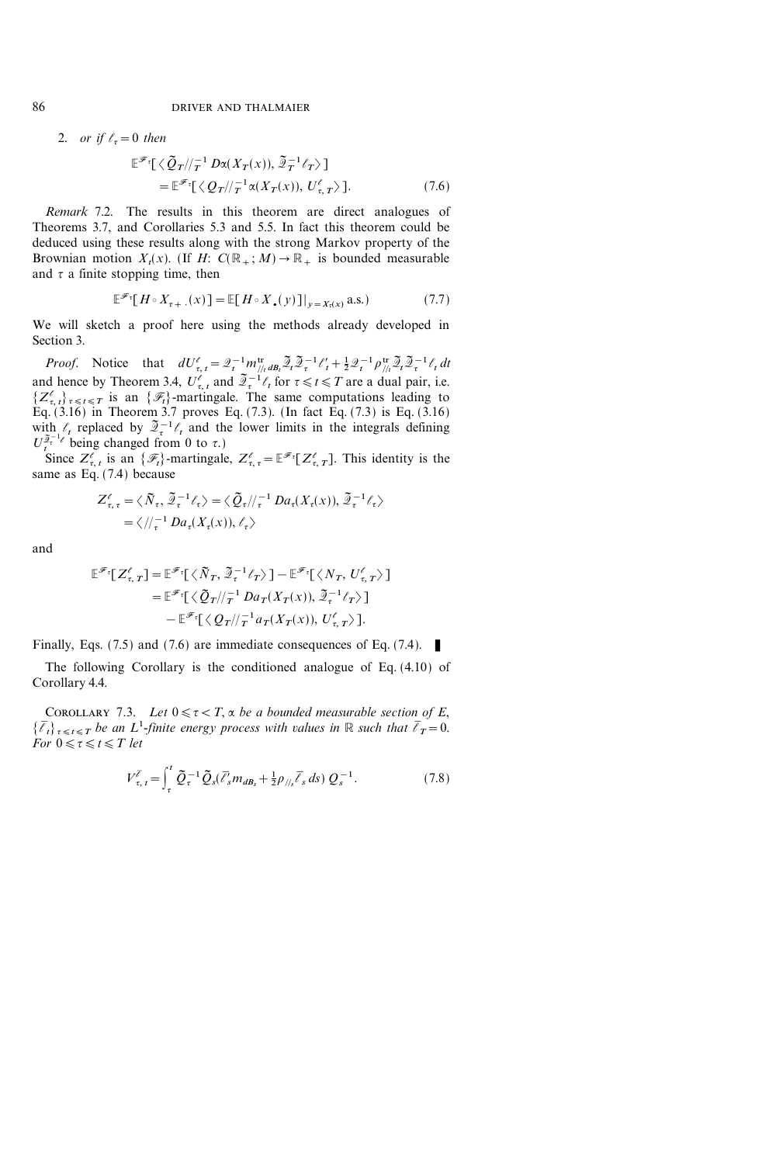2. or if  $\ell_z = 0$  then

$$
\mathbb{E}^{\mathscr{F}_{\tau}}[\langle \tilde{Q}_T / \rangle_T^{-1} D\alpha(X_T(x)), \tilde{Z}_T^{-1} \ell_T \rangle ]
$$
  
= 
$$
\mathbb{E}^{\mathscr{F}_{\tau}}[\langle Q_T / \rangle_T^{-1} \alpha(X_T(x)), U_{\tau, T}^{\ell} \rangle ].
$$
 (7.6)

Remark 7.2. The results in this theorem are direct analogues of Theorems 3.7, and Corollaries 5.3 and 5.5. In fact this theorem could be deduced using these results along with the strong Markov property of the Brownian motion  $X_t(x)$ . (If H:  $C(\mathbb{R}_+; M) \to \mathbb{R}_+$  is bounded measurable and  $\tau$  a finite stopping time, then

$$
\mathbb{E}^{\mathscr{F}_{\tau}}[H \circ X_{\tau+}](x) = \mathbb{E}[H \circ X_{\bullet}(y)]|_{y=X_{\tau}(x)} \text{ a.s.}
$$
 (7.7)

We will sketch a proof here using the methods already developed in Section 3.

*Proof.* Notice that  $dU_{\tau, t}^{\ell} = \mathcal{Q}_t^{-1} m_{\ell t}^{\text{tr}} d\theta_t \mathcal{Q}_t \mathcal{Q}_\tau^{-1} \ell_t^{\ell} + \frac{1}{2} \mathcal{Q}_t^{-1} \rho_{\ell t}^{\text{tr}} \mathcal{Q}_t \mathcal{Q}_\tau^{-1} \ell_t dt$ and hence by Theorem 3.4,  $U_{\tau,t}^{\ell}$  and  $\tilde{\mathcal{Z}}_{\tau}^{-1}\ell_t$  for  $\tau \leq t \leq T$  are a dual pair, i.e.  $\{Z_{\tau,t}^{\ell}\}_{\tau\leq t\leq T}$  is an  $\{\mathscr{F}_t\}$ -martingale. The same computations leading to Eq. (3.16) in Theorem 3.7 proves Eq. (7.3). (In fact Eq. (7.3) is Eq. (3.16) with  $\ell_t$  replaced by  $\tilde{Z}^{-1}_t \ell_t$  and the lower limits in the integrals defining  $U_t^{\tilde{\mathcal{Z}}^{-1}_{t}}$  being changed from 0 to  $\tau$ .)

Since  $Z_{\tau, t}^{\ell}$  is an  $\{\mathscr{F}_t\}$ -martingale,  $Z_{\tau, \tau}^{\ell} = \mathbb{E}^{\mathscr{F}_{\tau}}[Z_{\tau, T}^{\ell}]$ . This identity is the same as Eq. (7.4) because

$$
Z_{\tau,\tau}^{\ell} = \langle \tilde{N}_{\tau}, \tilde{Z}_{\tau}^{-1} \ell_{\tau} \rangle = \langle \tilde{Q}_{\tau} / \langle \tau^{-1} D a_{\tau}(X_{\tau}(x)), \tilde{Z}_{\tau}^{-1} \ell_{\tau} \rangle
$$
  
=  $\langle \rangle / \langle \tau^{-1} D a_{\tau}(X_{\tau}(x)), \ell_{\tau} \rangle$ 

and

$$
\mathbb{E}^{\mathscr{F}_{\tau}}[Z^{\ell}_{\tau,T}] = \mathbb{E}^{\mathscr{F}_{\tau}}[\langle \tilde{N}_T, \tilde{\mathcal{Q}}_{\tau}^{-1} \ell_T \rangle] - \mathbb{E}^{\mathscr{F}_{\tau}}[\langle N_T, U^{\ell}_{\tau,T} \rangle] \n= \mathbb{E}^{\mathscr{F}_{\tau}}[\langle \tilde{Q}_T/|\tau|] D a_T(X_T(x)), \tilde{\mathcal{Q}}_{\tau}^{-1} \ell_T \rangle] \n- \mathbb{E}^{\mathscr{F}_{\tau}}[\langle Q_T/|\tau|] a_T(X_T(x)), U^{\ell}_{\tau,T} \rangle].
$$

Finally, Eqs. (7.5) and (7.6) are immediate consequences of Eq. (7.4).  $\blacksquare$ 

The following Corollary is the conditioned analogue of Eq. (4.10) of Corollary 4.4.

COROLLARY 7.3. Let  $0 \leq \tau < T$ ,  $\alpha$  be a bounded measurable section of E,  $\{\bar{\ell}_t\}_{\tau\leq t\leq T}$  be an  $L^1$ -finite energy process with values in  $\mathbb R$  such that  $\bar{\ell}_T=0$ . For  $0 \leq \tau \leq t \leq T$  let

$$
V_{\tau, t}^{\overline{\ell}} = \int_{\tau}^{t} \tilde{Q}_{\tau}^{-1} \tilde{Q}_{s} (\bar{\ell}_{s}^{'} m_{d B_{s}} + \frac{1}{2} \rho_{\frac{1}{s}} \bar{\ell}_{s} ds) Q_{s}^{-1}.
$$
 (7.8)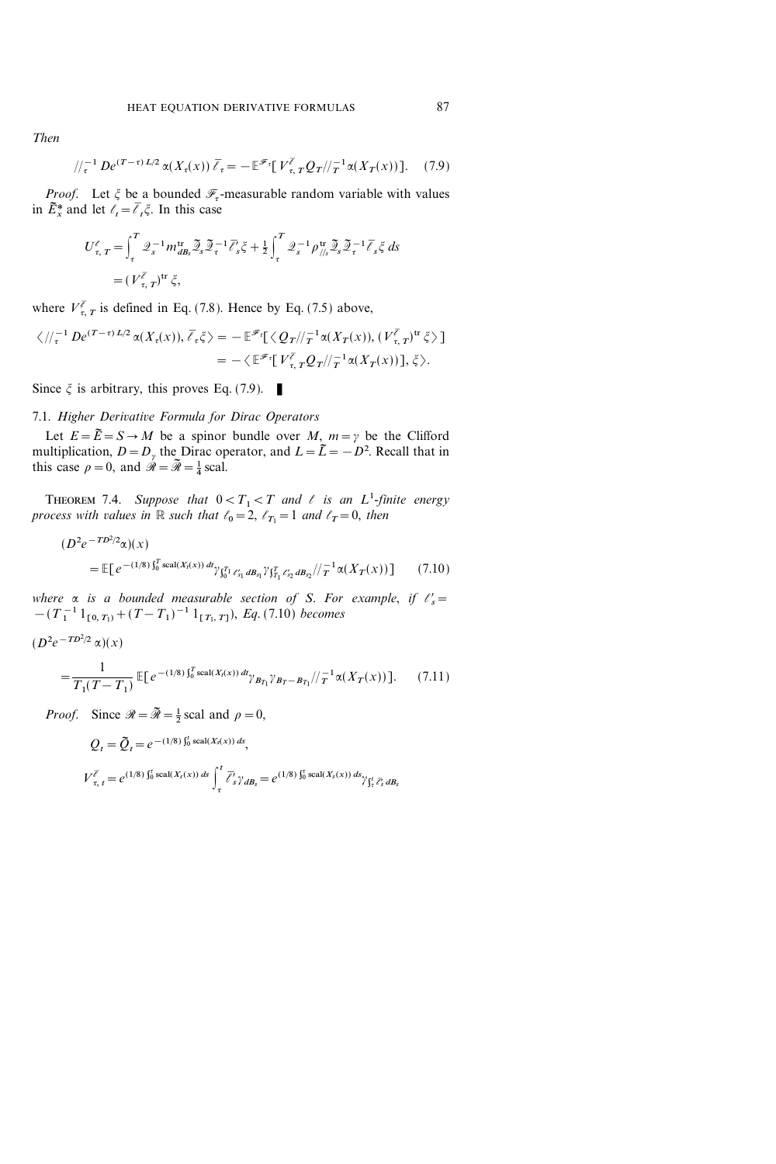Then

$$
/\!/_{\tau}^{-1} \, De^{(T-\tau) \, L/2} \, \alpha(X_{\tau}(x)) \, \overline{\ell}_{\tau} = -\, \mathbb{E}^{\mathscr{F}_{\tau}} \big[ \, V^{\overline{\ell}}_{\tau, T} \, Q_{T}/\!/_{T}^{-1} \, \alpha(X_{T}(x)) \big]. \tag{7.9}
$$

*Proof.* Let  $\xi$  be a bounded  $\mathcal{F}_{\tau}$ -measurable random variable with values in  $\tilde{E}_x^*$  and let  $\ell_t = \overline{\ell}_t \xi$ . In this case

$$
U_{\tau, T}^{\ell} = \int_{\tau}^{T} \mathcal{Q}_s^{-1} m_{dB_s}^{\text{tr}} \mathcal{Z}_s \mathcal{Z}_\tau^{-1} \overline{\ell}_s^{\ell} \xi + \frac{1}{2} \int_{\tau}^{T} \mathcal{Q}_s^{-1} \rho_{\text{th}}^{\text{tr}} \mathcal{Z}_s \mathcal{Z}_\tau^{-1} \overline{\ell}_s \xi ds
$$
  
=  $(V_{\tau, T}^{\overline{\ell}})^{\text{tr}} \xi,$ 

where  $V_{\tau, T}^{\bar{\ell}}$  is defined in Eq. (7.8). Hence by Eq. (7.5) above,

$$
\langle \, \, | \, \langle \, \, | \, \cdot \, \cdot \, \rangle^{1/2} \, \mathfrak{D} \, \mathfrak{D} \, \mathfrak{D} \, \mathfrak{D} \, \mathfrak{D} \, \mathfrak{D} \, \mathfrak{D} \, \mathfrak{D} \, \mathfrak{D} \, \mathfrak{D} \, \mathfrak{D} \, \mathfrak{D} \, \mathfrak{D} \, \mathfrak{D} \, \mathfrak{D} \, \mathfrak{D} \, \mathfrak{D} \, \mathfrak{D} \, \mathfrak{D} \, \mathfrak{D} \, \mathfrak{D} \, \mathfrak{D} \, \mathfrak{D} \, \mathfrak{D} \, \mathfrak{D} \, \mathfrak{D} \, \mathfrak{D} \, \mathfrak{D} \, \mathfrak{D} \, \mathfrak{D} \, \mathfrak{D} \, \mathfrak{D} \, \mathfrak{D} \, \mathfrak{D} \, \mathfrak{D} \, \mathfrak{D} \, \mathfrak{D} \, \mathfrak{D} \, \mathfrak{D} \, \mathfrak{D} \, \mathfrak{D} \, \mathfrak{D} \, \mathfrak{D} \, \mathfrak{D} \, \mathfrak{D} \, \mathfrak{D} \, \mathfrak{D} \, \mathfrak{D} \, \mathfrak{D} \, \mathfrak{D} \, \mathfrak{D} \, \mathfrak{D} \, \mathfrak{D} \, \mathfrak{D} \, \mathfrak{D} \, \mathfrak{D} \, \mathfrak{D} \, \mathfrak{D} \, \mathfrak{D} \, \mathfrak{D} \, \mathfrak{D} \, \mathfrak{D} \, \mathfrak{D} \, \mathfrak{D} \, \mathfrak{D} \, \mathfrak{D} \, \mathfrak{D} \, \mathfrak{D} \, \mathfrak{D} \, \mathfrak{D} \, \mathfrak{D} \, \mathfrak{D} \, \mathfrak{D} \, \mathfrak{D} \, \mathfrak{D} \, \mathfrak{D} \, \mathfrak{D} \, \mathfrak{D} \, \mathfrak{D} \, \mathfrak{D} \, \mathfrak{
$$

Since  $\xi$  is arbitrary, this proves Eq. (7.9).

#### 7.1. Higher Derivative Formula for Dirac Operators

Let  $E = \tilde{E} = S \rightarrow M$  be a spinor bundle over M,  $m = \gamma$  be the Clifford multiplication,  $D = D_{\gamma}$  the Dirac operator, and  $L = \tilde{L} = -D^2$ . Recall that in this case  $\rho = 0$ , and  $\mathcal{R} = \mathcal{R} = \frac{1}{4}$  scal.

THEOREM 7.4. Suppose that  $0 < T_1 < T$  and  $\ell$  is an  $L^1$ -finite energy process with values in R such that  $\ell_0=2$ ,  $\ell_{T_1}=1$  and  $\ell_T=0$ , then

$$
(D^2 e^{-T D^2/2} \alpha)(x)
$$
  
=  $\mathbb{E}[e^{-(1/8) \int_0^T \text{scal}(X_t(x)) dt} \gamma_{\int_0^T l \ell_{s_1}^t dB_{s_1}} \gamma_{\int_{T_1}^T \ell_{s_2}^t dB_{s_2}} / |\tau^{-1} \alpha(X_T(x))]$  (7.10)

where  $\alpha$  is a bounded measurable section of S. For example, if  $\ell_s' =$  $-(T_1^{-1}1_{[0, T_1]} + (T - T_1)^{-1}1_{[T_1, T]},$  Eq. (7.10) becomes

$$
(D^2e^{-TD^2/2}\alpha)(x)
$$

$$
= \frac{1}{T_1(T - T_1)} \mathbb{E}[e^{-(1/8)\int_0^T \text{scal}(X_t(x)) \, dt} \gamma_{B_{T_1}} \gamma_{B_{T} - B_{T_1}} / \tau^{-1} \alpha(X_T(x))]. \tag{7.11}
$$

*Proof.* Since  $\mathcal{R} = \tilde{\mathcal{R}} = \frac{1}{2}$  scal and  $\rho = 0$ ,

$$
Q_{t} = \tilde{Q}_{t} = e^{-(1/8)\int_{0}^{t} \text{scal}(X_{s}(x)) ds},
$$
  
\n
$$
V_{\tau, t}^{\overline{\ell}} = e^{(1/8)\int_{0}^{t} \text{scal}(X_{s}(x)) ds} \int_{\tau}^{t} \overline{\ell}_{s}^{\prime} \gamma_{dB_{s}} = e^{(1/8)\int_{0}^{t} \text{scal}(X_{s}(x)) ds} \gamma_{\int_{\tau}^{t} \overline{\ell}_{s}^{\prime} dB_{s}}
$$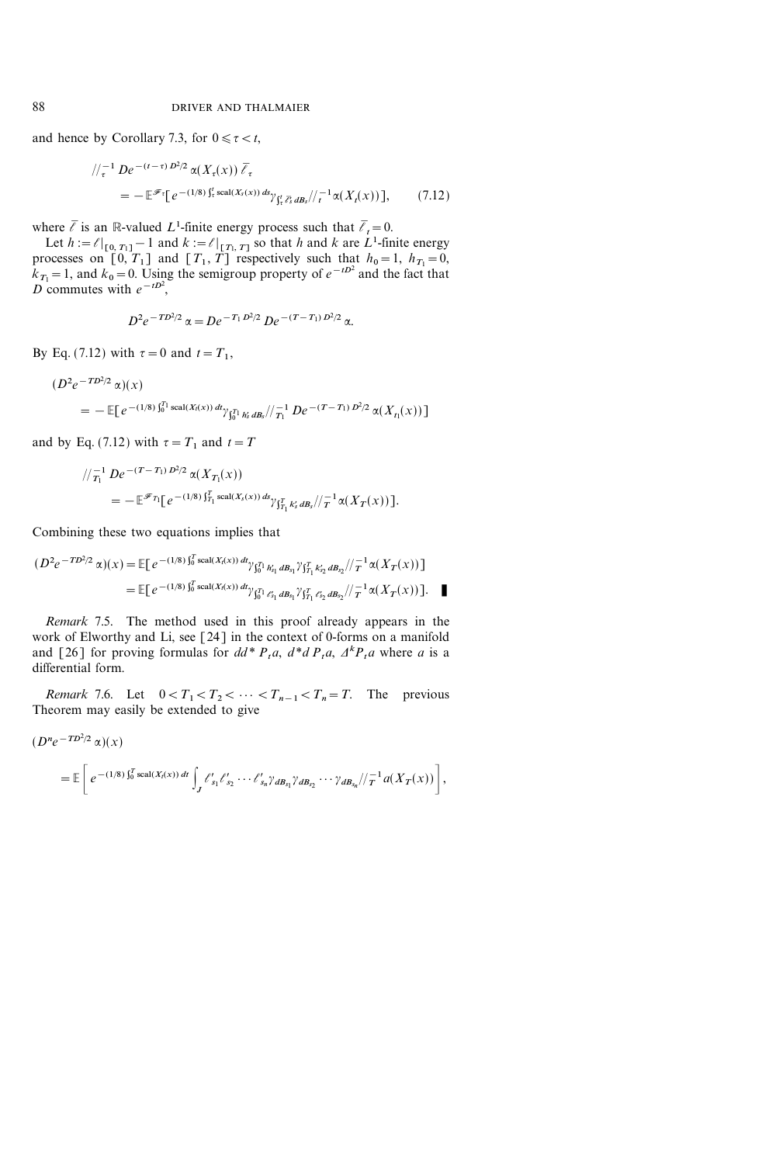and hence by Corollary 7.3, for  $0 \le \tau < t$ ,

$$
\begin{split} \left| \int_{\tau}^{-1} D e^{-(t-\tau) D^2/2} \alpha(X_{\tau}(x)) \, \bar{\ell}_{\tau} \right| \\ &= - \mathbb{E}^{\mathscr{F}_{\tau}} \big[ e^{-(1/8) \int_{\tau}^{t} \text{scal}(X_s(x)) \, ds} \gamma_{\int_{\tau}^{t} \bar{\ell}_s^{\tau} \, dB_s} / \big/ \frac{1}{t} \alpha(X_t(x)) \big], \end{split} \tag{7.12}
$$

where  $\bar{\ell}$  is an R-valued L<sup>1</sup>-finite energy process such that  $\bar{\ell}_t=0$ .

Let  $h := \ell|_{[0, T_1]} - 1$  and  $k := \ell|_{[T_1, T]}$  so that h and k are  $L^1$ -finite energy processes on  $\begin{bmatrix} 0, 1 \\ 1 \end{bmatrix}$  and  $\begin{bmatrix} T_1, T \end{bmatrix}$  respectively such that  $h_0=1$ ,  $h_{T_1}=0$ ,  $k_{T_1} = 1$ , and  $k_0 = 0$ . Using the semigroup property of  $e^{-tD^2}$  and the fact that D commutes with  $e^{-tD^2}$ ,

$$
D^2 e^{-T D^2/2} \alpha = D e^{-T_1 D^2/2} D e^{-(T - T_1) D^2/2} \alpha.
$$

By Eq. (7.12) with  $\tau = 0$  and  $t = T_1$ ,

$$
(D^2 e^{-T D^2/2} \alpha)(x)
$$
  
=  $-\mathbb{E}[e^{-(1/8)\int_0^{T_1} \text{scal}(X_t(x)) dt} \gamma_{\int_0^{T_1} h'_s dB_s} / \gamma_{T_1}^{-1} D e^{-(T-T_1) D^2/2} \alpha(X_{t_1}(x))]$ 

and by Eq. (7.12) with  $\tau = T_1$  and  $t = T_2$ 

$$
\begin{split} &\sqrt{\frac{1}{T_1}} \, D e^{-(T-T_1)} \, D^{2/2} \, \alpha(X_{T_1}(x)) \\ &=- \mathbb{E}^{\mathscr{F}_{T_1}} \big[ \, e^{-(1/8) \, \int_{T_1}^T \text{scal}(X_s(x)) \, ds} \gamma_{\int_{T_1}^T k_s' \, dB_s} / \big/ \frac{1}{T} \, \alpha(X_T(x)) \, \big]. \end{split}
$$

Combining these two equations implies that

$$
(D^2 e^{-T D^2/2} \alpha)(x) = \mathbb{E}[e^{-(1/8)\int_0^T \text{scal}(X_t(x)) \, dt} \gamma_{\int_0^T \, h_{s_1} \, dB_{s_1}} \gamma_{\int_{T_1}^T \, k_{s_2} \, dB_{s_2}} / \gamma_{T}^{-1} \alpha(X_T(x))]
$$
\n
$$
= \mathbb{E}[e^{-(1/8)\int_0^T \text{scal}(X_t(x)) \, d\gamma_{\int_0^T \, \ell_{s_1} \, dB_{s_1}} \gamma_{\int_{T_1}^T \ell_{s_2} \, dB_{s_2}} / \gamma_{T}^{-1} \alpha(X_T(x))].
$$

Remark 7.5. The method used in this proof already appears in the work of Elworthy and Li, see [24] in the context of 0-forms on a manifold and [26] for proving formulas for  $dd^* P_t a$ ,  $d^* d P_t a$ ,  $d^* P_t a$  where a is a differential form.

Remark 7.6. Let  $0 < T_1 < T_2 < \cdots < T_{n-1} < T_n = T$ . The previous Theorem may easily be extended to give

$$
(D^{n}e^{-TD^{2}/2} \alpha)(x)
$$
  
=  $\mathbb{E}\left[e^{-(1/8)\int_{0}^{T} \text{scal}(X_{t}(x)) dt} \int_{J} \ell'_{s_{1}} \ell'_{s_{2}} \cdots \ell'_{s_{n}} \gamma_{dB_{s_{1}}}\gamma_{dB_{s_{2}}} \cdots \gamma_{dB_{s_{n}}}/\tau_{1}^{-1} a(X_{T}(x))\right],$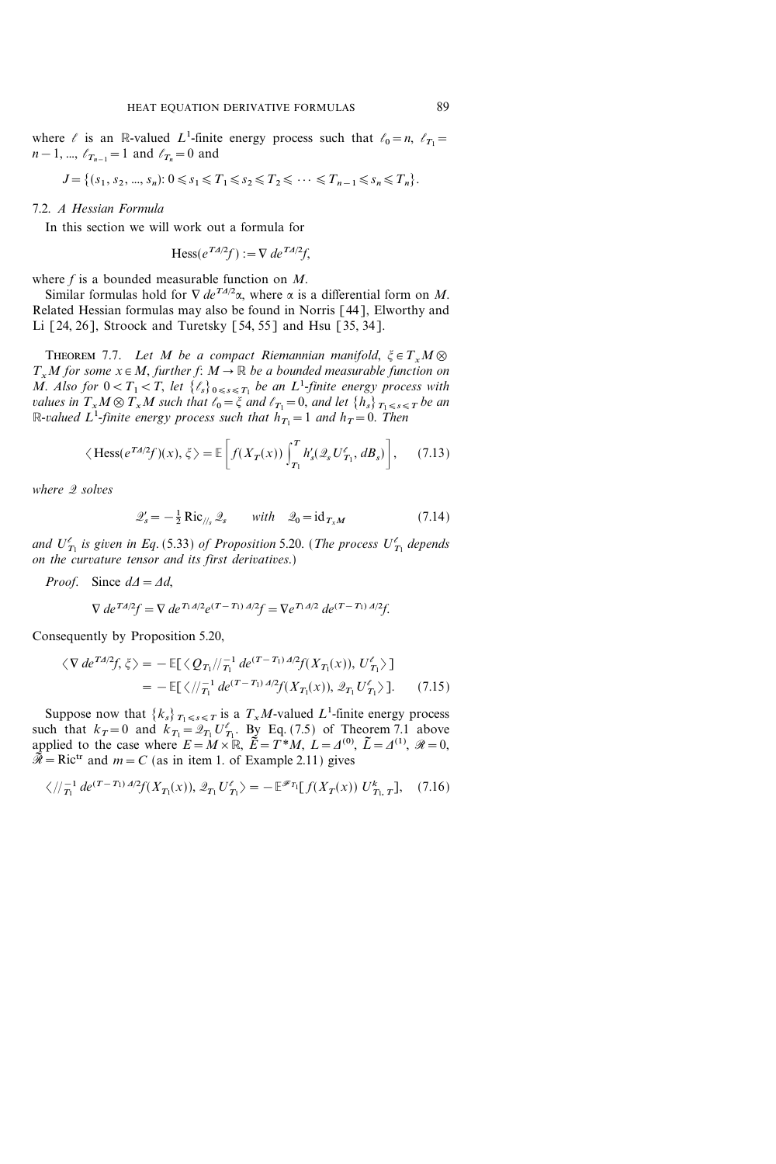where  $\ell$  is an R-valued L<sup>1</sup>-finite energy process such that  $\ell_0=n$ ,  $\ell_{T_1}=$  $n-1, ..., \ell_{T_{n-1}}=1$  and  $\ell_{T_n}=0$  and

$$
J = \{ (s_1, s_2, ..., s_n): 0 \le s_1 \le T_1 \le s_2 \le T_2 \le \dots \le T_{n-1} \le s_n \le T_n \}.
$$

#### 7.2. A Hessian Formula

In this section we will work out a formula for

$$
\text{Hess}(e^{T A/2} f) := \nabla de^{T A/2} f,
$$

where  $f$  is a bounded measurable function on  $M$ .

Similar formulas hold for  $\nabla de^{T_A/2}\alpha$ , where  $\alpha$  is a differential form on M. Related Hessian formulas may also be found in Norris [44], Elworthy and Li [24, 26], Stroock and Turetsky [54, 55] and Hsu [35, 34].

THEOREM 7.7. Let M be a compact Riemannian manifold,  $\xi \in T_xM$   $\otimes$  $T_xM$  for some  $x \in M$ , further f:  $M \to \mathbb{R}$  be a bounded measurable function on M. Also for  $0 < T_1 < T$ , let  $\{\ell_s\}_{0 \leq s \leq T_1}$  be an  $L^1$ -finite energy process with values in  $T_xM\otimes T_xM$  such that  $\ell_0=\xi$  and  $\ell_{T_1}=0$ , and let  $\{h_s\}_{T_1\leq s\leq T}$  be an R-valued  $L^1$ -finite energy process such that  $h_{T_1}=1$  and  $h_T=0$ . Then

$$
\langle \operatorname{Hess}(e^{T A/2} f)(x), \xi \rangle = \mathbb{E}\left[f(X_T(x))\int_{T_1}^T h'_s(\mathcal{Q}_s U'_{T_1}, dB_s)\right],\tag{7.13}
$$

where 2 solves

$$
\mathcal{Q}'_s = -\frac{1}{2} \operatorname{Ric}_{\text{th}} \mathcal{Q}_s \qquad \text{with} \quad \mathcal{Q}_0 = \operatorname{id}_{T_x M} \tag{7.14}
$$

and  $U_{T_1}^{\ell}$  is given in Eq. (5.33) of Proposition 5.20. (The process  $U_{T_1}^{\ell}$  depends on the curvature tensor and its first derivatives.)

*Proof.* Since  $d\Delta = \Delta d$ ,

$$
\nabla de^{T\Delta/2}f = \nabla de^{T_1\Delta/2}e^{(T-T_1)\Delta/2}f = \nabla e^{T_1\Delta/2} de^{(T-T_1)\Delta/2}f.
$$

Consequently by Proposition 5.20,

$$
\langle \nabla de^{T\Delta/2} f, \xi \rangle = -\mathbb{E}[\langle Q_{T_1} / \rangle_{T_1}^{-1} de^{(T-T_1)\Delta/2} f(X_{T_1}(x)), U'_{T_1} \rangle ]
$$
  
= 
$$
-\mathbb{E}[\langle \rangle / \rangle_{T_1}^{-1} de^{(T-T_1)\Delta/2} f(X_{T_1}(x)), \mathcal{Q}_{T_1} U'_{T_1} \rangle ]. \qquad (7.15)
$$

Suppose now that  $\{k_s\}_{T_1 \leq s \leq T}$  is a  $T_xM$ -valued  $L^1$ -finite energy process such that  $k_T = 0$  and  $k_{T_1} = \mathcal{Q}_{T_1} U'_{T_1}$ . By Eq. (7.5) of Theorem 7.1 above applied to the case where  $E=M\times\mathbb{R}$ ,  $\tilde{E}=T^*M$ ,  $L=A^{(0)}, \tilde{L}=A^{(1)}, \mathcal{R}=0$ ,  $\widetilde{\mathcal{R}} = \text{Ric}^{\text{tr}}$  and  $m = C$  (as in item 1. of Example 2.11) gives

$$
\langle \, / / \overline{T_1}^1 \, d e^{(T - T_1) \, d/2} f(X_{T_1}(x)), \, \mathcal{Q}_{T_1} \, U'_{T_1} \rangle = - \, \mathbb{E}^{\mathscr{F}_{T_1}} [ \, f(X_T(x)) \, U'_{T_1, T} ] , \quad (7.16)
$$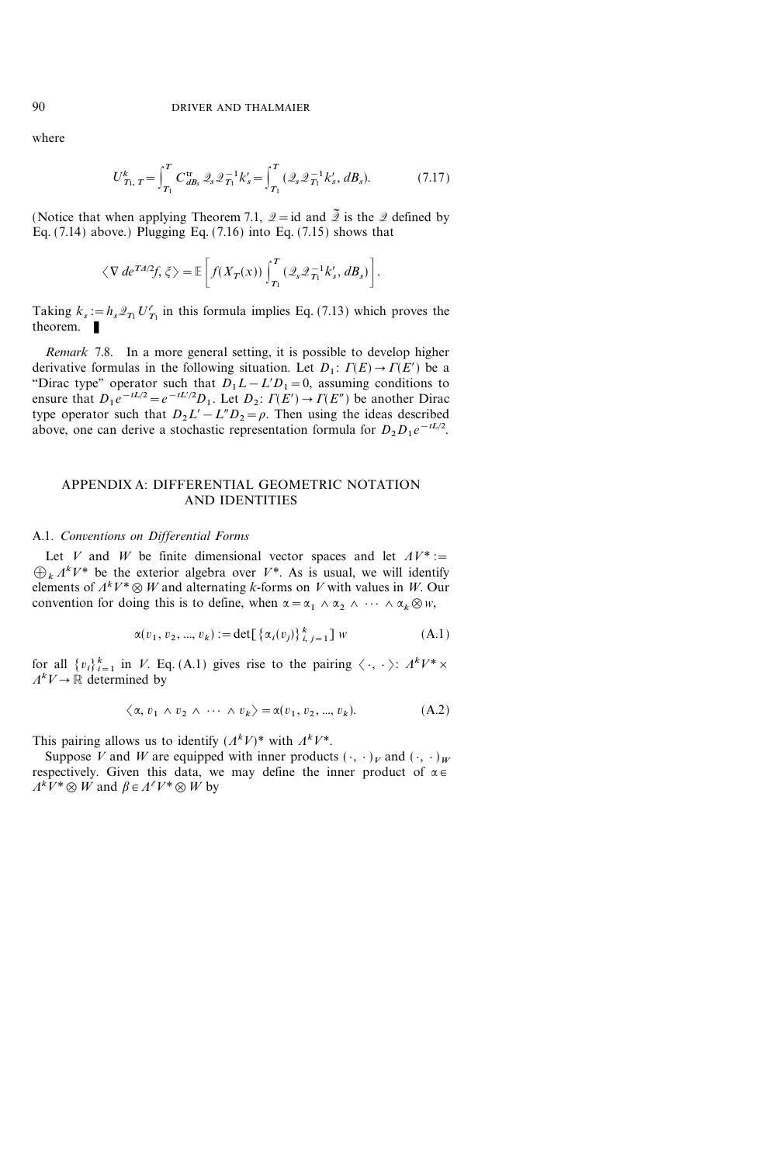where

$$
U_{T_1, T}^k = \int_{T_1}^T C_{dB_s}^{tr} \mathcal{Q}_s \mathcal{Q}_{T_1}^{-1} k_s' = \int_{T_1}^T (\mathcal{Q}_s \mathcal{Q}_{T_1}^{-1} k_s', dB_s). \tag{7.17}
$$

(Notice that when applying Theorem 7.1,  $\mathscr{Q} = id$  and  $\widetilde{\mathscr{Q}}$  is the  $\mathscr{Q}$  defined by Eq.  $(7.14)$  above.) Plugging Eq.  $(7.16)$  into Eq.  $(7.15)$  shows that

$$
\langle \nabla de^{T\Delta/2}f, \zeta \rangle = \mathbb{E}\bigg[f(X_T(x))\int_{T_1}^T (\mathcal{Q}_s\mathcal{Q}_{T_1}^{-1}k_s', dB_s)\bigg].
$$

Taking  $k_s := h_s \mathcal{Q}_{T_1} U'_{T_1}$  in this formula implies Eq. (7.13) which proves the theorem.  $\blacksquare$ 

Remark 7.8. In a more general setting, it is possible to develop higher derivative formulas in the following situation. Let  $D_1: \Gamma(E) \to \Gamma(E')$  be a "Dirac type" operator such that  $D_1L-L'D_1=0$ , assuming conditions to ensure that  $D_1 e^{-tL/2} = e^{-tL/2} D_1$ . Let  $D_2$ :  $\Gamma(E') \to \Gamma(E'')$  be another Dirac type operator such that  $D_2L' - L''D_2 = \rho$ . Then using the ideas described above, one can derive a stochastic representation formula for  $D_2 D_1 e^{-tL/2}$ .

# APPENDIX A: DIFFERENTIAL GEOMETRIC NOTATION AND IDENTITIES

#### A.1. Conventions on Differential Forms

Let V and W be finite dimensional vector spaces and let  $AV^* :=$  $\bigoplus_k \Lambda^k V^*$  be the exterior algebra over  $V^*$ . As is usual, we will identify elements of  $A^k V^* \otimes W$  and alternating k-forms on V with values in W. Our convention for doing this is to define, when  $\alpha = \alpha_1 \wedge \alpha_2 \wedge \cdots \wedge \alpha_k \otimes w$ ,

$$
\alpha(v_1, v_2, ..., v_k) := \det[\{\alpha_i(v_j)\}_{i,j=1}^k] w
$$
 (A.1)

for all  $\{v_i\}_{i=1}^k$  in V. Eq. (A.1) gives rise to the pairing  $\langle \cdot, \cdot \rangle$ :  $A^kV^* \times$  $A^kV \to \mathbb{R}$  determined by

$$
\langle \alpha, v_1 \wedge v_2 \wedge \cdots \wedge v_k \rangle = \alpha(v_1, v_2, ..., v_k). \tag{A.2}
$$

This pairing allows us to identify  $(A^k V)^*$  with  $A^k V^*$ .

Suppose V and W are equipped with inner products  $({\cdot},{\cdot})_V$  and  $({\cdot},{\cdot})_W$ respectively. Given this data, we may define the inner product of  $\alpha \in$  $A^kV^* \otimes W$  and  $\beta \in A^{\ell}V^* \otimes W$  by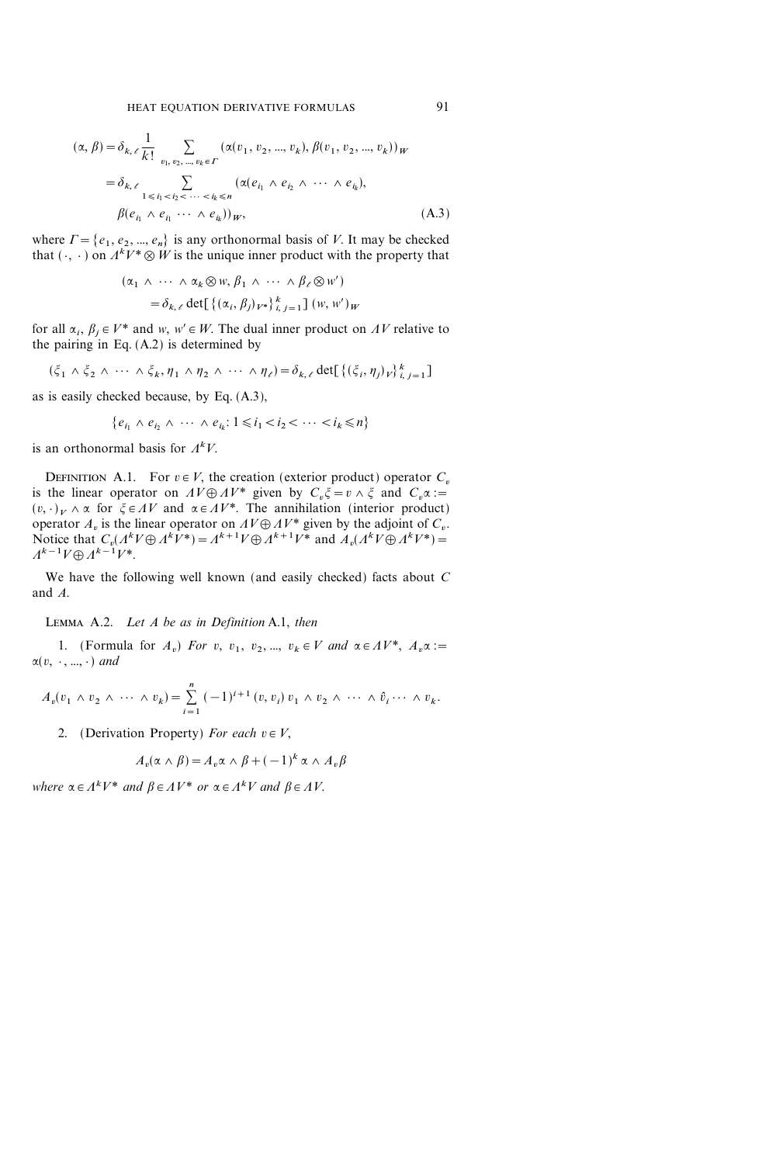$$
(\alpha, \beta) = \delta_{k, \ell} \frac{1}{k!} \sum_{v_1, v_2, \dots, v_k \in \Gamma} (\alpha(v_1, v_2, \dots, v_k), \beta(v_1, v_2, \dots, v_k))_W
$$
  
=  $\delta_{k, \ell} \sum_{1 \le i_1 < i_2 < \dots < i_k \le n} (\alpha(e_{i_1} \wedge e_{i_2} \wedge \dots \wedge e_{i_k}),$   
 $\beta(e_{i_1} \wedge e_{i_1} \dots \wedge e_{i_k}))_W,$  (A.3)

where  $\Gamma = \{e_1, e_2, ..., e_n\}$  is any orthonormal basis of V. It may be checked that  $(\cdot, \cdot)$  on  $A^k V^* \otimes W$  is the unique inner product with the property that

$$
(\alpha_1 \wedge \cdots \wedge \alpha_k \otimes w, \beta_1 \wedge \cdots \wedge \beta_\ell \otimes w')
$$
  
=  $\delta_{k,\ell} \det[\{(\alpha_i, \beta_j)_{V^*}\}_{i,j=1}^k] (w, w')_W$ 

for all  $\alpha_i$ ,  $\beta_i \in V^*$  and w,  $w' \in W$ . The dual inner product on AV relative to the pairing in Eq. (A.2) is determined by

$$
(\xi_1 \wedge \xi_2 \wedge \cdots \wedge \xi_k, \eta_1 \wedge \eta_2 \wedge \cdots \wedge \eta_\ell) = \delta_{k,\ell} \det \left[ \{ (\xi_i, \eta_j)_V \}_{i,j=1}^k \right]
$$

as is easily checked because, by Eq. (A.3),

$$
\{e_{i_1} \wedge e_{i_2} \wedge \cdots \wedge e_{i_k}: 1 \le i_1 < i_2 < \cdots < i_k \le n\}
$$

is an orthonormal basis for  $A^kV$ .

DEFINITION A.1. For  $v \in V$ , the creation (exterior product) operator  $C_v$ is the linear operator on  $AV\oplus AV^*$  given by  $C_v\xi = v\wedge \xi$  and  $C_v\alpha :=$  $(v, \cdot)_V \wedge \alpha$  for  $\xi \in AV$  and  $\alpha \in AV^*$ . The annihilation (interior product) operator  $A_v$  is the linear operator on  $AV \oplus AV^*$  given by the adjoint of  $C_v$ . Notice that  $C_v(A^k V \oplus A^k V^*) = A^{k+1} V \oplus A^{k+1} V^*$  and  $A_v(A^k V \oplus A^k V^*) =$  $A^{k-1}V \oplus A^{k-1}V^*$ 

We have the following well known (and easily checked) facts about C and A.

LEMMA  $A.2.$  Let A be as in Definition A.1, then

1. (Formula for  $A_v$ ) For v,  $v_1$ ,  $v_2$ , ...,  $v_k \in V$  and  $\alpha \in AV^*$ ,  $A_v \alpha :=$  $\alpha(v, \cdot, \dots, \cdot)$  and

$$
A_v(v_1 \wedge v_2 \wedge \cdots \wedge v_k) = \sum_{i=1}^n (-1)^{i+1} (v, v_i) v_1 \wedge v_2 \wedge \cdots \wedge \hat{v}_i \cdots \wedge v_k.
$$

2. (Derivation Property) For each  $v \in V$ ,

$$
A_v(\alpha \wedge \beta) = A_v \alpha \wedge \beta + (-1)^k \alpha \wedge A_v \beta
$$

where  $\alpha \in A^k V^*$  and  $\beta \in A V^*$  or  $\alpha \in A^k V$  and  $\beta \in A V$ .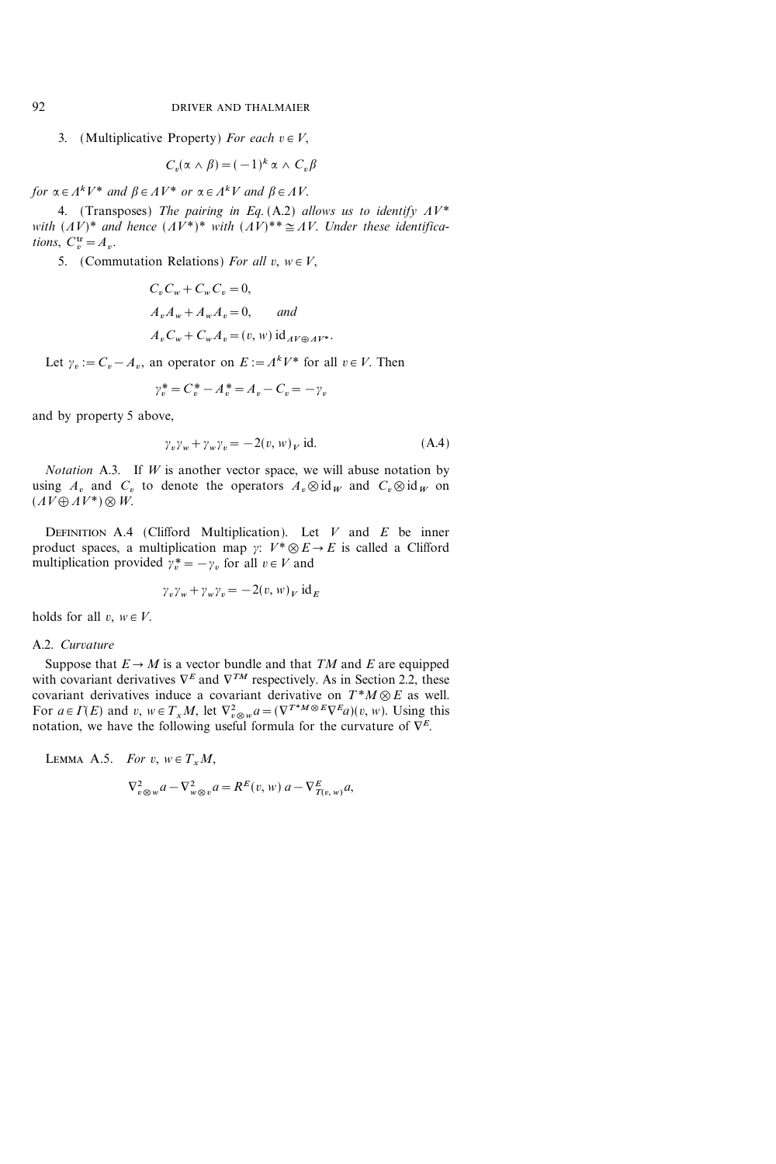3. (Multiplicative Property) For each  $v \in V$ ,

$$
C_v(\alpha \wedge \beta) = (-1)^k \alpha \wedge C_v \beta
$$

for  $\alpha \in \varLambda^k V^*$  and  $\beta \in \varLambda V^*$  or  $\alpha \in \varLambda^k V$  and  $\beta \in \varLambda V$ .

4. (Transposes) The pairing in Eq. (A.2) allows us to identify  $\Lambda V^*$ with  $(AV)^*$  and hence  $(AV^*)^*$  with  $(AV)^{**} \cong AV$ . Under these identifications,  $C_v^{\text{tr}} = A_v$ .

5. (Commutation Relations) For all  $v, w \in V$ ,

$$
C_v C_w + C_w C_v = 0,
$$
  
\n
$$
A_v A_w + A_w A_v = 0, \qquad and
$$
  
\n
$$
A_v C_w + C_w A_v = (v, w) id_{A V \oplus A V^*}.
$$

Let  $\gamma_v := C_v - A_v$ , an operator on  $E := A^k V^*$  for all  $v \in V$ . Then

 $\gamma_n^* = C_n^* - A_n^* = A_n - C_n = -\gamma_n$ 

and by property 5 above,

$$
\gamma_v \gamma_w + \gamma_w \gamma_v = -2(v, w)_V \text{ id.}
$$
 (A.4)

*Notation* A.3. If  $W$  is another vector space, we will abuse notation by using  $A_v$  and  $C_v$  to denote the operators  $A_v \otimes id_W$  and  $C_v \otimes id_W$  on  $(AV\oplus AV^*)\otimes W$ .

DEFINITION A.4 (Clifford Multiplication). Let  $V$  and  $E$  be inner product spaces, a multiplication map  $\gamma: V^* \otimes E \to E$  is called a Clifford multiplication provided  $\gamma_v^* = -\gamma_v$  for all  $v \in V$  and

$$
\gamma_v \gamma_w + \gamma_w \gamma_v = -2(v, w)_V \mathrm{id}_E
$$

holds for all  $v, w \in V$ .

#### A.2. Curvature

Suppose that  $E \to M$  is a vector bundle and that TM and E are equipped with covariant derivatives  $\nabla^E$  and  $\nabla^{TM}$  respectively. As in Section 2.2, these covariant derivatives induce a covariant derivative on  $T^*M \otimes E$  as well. For  $a \in \Gamma(E)$  and  $v, w \in T_xM$ , let  $\nabla^2_{v \otimes w} a = (\nabla^{T^*M \otimes E} \nabla^E a)(v, w)$ . Using this notation, we have the following useful formula for the curvature of  $\nabla^E$ .

LEMMA A.5. For 
$$
v, w \in T_x M
$$
,  
\n
$$
\nabla_{v \otimes w}^2 a - \nabla_{w \otimes v}^2 a = R^E(v, w) a - \nabla_{T(v, w)}^E a,
$$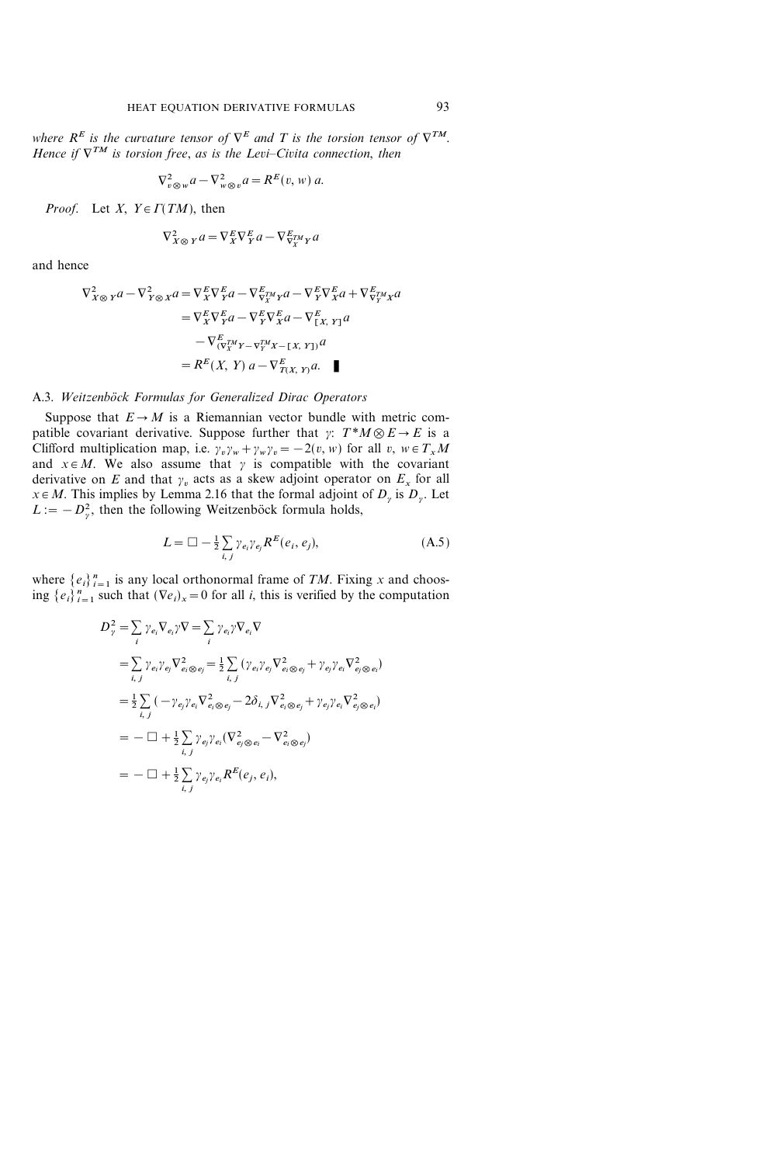where  $R^E$  is the curvature tensor of  $\nabla^E$  and T is the torsion tensor of  $\nabla^{TM}$ . Hence if  $\nabla^{TM}$  is torsion free, as is the Levi-Civita connection, then

$$
\nabla_{v\otimes w}^2 a - \nabla_{w\otimes v}^2 a = R^E(v, w) a.
$$

*Proof.* Let X,  $Y \in \Gamma(TM)$ , then

$$
\nabla_{X\otimes Y}^2 a = \nabla_X^E \nabla_Y^E a - \nabla_{\nabla_X^{TM} Y}^E a
$$

and hence

$$
\begin{split} \nabla_{X\otimes Y}^{2}a - \nabla_{Y\otimes X}^{2}a &= \nabla_{X}^{E}\nabla_{Y}^{E}a - \nabla_{Y}^{E}\nabla_{X}^{H}a - \nabla_{Y}^{E}\nabla_{X}^{E}a + \nabla_{Y}^{E}\nabla_{Y}^{H}a \\ &= \nabla_{X}^{E}\nabla_{Y}^{E}a - \nabla_{Y}^{E}\nabla_{X}^{E}a - \nabla_{[X,\ Y]}^{E}a \\ &- \nabla_{(\nabla_{X}^{TM}Y - \nabla_{Y}^{TM}X - [X,\ Y])}^{E}a \\ &= R^{E}(X,\ Y)\,a - \nabla_{T(X,\ Y)}^{E}a. \quad \blacksquare \end{split}
$$

# A.3. Weitzenböck Formulas for Generalized Dirac Operators

Suppose that  $E \rightarrow M$  is a Riemannian vector bundle with metric compatible covariant derivative. Suppose further that  $\gamma: T^*M \otimes E \to E$  is a Clifford multiplication map, i.e.  $\gamma_v \gamma_w + \gamma_w \gamma_v = -2(v, w)$  for all v,  $w \in T_xM$ and  $x \in M$ . We also assume that  $\gamma$  is compatible with the covariant derivative on E and that  $\gamma_v$  acts as a skew adjoint operator on  $E_x$  for all  $x \in M$ . This implies by Lemma 2.16 that the formal adjoint of  $D<sub>y</sub>$  is  $D<sub>y</sub>$ . Let  $L := -D_y^2$ , then the following Weitzenböck formula holds,

$$
L = \Box - \frac{1}{2} \sum_{i,j} \gamma_{e_i} \gamma_{e_j} R^{E}(e_i, e_j), \qquad (A.5)
$$

where  $\{e_i\}_{i=1}^n$  is any local orthonormal frame of TM. Fixing x and choosing  $\{e_i\}_{i=1}^n$  such that  $(\nabla e_i)_x = 0$  for all *i*, this is verified by the computation

$$
D_{\gamma}^{2} = \sum_{i} \gamma_{e_{i}} \nabla_{e_{i}} \gamma \nabla = \sum_{i} \gamma_{e_{i}} \gamma \nabla_{e_{i}} \nabla
$$
  
\n
$$
= \sum_{i,j} \gamma_{e_{i}} \gamma_{e_{j}} \nabla_{e_{i} \otimes e_{j}}^{2} = \frac{1}{2} \sum_{i,j} (\gamma_{e_{i}} \gamma_{e_{j}} \nabla_{e_{i} \otimes e_{j}}^{2} + \gamma_{e_{j}} \gamma_{e_{i}} \nabla_{e_{j} \otimes e_{i}}^{2})
$$
  
\n
$$
= \frac{1}{2} \sum_{i,j} (-\gamma_{e_{j}} \gamma_{e_{i}} \nabla_{e_{i} \otimes e_{j}}^{2} - 2\delta_{i,j} \nabla_{e_{i} \otimes e_{j}}^{2} + \gamma_{e_{j}} \gamma_{e_{i}} \nabla_{e_{j} \otimes e_{i}}^{2})
$$
  
\n
$$
= -\Box + \frac{1}{2} \sum_{i,j} \gamma_{e_{j}} \gamma_{e_{i}} (\nabla_{e_{j} \otimes e_{i}}^{2} - \nabla_{e_{i} \otimes e_{j}}^{2})
$$
  
\n
$$
= -\Box + \frac{1}{2} \sum_{i,j} \gamma_{e_{j}} \gamma_{e_{i}} R^{E}(e_{j}, e_{i}),
$$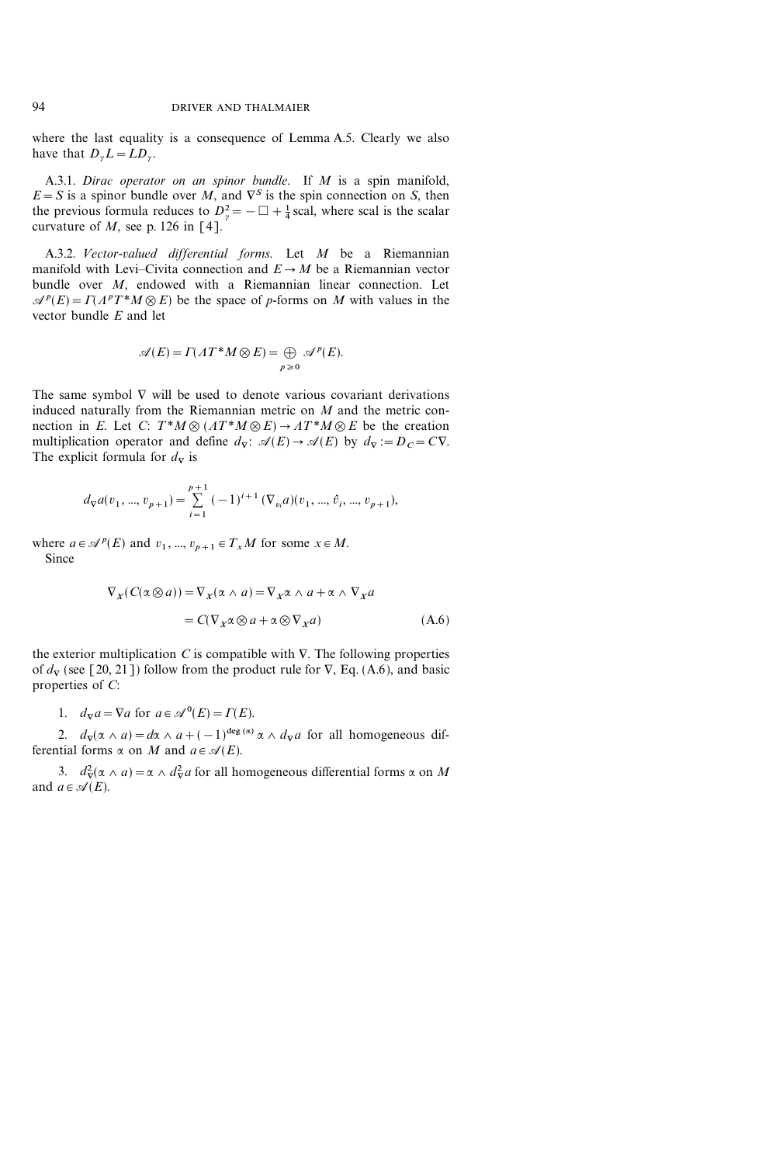where the last equality is a consequence of Lemma A.5. Clearly we also have that  $D_{\nu}L = L D_{\nu}$ .

A.3.1. Dirac operator on an spinor bundle. If M is a spin manifold,  $E = S$  is a spinor bundle over M, and  $\nabla^{S}$  is the spin connection on S, then the previous formula reduces to  $D_{\gamma}^2 = -\Box + \frac{1}{4}$  scal, where scal is the scalar curvature of  $M$ , see p. 126 in [4].

A.3.2. Vector-valued differential forms. Let M be a Riemannian manifold with Levi-Civita connection and  $E \to M$  be a Riemannian vector bundle over M, endowed with a Riemannian linear connection. Let  $\mathcal{A}^p(E) = \Gamma(\Lambda^p T^* M \otimes E)$  be the space of p-forms on M with values in the vector bundle  $E$  and let

$$
\mathscr{A}(E) = \Gamma(\Lambda T^*M \otimes E) = \bigoplus_{p \ge 0} \mathscr{A}^p(E).
$$

The same symbol  $\nabla$  will be used to denote various covariant derivations induced naturally from the Riemannian metric on  $M$  and the metric connection in E. Let C:  $T^*M \otimes (AT^*M \otimes E) \rightarrow AT^*M \otimes E$  be the creation multiplication operator and define  $d_{\nabla}$ :  $\mathcal{A}(E) \rightarrow \mathcal{A}(E)$  by  $d_{\nabla}$ :=D<sub>C</sub>=CV. The explicit formula for  $d_{\nabla}$  is

$$
d_{\nabla}a(v_1, ..., v_{p+1}) = \sum_{i=1}^{p+1} (-1)^{i+1} (\nabla_{v_i}a)(v_1, ..., \hat{v}_i, ..., v_{p+1}),
$$

where  $a \in \mathcal{A}^p(E)$  and  $v_1, ..., v_{p+1} \in T_xM$  for some  $x \in M$ . Since

$$
\nabla_X (C(\alpha \otimes a)) = \nabla_X (\alpha \wedge a) = \nabla_X \alpha \wedge a + \alpha \wedge \nabla_X a
$$

$$
= C(\nabla_X \alpha \otimes a + \alpha \otimes \nabla_X a)
$$
(A.6)

the exterior multiplication  $C$  is compatible with  $\nabla$ . The following properties of  $d_{\nabla}$  (see [20, 21]) follow from the product rule for  $\nabla$ , Eq. (A.6), and basic properties of C:

1.  $d_{\nabla} a = \nabla a$  for  $a \in \mathcal{A}^0(E) = \Gamma(E)$ .

2.  $d_{\mathbf{v}}(\alpha \wedge a) = d\alpha \wedge a + (-1)^{\deg{(\alpha)}} \alpha \wedge d_{\mathbf{v}} a$  for all homogeneous differential forms  $\alpha$  on M and  $a \in \mathcal{A}(E)$ .

3.  $d_{\nabla}^2(\alpha \wedge a) = \alpha \wedge d_{\nabla}^2 a$  for all homogeneous differential forms  $\alpha$  on M and  $a \in \mathcal{A}(E)$ .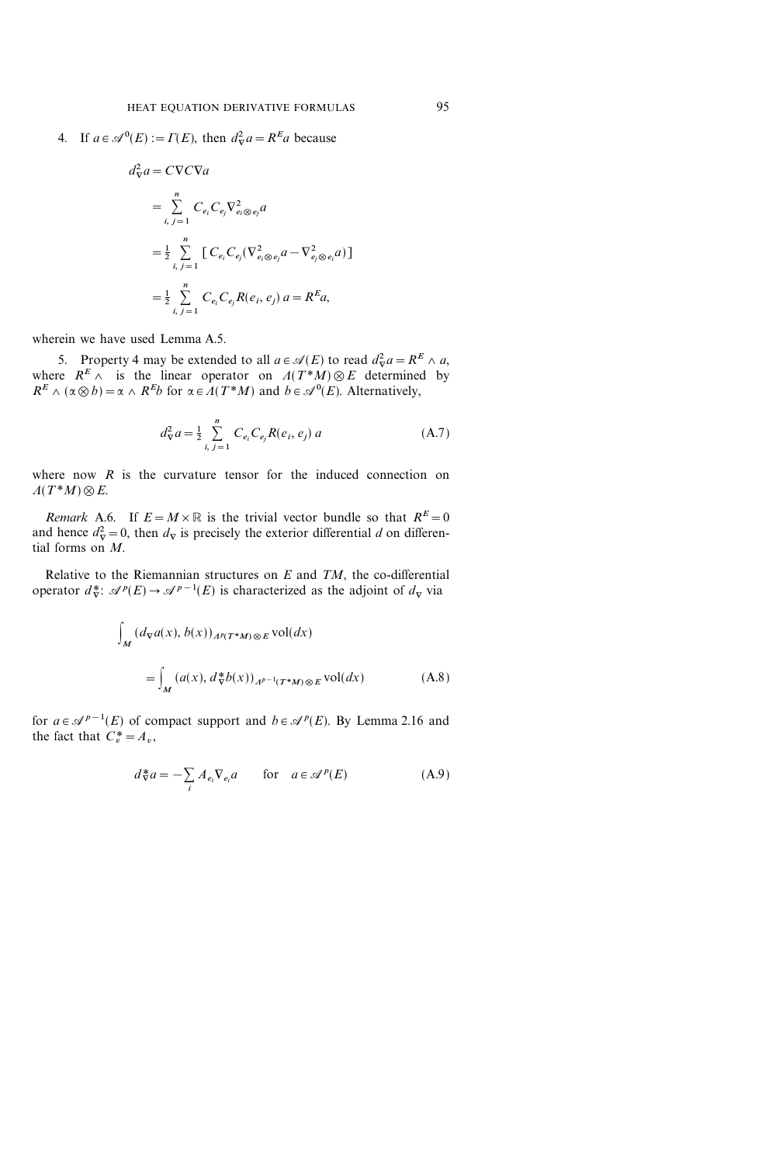4. If  $a \in \mathcal{A}^0(E) := \Gamma(E)$ , then  $d^2_{\nabla} a = R^E a$  because

$$
d_{\nabla}^2 a = C \nabla C \nabla a
$$
  
= 
$$
\sum_{i, j=1}^n C_{e_i} C_{e_j} \nabla_{e_i \otimes e_j}^2 a
$$
  
= 
$$
\frac{1}{2} \sum_{i, j=1}^n \left[ C_{e_i} C_{e_j} (\nabla_{e_i \otimes e_j}^2 a - \nabla_{e_j \otimes e_i}^2 a) \right]
$$
  
= 
$$
\frac{1}{2} \sum_{i, j=1}^n C_{e_i} C_{e_j} R(e_i, e_j) a = R^E a,
$$

wherein we have used Lemma A.5.

5. Property 4 may be extended to all  $a \in \mathcal{A}(E)$  to read  $d_{\nabla}^2 a = R^E \wedge a$ , where  $R^E \wedge$  is the linear operator on  $A(T^*M) \otimes E$  determined by  $R^E \wedge (\alpha \otimes b) = \alpha \wedge R^E b$  for  $\alpha \in \Lambda(T^*M)$  and  $b \in \mathcal{A}^0(E)$ . Alternatively,

$$
d_{\nabla}^2 a = \frac{1}{2} \sum_{i, j=1}^n C_{e_i} C_{e_j} R(e_i, e_j) a
$$
 (A.7)

where now  $R$  is the curvature tensor for the induced connection on  $\Lambda(T^*M)\otimes E$ .

Remark A.6. If  $E = M \times \mathbb{R}$  is the trivial vector bundle so that  $R^E = 0$ and hence  $d_{\nabla}^2 = 0$ , then  $d_{\nabla}$  is precisely the exterior differential d on differential forms on M.

Relative to the Riemannian structures on  $E$  and  $TM$ , the co-differential operator  $d_{\nabla}^*$ :  $\mathscr{A}^p(E) \to \mathscr{A}^{p-1}(E)$  is characterized as the adjoint of  $d_{\nabla}$  via

$$
\int_{M} (d_{\nabla} a(x), b(x))_{A^{p}(T^{*}M) \otimes E} \text{vol}(dx)
$$
\n
$$
= \int_{M} (a(x), d_{\nabla}^{*} b(x))_{A^{p-1}(T^{*}M) \otimes E} \text{vol}(dx) \tag{A.8}
$$

for  $a \in \mathcal{A}^{p-1}(E)$  of compact support and  $b \in \mathcal{A}^p(E)$ . By Lemma 2.16 and the fact that  $C_r^* = A_v$ ,

$$
d_{\nabla}^* a = -\sum_i A_{e_i} \nabla_{e_i} a \qquad \text{for} \quad a \in \mathcal{A}^p(E)
$$
 (A.9)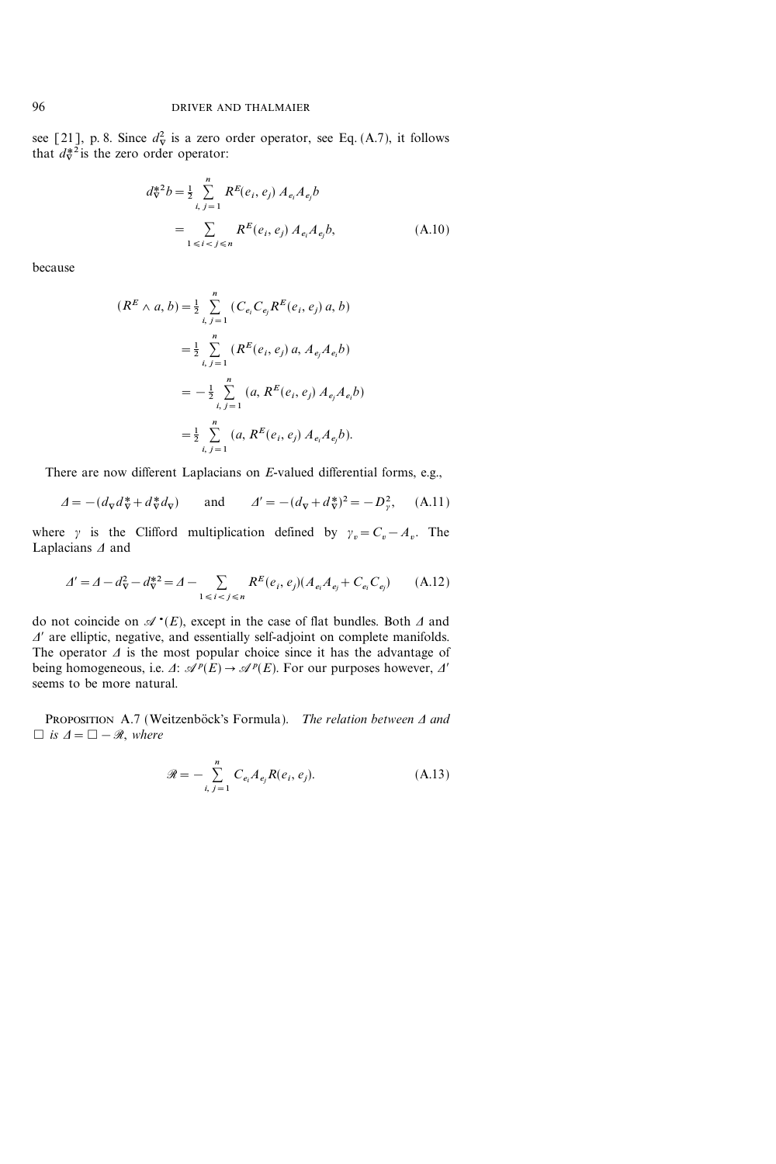see [21], p. 8. Since  $d_{\nabla}^2$  is a zero order operator, see Eq. (A.7), it follows that  $d_{\nabla}^{*2}$  is the zero order operator:

$$
d_{\nabla}^{*2}b = \frac{1}{2} \sum_{i, j=1}^{n} R^{E}(e_{i}, e_{j}) A_{e_{i}} A_{e_{j}} b
$$
  
= 
$$
\sum_{1 \leq i < j \leq n} R^{E}(e_{i}, e_{j}) A_{e_{i}} A_{e_{j}} b,
$$
 (A.10)

because

$$
(R^{E} \wedge a, b) = \frac{1}{2} \sum_{i, j=1}^{n} (C_{e_i} C_{e_j} R^{E}(e_i, e_j) a, b)
$$
  

$$
= \frac{1}{2} \sum_{i, j=1}^{n} (R^{E}(e_i, e_j) a, A_{e_j} A_{e_i} b)
$$
  

$$
= -\frac{1}{2} \sum_{i, j=1}^{n} (a, R^{E}(e_i, e_j) A_{e_j} A_{e_i} b)
$$
  

$$
= \frac{1}{2} \sum_{i, j=1}^{n} (a, R^{E}(e_i, e_j) A_{e_i} A_{e_j} b).
$$

There are now different Laplacians on E-valued differential forms, e.g.,

$$
\varDelta = -(d_{\nabla}d_{\nabla}^* + d_{\nabla}^*d_{\nabla}) \qquad \text{and} \qquad \varDelta' = -(d_{\nabla} + d_{\nabla}^*)^2 = -D_{\gamma}^2, \tag{A.11}
$$

where y is the Clifford multiplication defined by  $\gamma_v = C_v - A_v$ . The Laplacians  $\Delta$  and

$$
\Delta' = \Delta - d_{\nabla}^2 - d_{\nabla}^{*2} = \Delta - \sum_{1 \le i < j \le n} R^E(e_i, e_j) (A_{e_i} A_{e_j} + C_{e_i} C_{e_j}) \tag{A.12}
$$

do not coincide on  $\mathscr{A}^{\bullet}(E)$ , except in the case of flat bundles. Both  $\Delta$  and  $\Delta'$  are elliptic, negative, and essentially self-adjoint on complete manifolds. The operator  $\Delta$  is the most popular choice since it has the advantage of being homogeneous, i.e.  $\Delta$ :  $\mathcal{A}^p(E) \rightarrow \mathcal{A}^p(E)$ . For our purposes however,  $\Delta'$ seems to be more natural.

PROPOSITION A.7 (Weitzenböck's Formula). The relation between  $\Delta$  and  $\Box$  is  $\Delta = \Box - \mathcal{R}$ , where

$$
\mathcal{R} = -\sum_{i, j=1}^{n} C_{e_i} A_{e_j} R(e_i, e_j).
$$
 (A.13)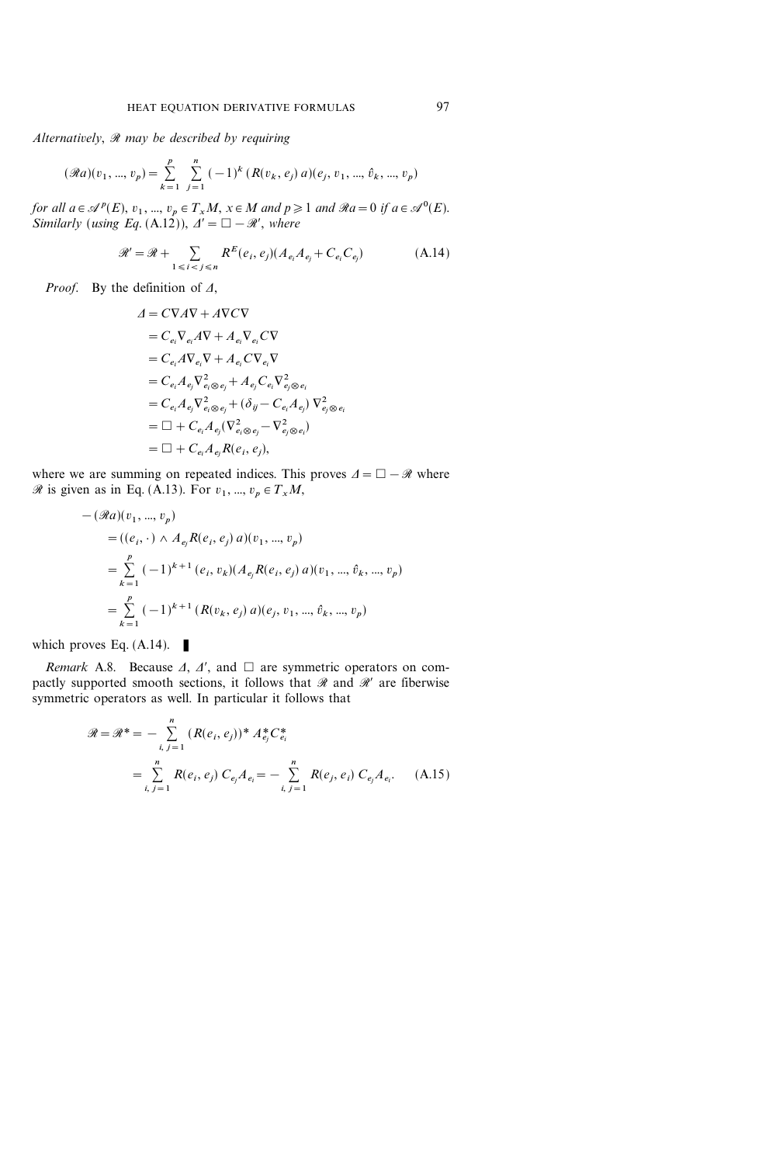Alternatively,  $\Re$  may be described by requiring

$$
(\Re a)(v_1, ..., v_p) = \sum_{k=1}^p \sum_{j=1}^n (-1)^k (R(v_k, e_j) a)(e_j, v_1, ..., \hat{v}_k, ..., v_p)
$$

for all  $a \in \mathcal{A}^p(E)$ ,  $v_1, ..., v_p \in T_xM$ ,  $x \in M$  and  $p \geq 1$  and  $\Re a = 0$  if  $a \in \mathcal{A}^0(E)$ . Similarly (using Eq.  $(A.12)$ ),  $\Delta' = \square - \mathcal{R}'$ , where

$$
\mathcal{R}' = \mathcal{R} + \sum_{1 \leq i < j \leq n} R^E(e_i, e_j)(A_{e_i}A_{e_j} + C_{e_i}C_{e_j}) \tag{A.14}
$$

*Proof.* By the definition of  $\Lambda$ ,

$$
A = C\nabla A \nabla + A \nabla C \nabla
$$
  
\n
$$
= C_{e_i} \nabla_{e_i} A \nabla + A_{e_i} \nabla_{e_i} C \nabla
$$
  
\n
$$
= C_{e_i} A \nabla_{e_i} \nabla + A_{e_i} C \nabla_{e_i} \nabla
$$
  
\n
$$
= C_{e_i} A_{e_j} \nabla_{e_i \otimes e_j}^2 + A_{e_j} C_{e_i} \nabla_{e_j \otimes e_i}^2
$$
  
\n
$$
= C_{e_i} A_{e_j} \nabla_{e_i \otimes e_j}^2 + (\delta_{ij} - C_{e_i} A_{e_j}) \nabla_{e_j \otimes e_i}^2
$$
  
\n
$$
= \Box + C_{e_i} A_{e_j} (\nabla_{e_i \otimes e_j}^2 - \nabla_{e_j \otimes e_i}^2)
$$
  
\n
$$
= \Box + C_{e_i} A_{e_j} R(e_i, e_j),
$$

where we are summing on repeated indices. This proves  $\Delta = \Box - \mathcal{R}$  where  $\mathscr R$  is given as in Eq. (A.13). For  $v_1, ..., v_p \in T_xM$ ,

$$
-(\Re a)(v_1, ..., v_p)
$$
  
=  $((e_i, \cdot) \land A_{e_j}R(e_i, e_j) a)(v_1, ..., v_p)$   
=  $\sum_{k=1}^p (-1)^{k+1} (e_i, v_k) (A_{e_j}R(e_i, e_j) a)(v_1, ..., \hat{v}_k, ..., v_p)$   
=  $\sum_{k=1}^p (-1)^{k+1} (R(v_k, e_j) a)(e_j, v_1, ..., \hat{v}_k, ..., v_p)$ 

which proves Eq.  $(A.14)$ .

Remark A.8. Because  $\Delta$ ,  $\Delta'$ , and  $\Box$  are symmetric operators on compactly supported smooth sections, it follows that  $\mathcal R$  and  $\mathcal R'$  are fiberwise symmetric operators as well. In particular it follows that

$$
\mathcal{R} = \mathcal{R}^* = -\sum_{i,j=1}^n (R(e_i, e_j))^* A_{e_j}^* C_{e_i}^*
$$
  
= 
$$
\sum_{i,j=1}^n R(e_i, e_j) C_{e_j} A_{e_i} = -\sum_{i,j=1}^n R(e_j, e_i) C_{e_j} A_{e_i}.
$$
 (A.15)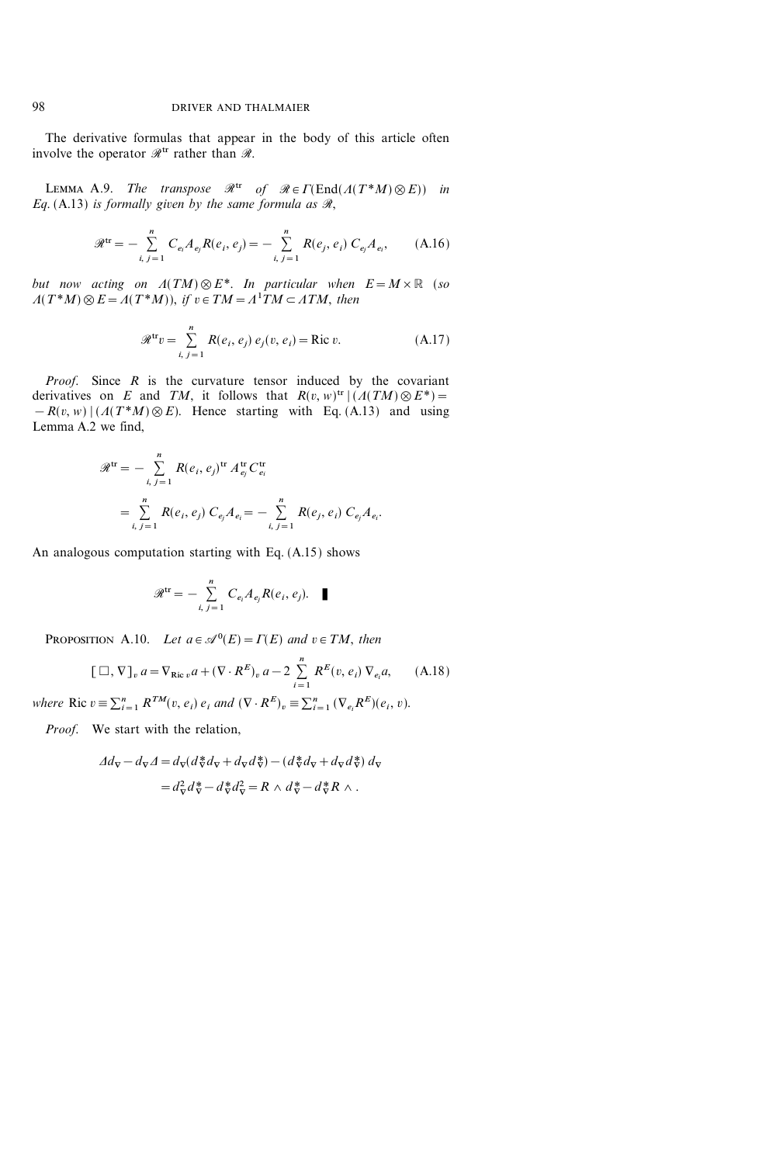The derivative formulas that appear in the body of this article often involve the operator  $\mathcal{R}^{tr}$  rather than  $\mathcal{R}$ .

LEMMA A.9. The transpose  $\mathcal{R}^{tr}$  of  $\mathcal{R} \in \Gamma(\text{End}(A(T^*M) \otimes E))$  in Eq. (A.13) is formally given by the same formula as  $\mathcal{R}$ ,

$$
\mathcal{R}^{\text{tr}} = -\sum_{i, j=1}^{n} C_{e_i} A_{e_j} R(e_i, e_j) = -\sum_{i, j=1}^{n} R(e_j, e_i) C_{e_j} A_{e_i}, \quad (A.16)
$$

but now acting on  $A(TM) \otimes E^*$ . In particular when  $E = M \times \mathbb{R}$  (so  $A(T^*M)\otimes E = A(T^*M)$ , if  $v \in TM = A^1TM \subset ATM$ , then

$$
\mathcal{R}^{\text{tr}}v = \sum_{i, j=1}^{n} R(e_i, e_j) e_j(v, e_i) = \text{Ric } v.
$$
 (A.17)

*Proof.* Since  $R$  is the curvature tensor induced by the covariant derivatives on E and TM, it follows that  $R(v, w)^{tr} | (A(TM) \otimes E^*) =$  $-R(v, w) | (A(T^*M) \otimes E)$ . Hence starting with Eq. (A.13) and using Lemma A.2 we find,

$$
\mathcal{R}^{tr} = -\sum_{i, j=1}^{n} R(e_i, e_j)^{tr} A_{e_j}^{tr} C_{e_i}^{tr}
$$
  
= 
$$
\sum_{i, j=1}^{n} R(e_i, e_j) C_{e_j} A_{e_i} = -\sum_{i, j=1}^{n} R(e_j, e_i) C_{e_j} A_{e_i}.
$$

An analogous computation starting with Eq. (A.15) shows

$$
\mathscr{R}^{\text{tr}} = -\sum_{i, j=1}^{n} C_{e_i} A_{e_j} R(e_i, e_j). \quad \blacksquare
$$

PROPOSITION A.10. Let  $a \in \mathcal{A}^0(E) = \Gamma(E)$  and  $v \in TM$ , then

$$
[\Box, \nabla]_v a = \nabla_{\text{Ric }v} a + (\nabla \cdot R^E)_v a - 2 \sum_{i=1}^n R^E(v, e_i) \nabla_{e_i} a, \quad (A.18)
$$

where Ric  $v \equiv \sum_{i=1}^n R^{TM}(v, e_i) e_i$  and  $(\nabla \cdot R^E)_v \equiv \sum_{i=1}^n (\nabla_{e_i} R^E)(e_i, v)$ .

Proof. We start with the relation,

$$
\begin{aligned} \n\varDelta d_{\nabla} - d_{\nabla} \varDelta &= d_{\nabla} (d_{\nabla}^* d_{\nabla} + d_{\nabla} d_{\nabla}^*) - (d_{\nabla}^* d_{\nabla} + d_{\nabla} d_{\nabla}^*) \, d_{\nabla} \\ \n&= d_{\nabla}^2 d_{\nabla}^* - d_{\nabla}^* d_{\nabla}^2 = R \, \wedge \, d_{\nabla}^* - d_{\nabla}^* R \, \wedge \, .\n\end{aligned}
$$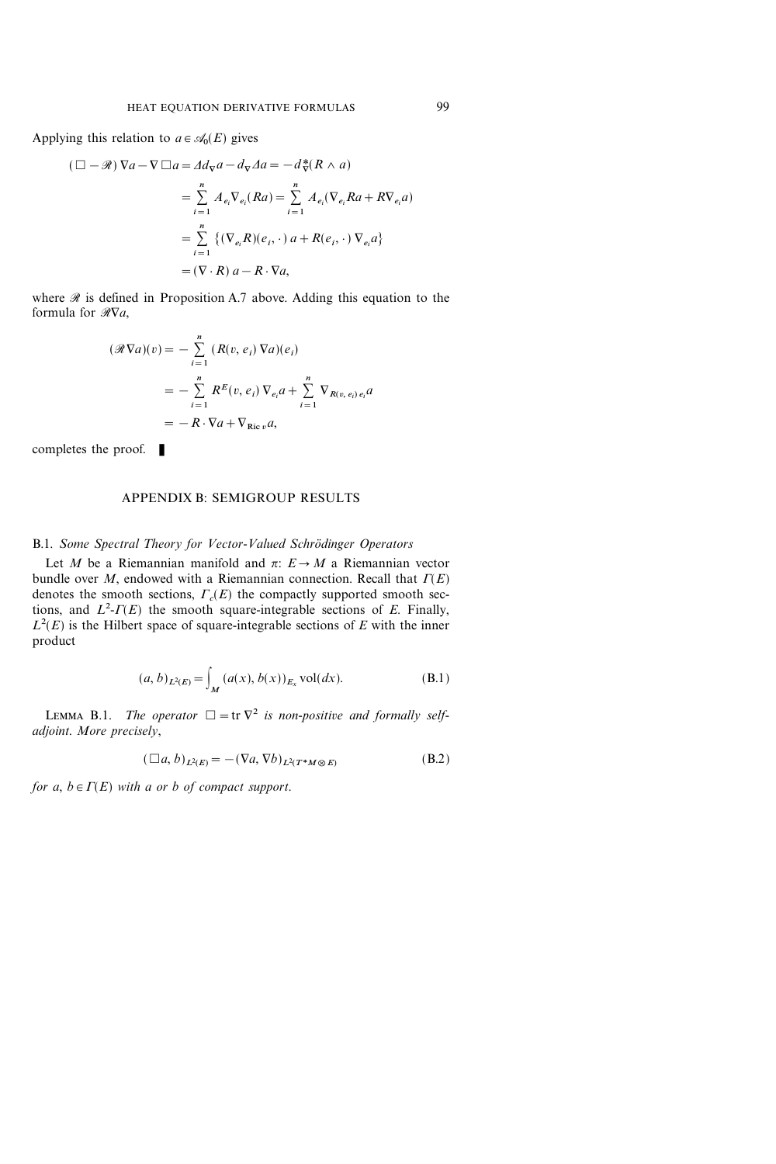Applying this relation to  $a \in \mathcal{A}_0(E)$  gives

$$
(\Box - \mathcal{R}) \nabla a - \nabla \Box a = \varDelta d_{\nabla} a - d_{\nabla} \varDelta a = -d_{\nabla}^* (R \wedge a)
$$
  

$$
= \sum_{i=1}^n A_{e_i} \nabla_{e_i} (Ra) = \sum_{i=1}^n A_{e_i} (\nabla_{e_i} Ra + R \nabla_{e_i} a)
$$
  

$$
= \sum_{i=1}^n \{ (\nabla_{e_i} R)(e_i, \cdot) a + R(e_i, \cdot) \nabla_{e_i} a \}
$$
  

$$
= (\nabla \cdot R) a - R \cdot \nabla a,
$$

where  $\Re$  is defined in Proposition A.7 above. Adding this equation to the formula for  $\Re \nabla a$ ,

$$
(\mathcal{R}\nabla a)(v) = -\sum_{i=1}^{n} (R(v, e_i) \nabla a)(e_i)
$$
  
= 
$$
-\sum_{i=1}^{n} R^{E}(v, e_i) \nabla_{e_i} a + \sum_{i=1}^{n} \nabla_{R(v, e_i) e_i} a
$$
  
= 
$$
-R \cdot \nabla a + \nabla_{\text{Ric }v} a,
$$

completes the proof.  $\blacksquare$ 

#### APPENDIX B: SEMIGROUP RESULTS

# B.1. Some Spectral Theory for Vector-Valued Schrödinger Operators

Let M be a Riemannian manifold and  $\pi: E \rightarrow M$  a Riemannian vector bundle over M, endowed with a Riemannian connection. Recall that  $\Gamma(E)$ denotes the smooth sections,  $\Gamma_c(E)$  the compactly supported smooth sections, and  $L^2$ - $\Gamma(E)$  the smooth square-integrable sections of E. Finally,  $L^2(E)$  is the Hilbert space of square-integrable sections of E with the inner product

$$
(a, b)_{L^{2}(E)} = \int_{M} (a(x), b(x))_{E_{x}} \text{vol}(dx).
$$
 (B.1)

LEMMA B.1. The operator  $\square = \text{tr } \nabla^2$  is non-positive and formally selfadjoint. More precisely,

$$
(\Box a, b)_{L^2(E)} = -(\nabla a, \nabla b)_{L^2(T^*M \otimes E)} \tag{B.2}
$$

for a,  $b \in \Gamma(E)$  with a or b of compact support.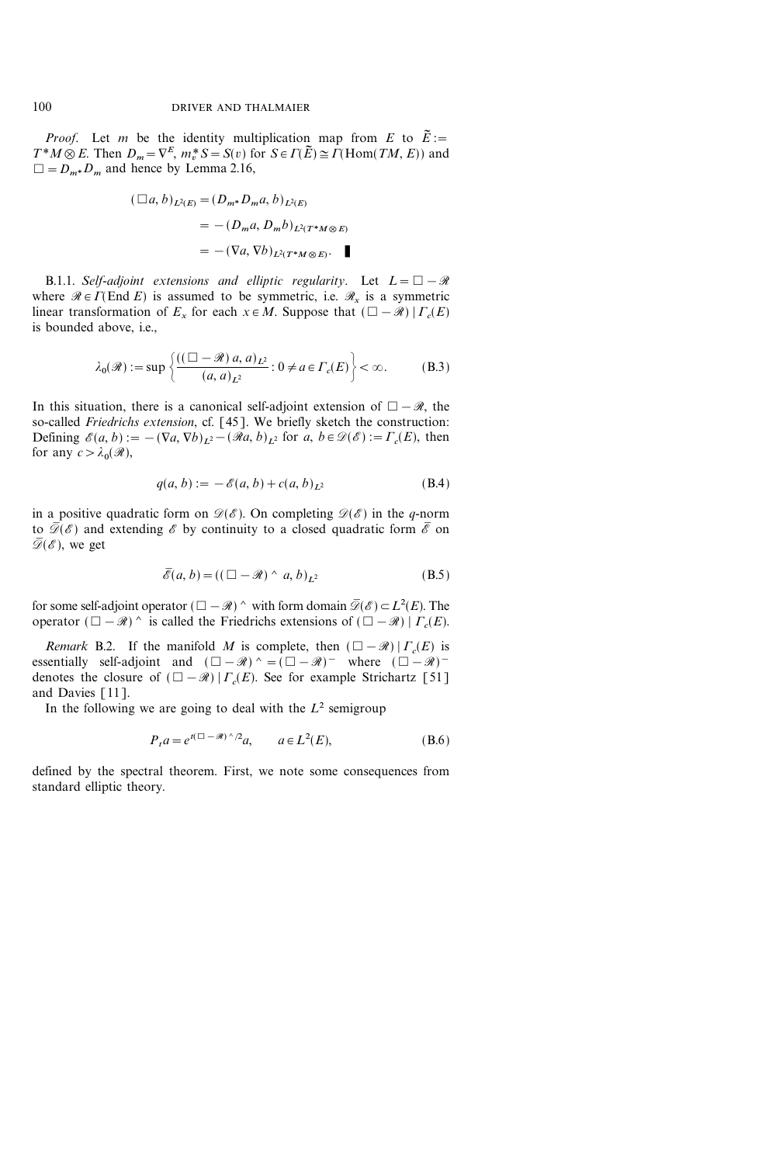*Proof.* Let m be the identity multiplication map from E to  $\tilde{E}$  :=  $T^*M \otimes E$ . Then  $D_m = \nabla^E$ ,  $m_v^* S = S(v)$  for  $S \in \Gamma(\widetilde{E}) \cong \Gamma(\text{Hom}(TM, E))$  and  $\square = D_{m^*}D_m$  and hence by Lemma 2.16,

$$
(\Box a, b)_{L^2(E)} = (D_{m^*}D_m a, b)_{L^2(E)}
$$
  
= 
$$
-(D_m a, D_m b)_{L^2(T^*M \otimes E)}
$$
  
= 
$$
-(\nabla a, \nabla b)_{L^2(T^*M \otimes E)}.
$$

B.1.1. Self-adjoint extensions and elliptic regularity. Let  $L=\Box-\mathcal{R}$ where  $\mathcal{R} \in \Gamma(\text{End } E)$  is assumed to be symmetric, i.e.  $\mathcal{R}_x$  is a symmetric linear transformation of  $E_x$  for each  $x \in M$ . Suppose that  $(\Box - \mathcal{R}) | \Gamma_c(E)$ is bounded above, i.e.,

$$
\lambda_0(\mathcal{R}) := \sup \left\{ \frac{((\Box - \mathcal{R}) a, a)_{L^2}}{(a, a)_{L^2}} : 0 \neq a \in \Gamma_c(E) \right\} < \infty.
$$
 (B.3)

In this situation, there is a canonical self-adjoint extension of  $\Box - \mathcal{R}$ , the so-called Friedrichs extension, cf. [45]. We briefly sketch the construction: Defining  $\mathscr{E}(a, b) := -(\nabla a, \nabla b)_{L^2} - (\mathscr{R}a, b)_{L^2}$  for  $a, b \in \mathscr{D}(\mathscr{E}) := \Gamma_c(E)$ , then for any  $c > \lambda_0(\mathcal{R}),$ 

$$
q(a, b) := -\mathscr{E}(a, b) + c(a, b)_{L^2}
$$
 (B.4)

in a positive quadratic form on  $\mathcal{D}(\mathscr{E})$ . On completing  $\mathcal{D}(\mathscr{E})$  in the q-norm to  $\overline{\mathscr{D}}(\mathscr{E})$  and extending  $\mathscr{E}$  by continuity to a closed quadratic form  $\overline{\mathscr{E}}$  on  $\overline{\mathscr{D}}(\mathscr{E})$ , we get

$$
\overline{\mathscr{E}}(a,b) = ((\Box - \mathscr{R}) \land a,b)_{L^2} \tag{B.5}
$$

for some self-adjoint operator  $(\Box - \mathcal{R})$   $\wedge$  with form domain  $\overline{\mathcal{D}}(\mathcal{E}) \subset L^2(E)$ . The operator  $(\Box - \mathcal{R})$  *n* is called the Friedrichs extensions of  $(\Box - \mathcal{R}) | \Gamma_c(E)$ .

Remark B.2. If the manifold M is complete, then  $(\Box - \mathcal{R}) | \Gamma_c(E)$  is essentially self-adjoint and  $(\Box - \mathcal{R})^{\wedge} = (\Box - \mathcal{R})^-$  where  $(\Box - \mathcal{R})^$ denotes the closure of  $(\Box - \mathcal{R}) | \Gamma_c(E)$ . See for example Strichartz [51] and Davies [11].

In the following we are going to deal with the  $L^2$  semigroup

$$
P_t a = e^{t(\square - \mathcal{R}) \wedge /2} a, \qquad a \in L^2(E), \tag{B.6}
$$

defined by the spectral theorem. First, we note some consequences from standard elliptic theory.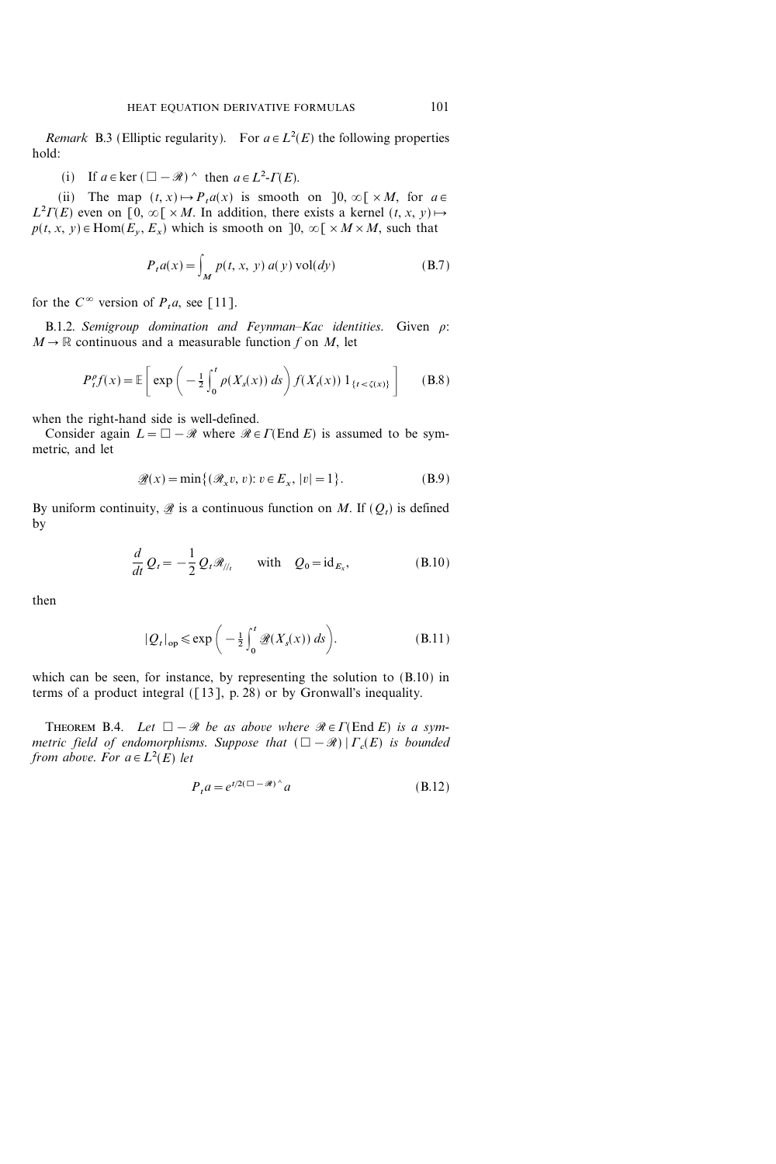*Remark* B.3 (Elliptic regularity). For  $a \in L^2(E)$  the following properties hold:

(i) If  $a \in \text{ker } (\square - \mathcal{R})$   $\wedge$  then  $a \in L^2$ - $\Gamma(E)$ .

(ii) The map  $(t, x) \mapsto P_t a(x)$  is smooth on  $]0, \infty[ \times M,$  for  $a \in$  $L^2 \Gamma(E)$  even on [0,  $\infty$ [ × M. In addition, there exists a kernel  $(t, x, y) \mapsto$  $p(t, x, y) \in \text{Hom}(E_v, E_x)$  which is smooth on  $]0, \infty[ \times M \times M,$  such that

$$
P_t a(x) = \int_M p(t, x, y) a(y) \operatorname{vol}(dy)
$$
 (B.7)

for the  $C^{\infty}$  version of  $P_t a$ , see [11].

B.1.2. Semigroup domination and Feynman-Kac identities. Given  $\rho$ :  $M \rightarrow \mathbb{R}$  continuous and a measurable function f on M, let

$$
P_t^{\rho} f(x) = \mathbb{E}\left[\exp\left(-\frac{1}{2}\int_0^t \rho(X_s(x))\,ds\right) f(X_t(x))\,1_{\{t < \zeta(x)\}}\right] \tag{B.8}
$$

when the right-hand side is well-defined.

Consider again  $L = \Box - \mathcal{R}$  where  $\mathcal{R} \in \Gamma(\text{End } E)$  is assumed to be symmetric, and let

$$
\mathcal{L}(x) = \min\{(\mathcal{R}_x v, v): v \in E_x, |v| = 1\}.
$$
 (B.9)

By uniform continuity,  $\mathscr{B}$  is a continuous function on M. If  $(Q_t)$  is defined by

$$
\frac{d}{dt}Q_t = -\frac{1}{2}Q_t \mathcal{R}_{\textit{||}_t} \quad \text{with} \quad Q_0 = \text{id}_{E_x}, \tag{B.10}
$$

then

$$
|Q_t|_{op} \le \exp\bigg(-\frac{1}{2}\int_0^t \mathcal{L}(X_s(x))\,ds\bigg). \tag{B.11}
$$

which can be seen, for instance, by representing the solution to (B.10) in terms of a product integral  $(13]$ , p. 28) or by Gronwall's inequality.

THEOREM B.4. Let  $\square - \mathcal{R}$  be as above where  $\mathcal{R} \in \Gamma(\text{End } E)$  is a symmetric field of endomorphisms. Suppose that  $(\Box - \mathcal{R}) | \Gamma_c(E)$  is bounded from above. For  $a \in L^2(E)$  let

$$
P_t a = e^{t/2(\Box - \mathcal{R})^{\wedge}} a \tag{B.12}
$$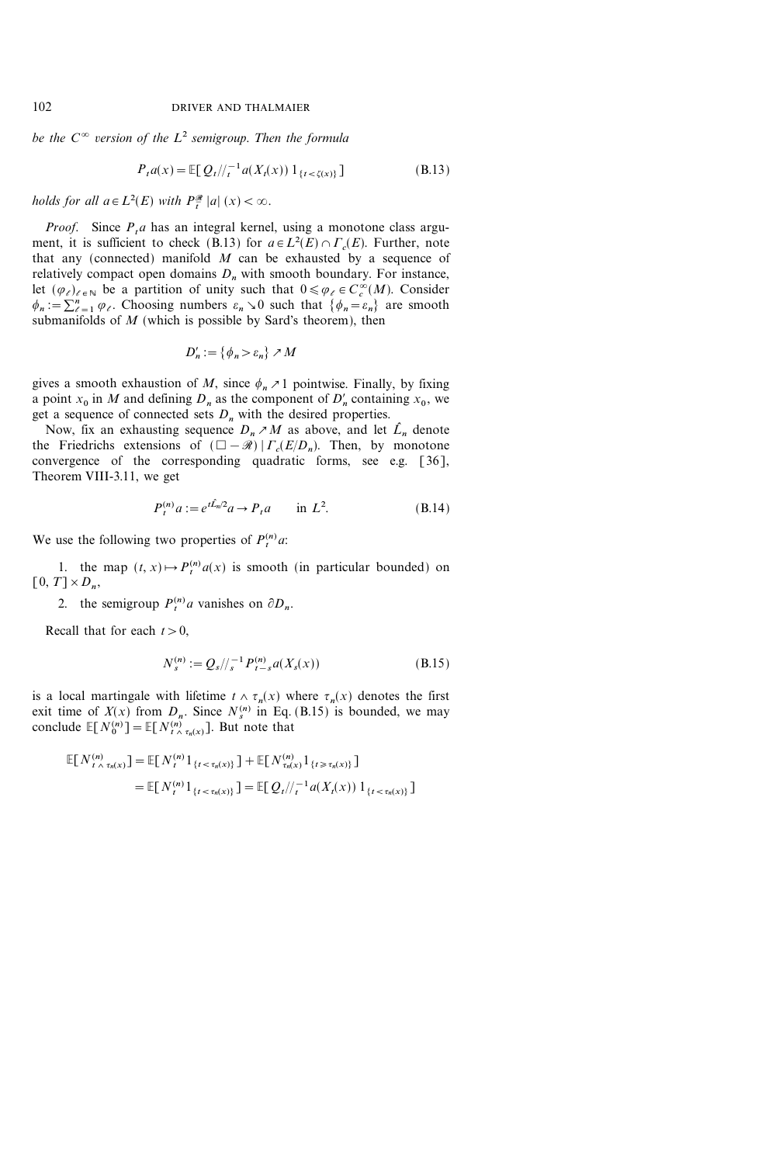be the  $C^{\infty}$  version of the  $L^2$  semigroup. Then the formula

$$
P_t a(x) = \mathbb{E}[Q_t/\!/_{t}^{-1} a(X_t(x)) 1_{\{t < \zeta(x)\}}] \tag{B.13}
$$

holds for all  $a \in L^2(E)$  with  $P^{\mathcal{R}}_{\overline{t}} |a| (x) < \infty$ .

*Proof.* Since  $P_t a$  has an integral kernel, using a monotone class argument, it is sufficient to check (B.13) for  $a \in L^2(E) \cap \Gamma_c(E)$ . Further, note that any (connected) manifold  $M$  can be exhausted by a sequence of relatively compact open domains  $D_n$  with smooth boundary. For instance, let  $(\varphi_\ell)_{\ell \in \mathbb{N}}$  be a partition of unity such that  $0 \le \varphi_\ell \in C_c^\infty(M)$ . Consider  $\phi_n := \sum_{\ell=1}^n \varphi_\ell$ . Choosing numbers  $\varepsilon_n \searrow 0$  such that  $\{\phi_n = \varepsilon_n\}$  are smooth submanifolds of  $M$  (which is possible by Sard's theorem), then

$$
D'_n := \{ \phi_n > \varepsilon_n \} \nearrow M
$$

gives a smooth exhaustion of M, since  $\phi_n \geq 1$  pointwise. Finally, by fixing a point  $x_0$  in M and defining  $D_n$  as the component of  $D'_n$  containing  $x_0$ , we get a sequence of connected sets  $D_n$  with the desired properties.

Now, fix an exhausting sequence  $D_n \nearrow M$  as above, and let  $\hat{L}_n$  denote the Friedrichs extensions of  $(\Box - \mathcal{R}) | \Gamma_c(E/D_n)$ . Then, by monotone convergence of the corresponding quadratic forms, see e.g. [36], Theorem VIII-3.11, we get

$$
P_t^{(n)} a := e^{t \hat{L}_n / 2} a \to P_t a \quad \text{in } L^2.
$$
 (B.14)

We use the following two properties of  $P_t^{(n)}$  a:

1. the map  $(t, x) \mapsto P_t^{(n)} a(x)$  is smooth (in particular bounded) on  $[0, T] \times D_n$ 

2. the semigroup  $P_t^{(n)}$  a vanishes on  $\partial D_n$ .

Recall that for each  $t>0$ ,

$$
N_s^{(n)} := Q_s / \frac{1}{s} P_{t-s}^{(n)} a(X_s(x)) \tag{B.15}
$$

is a local martingale with lifetime  $t \wedge \tau_n(x)$  where  $\tau_n(x)$  denotes the first exit time of  $X(x)$  from  $D_n$ . Since  $N_s^{(n)}$  in Eq. (B.15) is bounded, we may conclude  $\mathbb{E}[N_0^{(n)}] = \mathbb{E}[N_{t \wedge \tau_n(x)}^{(n)}]$ . But note that

E[N(n) t7{n(x) ]=E[N(n) <sup>t</sup> 1[t<{n(x)]]+E[N(n) {n(x)1[t{n(x)]] =E[N(n) <sup>t</sup> 1[t<{n(x)]]=E[Qt&1 <sup>t</sup> a(Xt(x)) 1[t<{n(x)]]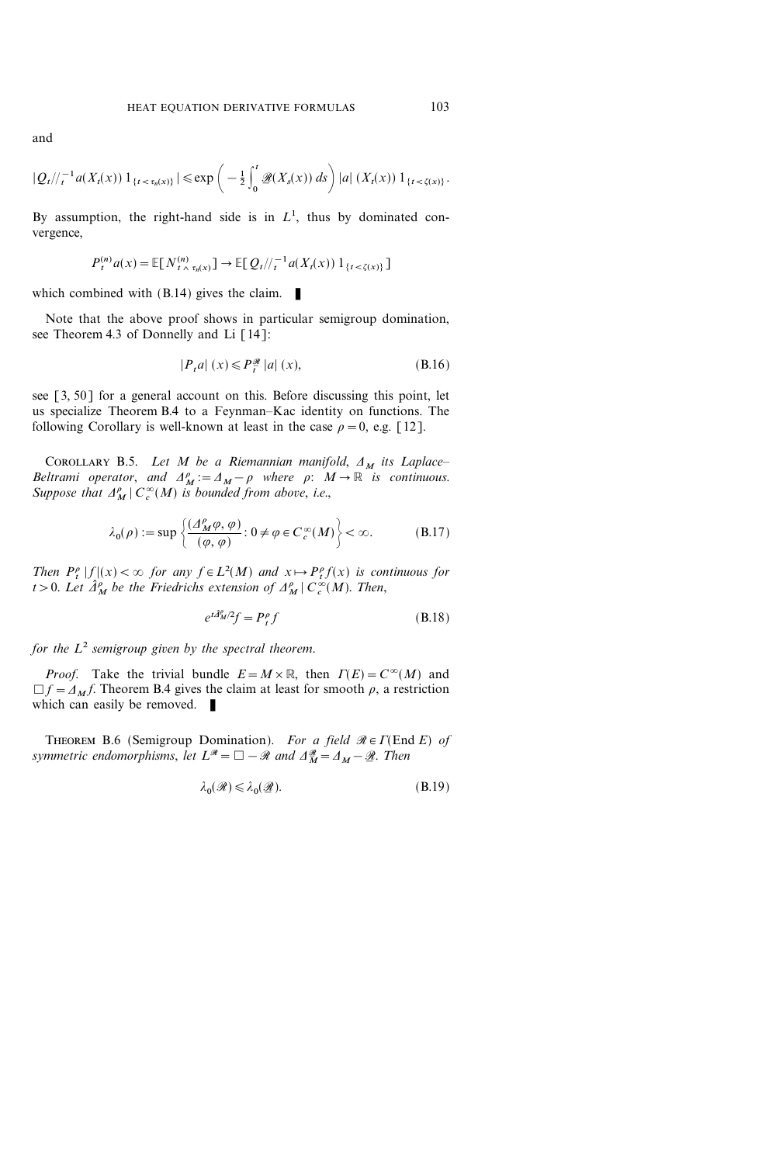and

$$
|Q_t|/{\tau^{-1}a(X_t(x))}\,1_{\{t<\tau_n(x)\}}| \leq \exp\bigg(-\tfrac{1}{2}\int_0^t \mathscr{Q}(X_s(x))\,ds\bigg) |a|\,(X_t(x))\,1_{\{t<\zeta(x)\}}.
$$

By assumption, the right-hand side is in  $L<sup>1</sup>$ , thus by dominated convergence,

$$
P_t^{(n)} a(x) = \mathbb{E}[N_{t \wedge \tau_n(x)}^{(n)}] \to \mathbb{E}[Q_t/\!/_{t}^{-1} a(X_t(x)) 1_{\{t < \zeta(x)\}}]
$$

which combined with  $(B.14)$  gives the claim.

Note that the above proof shows in particular semigroup domination, see Theorem 4.3 of Donnelly and Li [14]:

$$
|P_t a| (x) \leq P_t^{\mathcal{R}} |a| (x), \tag{B.16}
$$

see [3, 50] for a general account on this. Before discussing this point, let us specialize Theorem B.4 to a Feynman–Kac identity on functions. The following Corollary is well-known at least in the case  $\rho = 0$ , e.g. [12].

COROLLARY B.5. Let M be a Riemannian manifold,  $\Delta_M$  its Laplace-Beltrami operator, and  $A_M^{\rho} := A_M - \rho$  where  $\rho: M \to \mathbb{R}$  is continuous. Suppose that  $\Delta_M^{\rho} | C_c^{\infty}(M)$  is bounded from above, i.e.,

$$
\lambda_0(\rho) := \sup \left\{ \frac{(\varDelta_M^{\rho}\varphi, \varphi)}{(\varphi, \varphi)} : 0 \neq \varphi \in C_c^{\infty}(M) \right\} < \infty.
$$
 (B.17)

Then  $P_t^{\rho} |f|(x) < \infty$  for any  $f \in L^2(M)$  and  $x \mapsto P_t^{\rho} f(x)$  is continuous for t > 0. Let  $\hat{\Delta}^{\rho}_M$  be the Friedrichs extension of  $\Delta^{\rho}_M \mid C_c^{\infty}(M)$ . Then,

$$
e^{t\hat{\mathcal{A}}_M^p/2}f = P_t^p f \tag{B.18}
$$

for the  $L^2$  semigroup given by the spectral theorem.

*Proof.* Take the trivial bundle  $E = M \times \mathbb{R}$ , then  $\Gamma(E) = C^{\infty}(M)$  and  $\Box f = A_M f$ . Theorem B.4 gives the claim at least for smooth  $\rho$ , a restriction which can easily be removed.  $\blacksquare$ 

THEOREM B.6 (Semigroup Domination). For a field  $\Re \in \Gamma(\text{End } E)$  of symmetric endomorphisms, let  $L^{\mathscr{R}} = \Box - \mathscr{R}$  and  $\Delta^{\mathscr{R}}_{\overline{M}} = \Delta_M - \mathscr{R}$ . Then

$$
\lambda_0(\mathcal{R}) \le \lambda_0(\mathcal{R}).\tag{B.19}
$$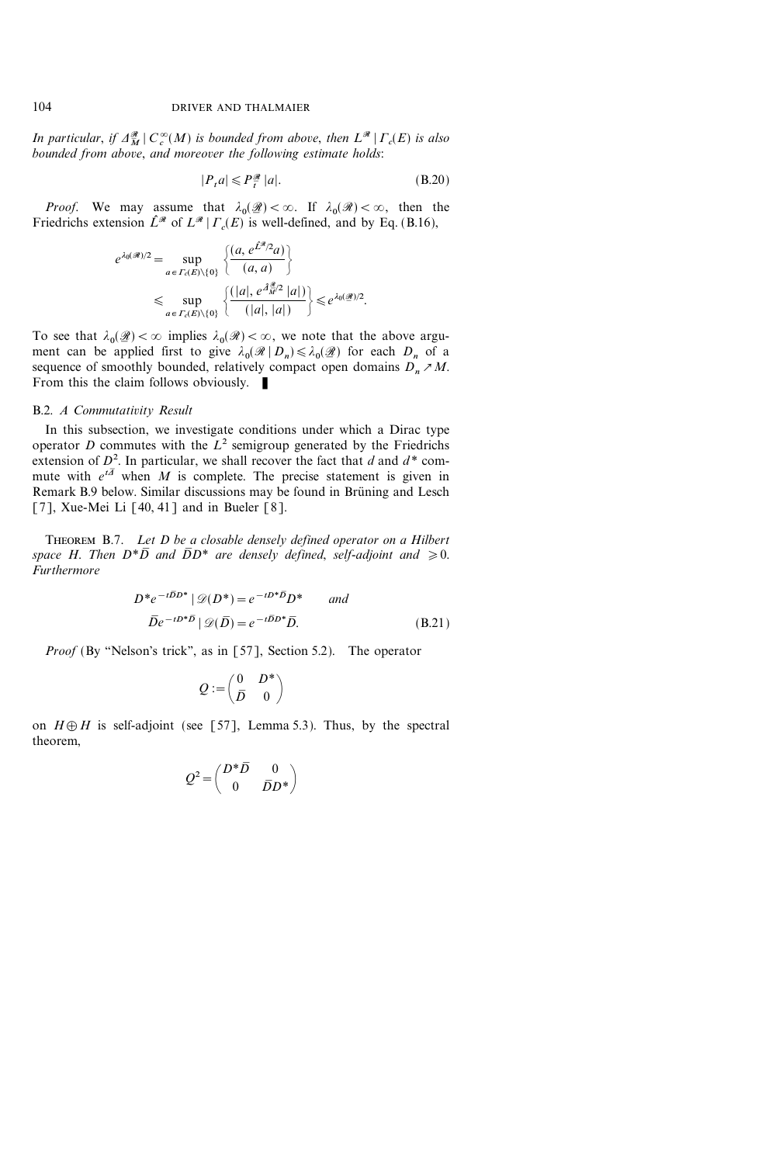In particular, if  $\Delta_M^{\mathcal{R}} \mid C_c^{\infty}(M)$  is bounded from above, then  $L^{\mathcal{R}} \mid \Gamma_c(E)$  is also bounded from above, and moreover the following estimate holds:

$$
|P_t a| \leqslant P_t^{\mathcal{R}} |a|.
$$
 (B.20)

*Proof.* We may assume that  $\lambda_0(\mathcal{A}) < \infty$ . If  $\lambda_0(\mathcal{A}) < \infty$ , then the Friedrichs extension  $\hat{L}^{\mathcal{R}}$  of  $L^{\mathcal{R}} | \Gamma_c(E)$  is well-defined, and by Eq. (B.16),

$$
e^{\lambda_0(\mathscr{R})/2} = \sup_{a \in \Gamma_c(E) \setminus \{0\}} \frac{\left\{ \frac{(a, e^{\hat{L}^{\mathscr{R}}/2}a)}{(a, a)} \right\}}{\left(\frac{\operatorname{sup}}{a\right)^{\mathscr{R}} \left(\frac{a}{\hat{L}^{\mathscr{R}}}\right)^{\mathscr{R}} |a| \left(\frac{a}{\hat{L}^{\mathscr{R}}}\right)^{\mathscr{R}} |a| \left(\frac{a}{\hat{L}^{\mathscr{R}}}\right)^{\mathscr{R}}}{\left(\frac{|a|, e^{\hat{A}^{\mathscr{R}}/2} |a|}{\left(\frac{|a|, |a|}{\hat{L}^{\mathscr{R}}}\right)}\right)} \leq e^{\lambda_0(\mathscr{R})/2}.
$$

To see that  $\lambda_0(\mathcal{B}) < \infty$  implies  $\lambda_0(\mathcal{B}) < \infty$ , we note that the above argu- $\overline{\phantom{a}}$ ment can be applied first to give  $\lambda_0(\mathcal{R} \mid D_n) \leq \lambda_0(\mathcal{Q})$  for each  $D_n$  of a ֖֖֖֖֖֚֚֚֚֚֚֚֚֚֚֚֚֚֚֚֚֚֚֚֚֚֚֚֚֡֡֡֟֓֡֟֓֡֡֓֡֟֓֡֡֟֓֡ sequence of smoothly bounded, relatively compact open domains  $D_n \nearrow M$ . From this the claim follows obviously.  $\blacksquare$ 

#### B.2. A Commutativity Result

In this subsection, we investigate conditions under which a Dirac type operator D commutes with the  $L^2$  semigroup generated by the Friedrichs extension of  $D^2$ . In particular, we shall recover the fact that d and  $d^*$  commute with  $e^{t\bar{A}}$  when M is complete. The precise statement is given in Remark B.9 below. Similar discussions may be found in Brüning and Lesch [7], Xue-Mei Li  $[40, 41]$  and in Bueler  $[8]$ .

THEOREM B.7. Let D be a closable densely defined operator on a Hilbert space H. Then  $D^*\overline{D}$  and  $\overline{D}D^*$  are densely defined, self-adjoint and  $\geq 0$ . Furthermore

$$
D^*e^{-t\overline{D}D^*} | \mathcal{D}(D^*) = e^{-tD^*\overline{D}}D^* \quad \text{and}
$$
  

$$
\overline{D}e^{-tD^*\overline{D}} | \mathcal{D}(\overline{D}) = e^{-t\overline{D}D^*}\overline{D}.
$$
 (B.21)

*Proof* (By "Nelson's trick", as in [57], Section 5.2). The operator

$$
Q:=\begin{pmatrix} 0 & D^* \\ \bar D & 0 \end{pmatrix}
$$

on  $H \oplus H$  is self-adjoint (see [57], Lemma 5.3). Thus, by the spectral theorem,

$$
Q^2 = \begin{pmatrix} D^* \overline{D} & 0 \\ 0 & \overline{D} D^* \end{pmatrix}
$$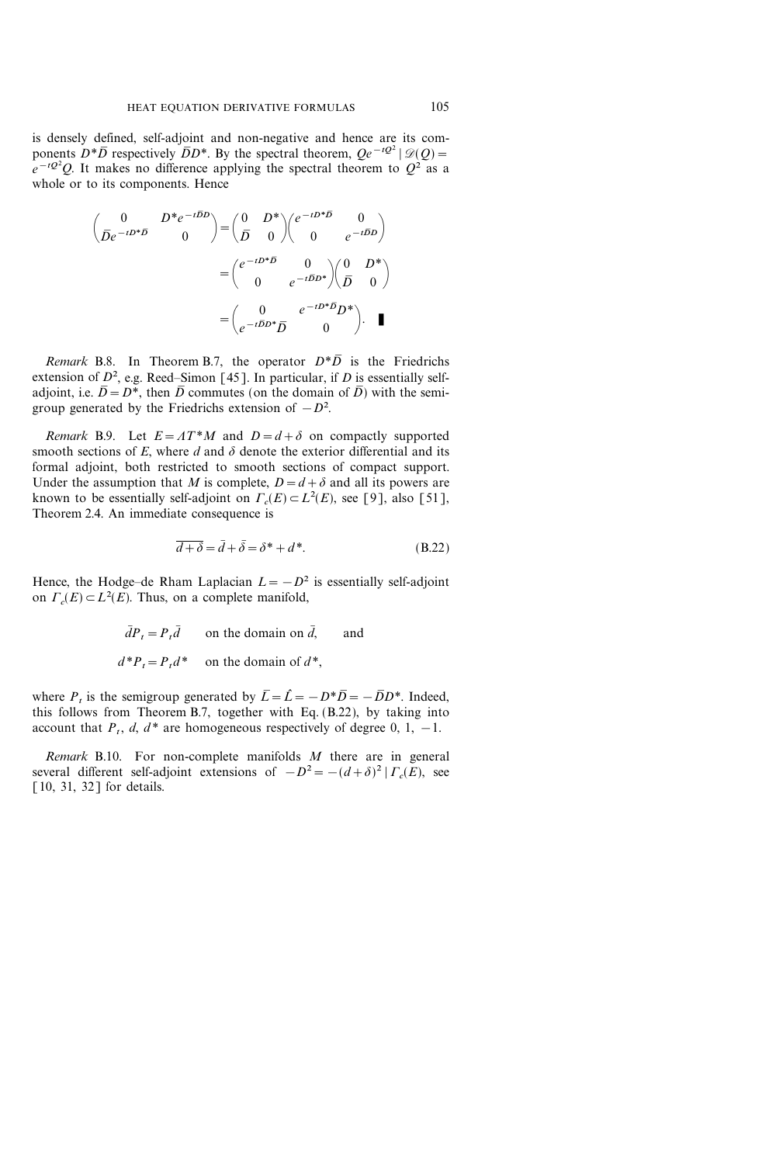is densely defined, self-adjoint and non-negative and hence are its components  $D^*\overline{D}$  respectively  $\overline{D}D^*$ . By the spectral theorem,  $Qe^{-tQ^2}$   $\mathscr{D}(Q)$  =  $e^{-tQ^2}Q$ . It makes no difference applying the spectral theorem to  $Q^2$  as a whole or to its components. Hence

$$
\begin{pmatrix}\n0 & D^*e^{-t\overline{D}D} \\
\overline{D}e^{-tD^*\overline{D}} & 0\n\end{pmatrix} = \begin{pmatrix}\n0 & D^* \\
\overline{D} & 0\n\end{pmatrix} \begin{pmatrix}\ne^{-tD^*\overline{D}} & 0 \\
0 & e^{-t\overline{D}D}\n\end{pmatrix}
$$
\n
$$
= \begin{pmatrix}\ne^{-tD^*\overline{D}} & 0 \\
0 & e^{-t\overline{D}D^*}\n\end{pmatrix} \begin{pmatrix}\n0 & D^* \\
\overline{D} & 0\n\end{pmatrix}
$$
\n
$$
= \begin{pmatrix}\n0 & e^{-tD^*\overline{D}D^*} \\
e^{-t\overline{D}D^*}\overline{D} & 0\n\end{pmatrix}.
$$

Remark B.8. In Theorem B.7, the operator  $D^*\overline{D}$  is the Friedrichs extension of  $D^2$ , e.g. Reed–Simon [45]. In particular, if D is essentially selfadjoint, i.e.  $\overline{D} = D^*$ , then  $\overline{D}$  commutes (on the domain of  $\overline{D}$ ) with the semigroup generated by the Friedrichs extension of  $-D^2$ .

Remark B.9. Let  $E = AT^*M$  and  $D=d+\delta$  on compactly supported smooth sections of E, where d and  $\delta$  denote the exterior differential and its formal adjoint, both restricted to smooth sections of compact support. Under the assumption that M is complete,  $D=d+\delta$  and all its powers are known to be essentially self-adjoint on  $\Gamma_c(E) \subset L^2(E)$ , see [9], also [51], Theorem 2.4. An immediate consequence is

$$
\overline{d+\delta} = \overline{d} + \overline{\delta} = \delta^* + d^*.
$$
 (B.22)

Hence, the Hodge-de Rham Laplacian  $L=-D^2$  is essentially self-adjoint on  $\Gamma_c(E) \subset L^2(E)$ . Thus, on a complete manifold,

> $\overline{d}P_t=P_t\overline{d}$  on the domain on  $\overline{d}$ , and  $d^*P_t = P_t d^*$  on the domain of  $d^*$ ,

where P, is the semigroup generated by  $\overline{L}=\hat{L}=-D*\overline{D}=-\overline{D}D^*$ . Indeed, this follows from Theorem B.7, together with Eq. (B.22), by taking into account that  $P_t$ ,  $d$ ,  $d^*$  are homogeneous respectively of degree 0, 1, -1.

Remark B.10. For non-complete manifolds  $M$  there are in general several different self-adjoint extensions of  $-D^2 = -(d+\delta)^2 | \Gamma_c(E)$ , see [10, 31, 32] for details.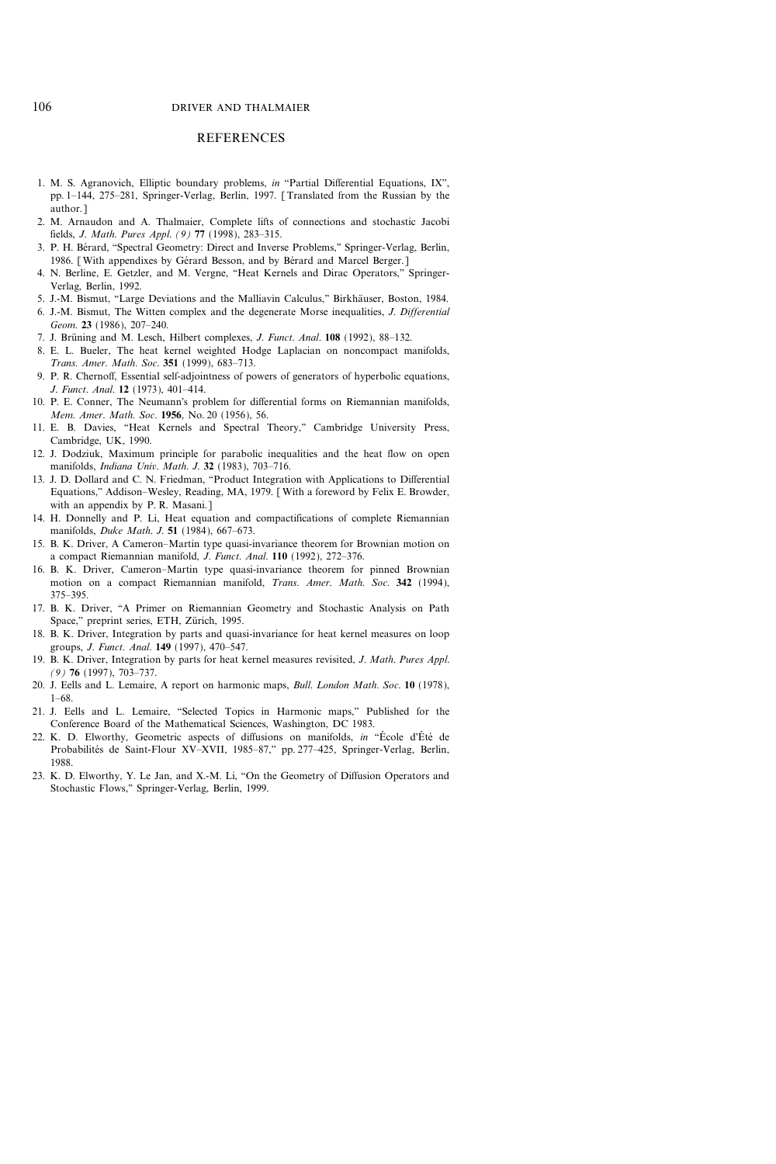#### **REFERENCES**

- 1. M. S. Agranovich, Elliptic boundary problems, in "Partial Differential Equations, IX", pp. 1-144, 275-281, Springer-Verlag, Berlin, 1997. [Translated from the Russian by the author.]
- 2. M. Arnaudon and A. Thalmaier, Complete lifts of connections and stochastic Jacobi fields, *J. Math. Pures Appl.* (9) 77 (1998), 283-315.
- 3. P. H. Bérard, "Spectral Geometry: Direct and Inverse Problems," Springer-Verlag, Berlin, 1986. [With appendixes by Gérard Besson, and by Bérard and Marcel Berger.]
- 4. N. Berline, E. Getzler, and M. Vergne, "Heat Kernels and Dirac Operators," Springer-Verlag, Berlin, 1992.
- 5. J.-M. Bismut, "Large Deviations and the Malliavin Calculus," Birkhäuser, Boston, 1984.
- 6. J.-M. Bismut, The Witten complex and the degenerate Morse inequalities, J. Differential Geom. 23 (1986), 207-240.
- 7. J. Brüning and M. Lesch, Hilbert complexes, J. Funct. Anal. 108 (1992), 88-132.
- 8. E. L. Bueler, The heat kernel weighted Hodge Laplacian on noncompact manifolds, Trans. Amer. Math. Soc. 351 (1999), 683-713.
- 9. P. R. Chernoff, Essential self-adjointness of powers of generators of hyperbolic equations, J. Funct. Anal. 12 (1973), 401-414.
- 10. P. E. Conner, The Neumann's problem for differential forms on Riemannian manifolds, Mem. Amer. Math. Soc. 1956, No. 20 (1956), 56.
- 11. E. B. Davies, "Heat Kernels and Spectral Theory," Cambridge University Press, Cambridge, UK, 1990.
- 12. J. Dodziuk, Maximum principle for parabolic inequalities and the heat flow on open manifolds, Indiana Univ. Math. J. 32 (1983), 703-716.
- 13. J. D. Dollard and C. N. Friedman, "Product Integration with Applications to Differential Equations," Addison-Wesley, Reading, MA, 1979. [With a foreword by Felix E. Browder, with an appendix by P. R. Masani.]
- 14. H. Donnelly and P. Li, Heat equation and compactifications of complete Riemannian manifolds, *Duke Math. J.* 51 (1984), 667-673.
- 15. B. K. Driver, A Cameron–Martin type quasi-invariance theorem for Brownian motion on a compact Riemannian manifold, J. Funct. Anal. 110 (1992), 272-376.
- 16. B. K. Driver, Cameron-Martin type quasi-invariance theorem for pinned Brownian motion on a compact Riemannian manifold, Trans. Amer. Math. Soc. 342 (1994), 375-395.
- 17. B. K. Driver, "A Primer on Riemannian Geometry and Stochastic Analysis on Path Space," preprint series, ETH, Zürich, 1995.
- 18. B. K. Driver, Integration by parts and quasi-invariance for heat kernel measures on loop groups, *J. Funct. Anal.* **149** (1997), 470-547.
- 19. B. K. Driver, Integration by parts for heat kernel measures revisited, J. Math. Pures Appl.  $(9)$  76 (1997), 703-737.
- 20. J. Eells and L. Lemaire, A report on harmonic maps, Bull. London Math. Soc. 10 (1978),  $1-68.$
- 21. J. Eells and L. Lemaire, "Selected Topics in Harmonic maps," Published for the Conference Board of the Mathematical Sciences, Washington, DC 1983.
- 22. K. D. Elworthy, Geometric aspects of diffusions on manifolds, in "École d'Été de Probabilités de Saint-Flour XV-XVII, 1985-87," pp. 277-425, Springer-Verlag, Berlin, 1988.
- 23. K. D. Elworthy, Y. Le Jan, and X.-M. Li, "On the Geometry of Diffusion Operators and Stochastic Flows,'' Springer-Verlag, Berlin, 1999.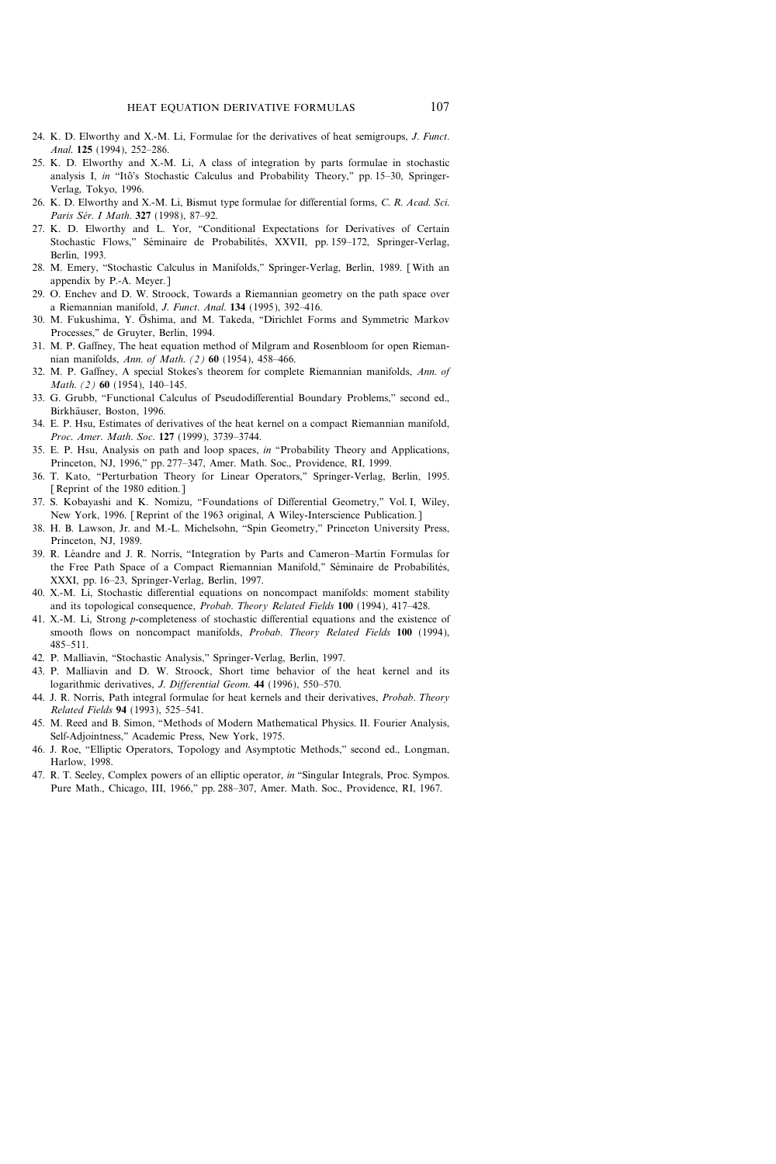- 24. K. D. Elworthy and X.-M. Li, Formulae for the derivatives of heat semigroups, J. Funct. Anal. 125 (1994), 252-286.
- 25. K. D. Elworthy and X.-M. Li, A class of integration by parts formulae in stochastic analysis I, in "Itô's Stochastic Calculus and Probability Theory," pp. 15-30, Springer-Verlag, Tokyo, 1996.
- 26. K. D. Elworthy and X.-M. Li, Bismut type formulae for differential forms, C. R. Acad. Sci. Paris Sér. I Math. 327 (1998), 87-92.
- 27. K. D. Elworthy and L. Yor, "Conditional Expectations for Derivatives of Certain Stochastic Flows," Séminaire de Probabilités, XXVII, pp. 159-172, Springer-Verlag, Berlin, 1993.
- 28. M. Emery, "Stochastic Calculus in Manifolds," Springer-Verlag, Berlin, 1989. [With an appendix by P.-A. Meyer.]
- 29. O. Enchev and D. W. Stroock, Towards a Riemannian geometry on the path space over a Riemannian manifold, *J. Funct. Anal.* 134 (1995), 392-416.
- 30. M. Fukushima, Y. Ōshima, and M. Takeda, "Dirichlet Forms and Symmetric Markov Processes,'' de Gruyter, Berlin, 1994.
- 31. M. P. Gaffney, The heat equation method of Milgram and Rosenbloom for open Riemannian manifolds, Ann. of Math. (2) 60 (1954), 458-466.
- 32. M. P. Gaffney, A special Stokes's theorem for complete Riemannian manifolds, Ann. of Math. (2) 60 (1954), 140-145.
- 33. G. Grubb, "Functional Calculus of Pseudodifferential Boundary Problems," second ed., Birkhäuser, Boston, 1996.
- 34. E. P. Hsu, Estimates of derivatives of the heat kernel on a compact Riemannian manifold, Proc. Amer. Math. Soc. 127 (1999), 3739-3744.
- 35. E. P. Hsu, Analysis on path and loop spaces, in "Probability Theory and Applications, Princeton, NJ, 1996," pp. 277-347, Amer. Math. Soc., Providence, RI, 1999.
- 36. T. Kato, "Perturbation Theory for Linear Operators," Springer-Verlag, Berlin, 1995. [Reprint of the 1980 edition.]
- 37. S. Kobayashi and K. Nomizu, "Foundations of Differential Geometry," Vol. I, Wiley, New York, 1996. [Reprint of the 1963 original, A Wiley-Interscience Publication.]
- 38. H. B. Lawson, Jr. and M.-L. Michelsohn, "Spin Geometry," Princeton University Press, Princeton, NJ, 1989.
- 39. R. Léandre and J. R. Norris, "Integration by Parts and Cameron-Martin Formulas for the Free Path Space of a Compact Riemannian Manifold," Séminaire de Probabilités, XXXI, pp. 1623, Springer-Verlag, Berlin, 1997.
- 40. X.-M. Li, Stochastic differential equations on noncompact manifolds: moment stability and its topological consequence, Probab. Theory Related Fields 100 (1994), 417-428.
- 41. X.-M. Li, Strong p-completeness of stochastic differential equations and the existence of smooth flows on noncompact manifolds, *Probab. Theory Related Fields* 100 (1994), 485511.
- 42. P. Malliavin, "Stochastic Analysis," Springer-Verlag, Berlin, 1997.
- 43. P. Malliavin and D. W. Stroock, Short time behavior of the heat kernel and its logarithmic derivatives, J. Differential Geom. 44 (1996), 550-570.
- 44. J. R. Norris, Path integral formulae for heat kernels and their derivatives, *Probab. Theory* Related Fields 94 (1993), 525-541.
- 45. M. Reed and B. Simon, "Methods of Modern Mathematical Physics. II. Fourier Analysis, Self-Adjointness,'' Academic Press, New York, 1975.
- 46. J. Roe, "Elliptic Operators, Topology and Asymptotic Methods," second ed., Longman, Harlow, 1998.
- 47. R. T. Seeley, Complex powers of an elliptic operator, in "Singular Integrals, Proc. Sympos. Pure Math., Chicago, III, 1966," pp. 288-307, Amer. Math. Soc., Providence, RI, 1967.